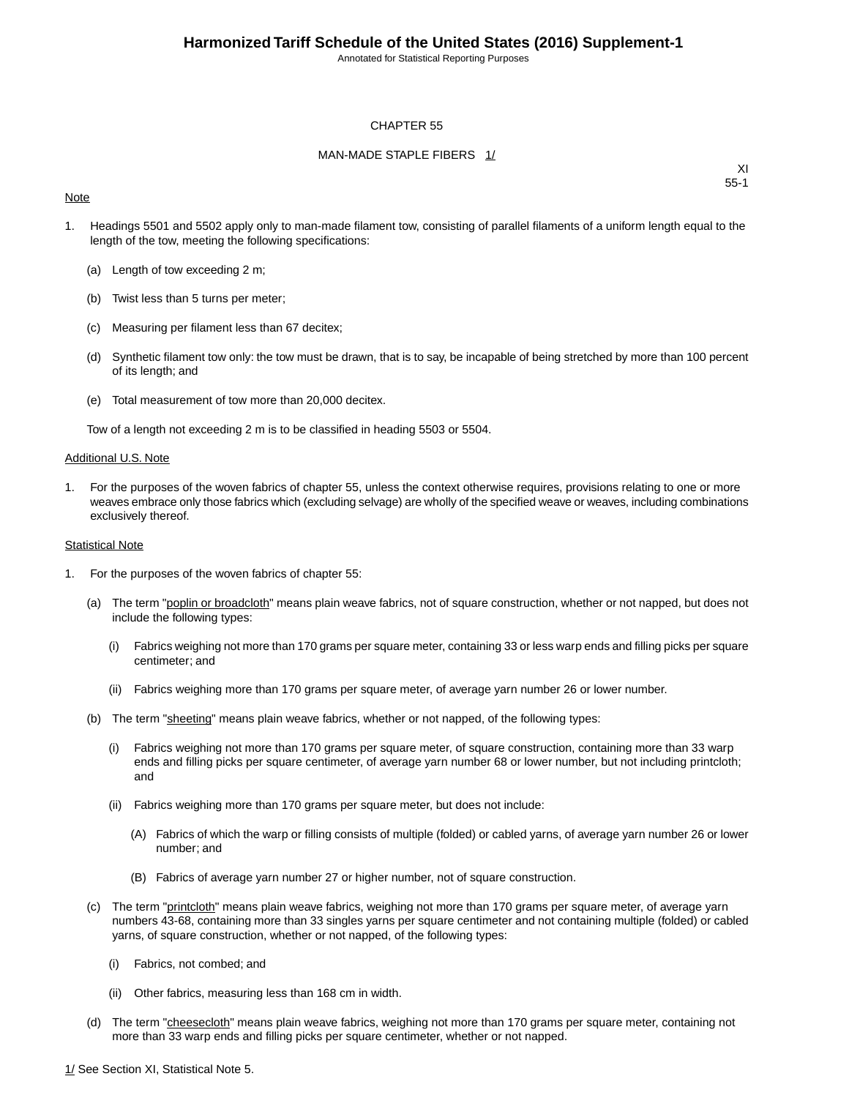Annotated for Statistical Reporting Purposes

#### CHAPTER 55

#### MAN-MADE STAPLE FIBERS 1/

#### **Note**

XI 55-1

- 1. Headings 5501 and 5502 apply only to man-made filament tow, consisting of parallel filaments of a uniform length equal to the length of the tow, meeting the following specifications:
	- (a) Length of tow exceeding 2 m;
	- (b) Twist less than 5 turns per meter;
	- (c) Measuring per filament less than 67 decitex;
	- (d) Synthetic filament tow only: the tow must be drawn, that is to say, be incapable of being stretched by more than 100 percent of its length; and
	- (e) Total measurement of tow more than 20,000 decitex.

Tow of a length not exceeding 2 m is to be classified in heading 5503 or 5504.

#### Additional U.S. Note

1. For the purposes of the woven fabrics of chapter 55, unless the context otherwise requires, provisions relating to one or more weaves embrace only those fabrics which (excluding selvage) are wholly of the specified weave or weaves, including combinations exclusively thereof.

#### Statistical Note

- 1. For the purposes of the woven fabrics of chapter 55:
	- (a) The term "poplin or broadcloth" means plain weave fabrics, not of square construction, whether or not napped, but does not include the following types:
		- (i) Fabrics weighing not more than 170 grams per square meter, containing 33 or less warp ends and filling picks per square centimeter; and
		- (ii) Fabrics weighing more than 170 grams per square meter, of average yarn number 26 or lower number.
	- (b) The term "sheeting" means plain weave fabrics, whether or not napped, of the following types:
		- (i) Fabrics weighing not more than 170 grams per square meter, of square construction, containing more than 33 warp ends and filling picks per square centimeter, of average yarn number 68 or lower number, but not including printcloth; and
		- (ii) Fabrics weighing more than 170 grams per square meter, but does not include:
			- (A) Fabrics of which the warp or filling consists of multiple (folded) or cabled yarns, of average yarn number 26 or lower number; and
			- (B) Fabrics of average yarn number 27 or higher number, not of square construction.
	- (c) The term "printcloth" means plain weave fabrics, weighing not more than 170 grams per square meter, of average yarn numbers 43-68, containing more than 33 singles yarns per square centimeter and not containing multiple (folded) or cabled yarns, of square construction, whether or not napped, of the following types:
		- (i) Fabrics, not combed; and
		- (ii) Other fabrics, measuring less than 168 cm in width.
	- (d) The term "cheesecloth" means plain weave fabrics, weighing not more than 170 grams per square meter, containing not more than 33 warp ends and filling picks per square centimeter, whether or not napped.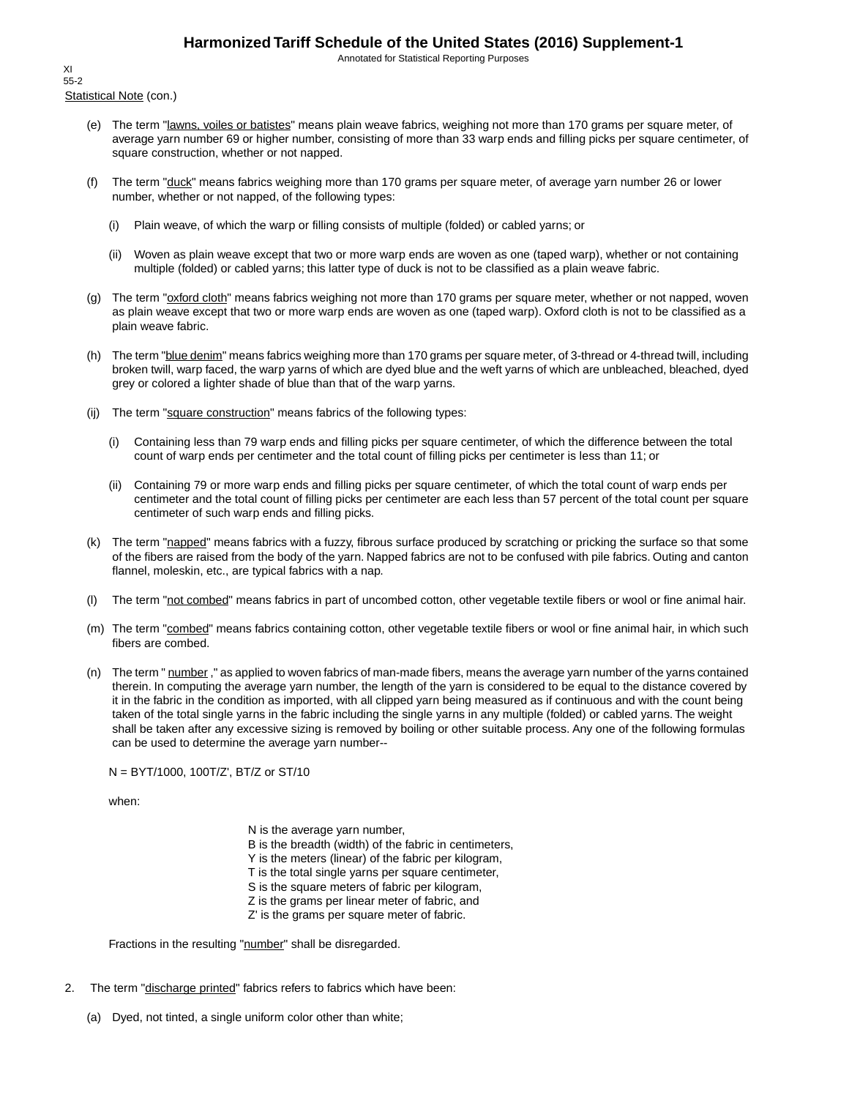Annotated for Statistical Reporting Purposes

Statistical Note (con.) XI 55-2

- (e) The term "lawns, voiles or batistes" means plain weave fabrics, weighing not more than 170 grams per square meter, of average yarn number 69 or higher number, consisting of more than 33 warp ends and filling picks per square centimeter, of square construction, whether or not napped.
- (f) The term "duck" means fabrics weighing more than 170 grams per square meter, of average yarn number 26 or lower number, whether or not napped, of the following types:
	- (i) Plain weave, of which the warp or filling consists of multiple (folded) or cabled yarns; or
	- (ii) Woven as plain weave except that two or more warp ends are woven as one (taped warp), whether or not containing multiple (folded) or cabled yarns; this latter type of duck is not to be classified as a plain weave fabric.
- (g) The term "oxford cloth" means fabrics weighing not more than 170 grams per square meter, whether or not napped, woven as plain weave except that two or more warp ends are woven as one (taped warp). Oxford cloth is not to be classified as a plain weave fabric.
- (h) The term "blue denim" means fabrics weighing more than 170 grams per square meter, of 3-thread or 4-thread twill, including broken twill, warp faced, the warp yarns of which are dyed blue and the weft yarns of which are unbleached, bleached, dyed grey or colored a lighter shade of blue than that of the warp yarns.
- (ij) The term "square construction" means fabrics of the following types:
	- (i) Containing less than 79 warp ends and filling picks per square centimeter, of which the difference between the total count of warp ends per centimeter and the total count of filling picks per centimeter is less than 11; or
	- (ii) Containing 79 or more warp ends and filling picks per square centimeter, of which the total count of warp ends per centimeter and the total count of filling picks per centimeter are each less than 57 percent of the total count per square centimeter of such warp ends and filling picks.
- (k) The term "napped" means fabrics with a fuzzy, fibrous surface produced by scratching or pricking the surface so that some of the fibers are raised from the body of the yarn. Napped fabrics are not to be confused with pile fabrics. Outing and canton flannel, moleskin, etc., are typical fabrics with a nap.
- (l) The term "not combed" means fabrics in part of uncombed cotton, other vegetable textile fibers or wool or fine animal hair.
- (m) The term "combed" means fabrics containing cotton, other vegetable textile fibers or wool or fine animal hair, in which such fibers are combed.
- (n) The term " number," as applied to woven fabrics of man-made fibers, means the average yarn number of the yarns contained therein. In computing the average yarn number, the length of the yarn is considered to be equal to the distance covered by it in the fabric in the condition as imported, with all clipped yarn being measured as if continuous and with the count being taken of the total single yarns in the fabric including the single yarns in any multiple (folded) or cabled yarns. The weight shall be taken after any excessive sizing is removed by boiling or other suitable process. Any one of the following formulas can be used to determine the average yarn number--

N = BYT/1000, 100T/Z', BT/Z or ST/10

when:

N is the average yarn number, B is the breadth (width) of the fabric in centimeters, Y is the meters (linear) of the fabric per kilogram, T is the total single yarns per square centimeter, S is the square meters of fabric per kilogram, Z is the grams per linear meter of fabric, and Z' is the grams per square meter of fabric.

Fractions in the resulting "number" shall be disregarded.

- 2. The term "discharge printed" fabrics refers to fabrics which have been:
	- (a) Dyed, not tinted, a single uniform color other than white;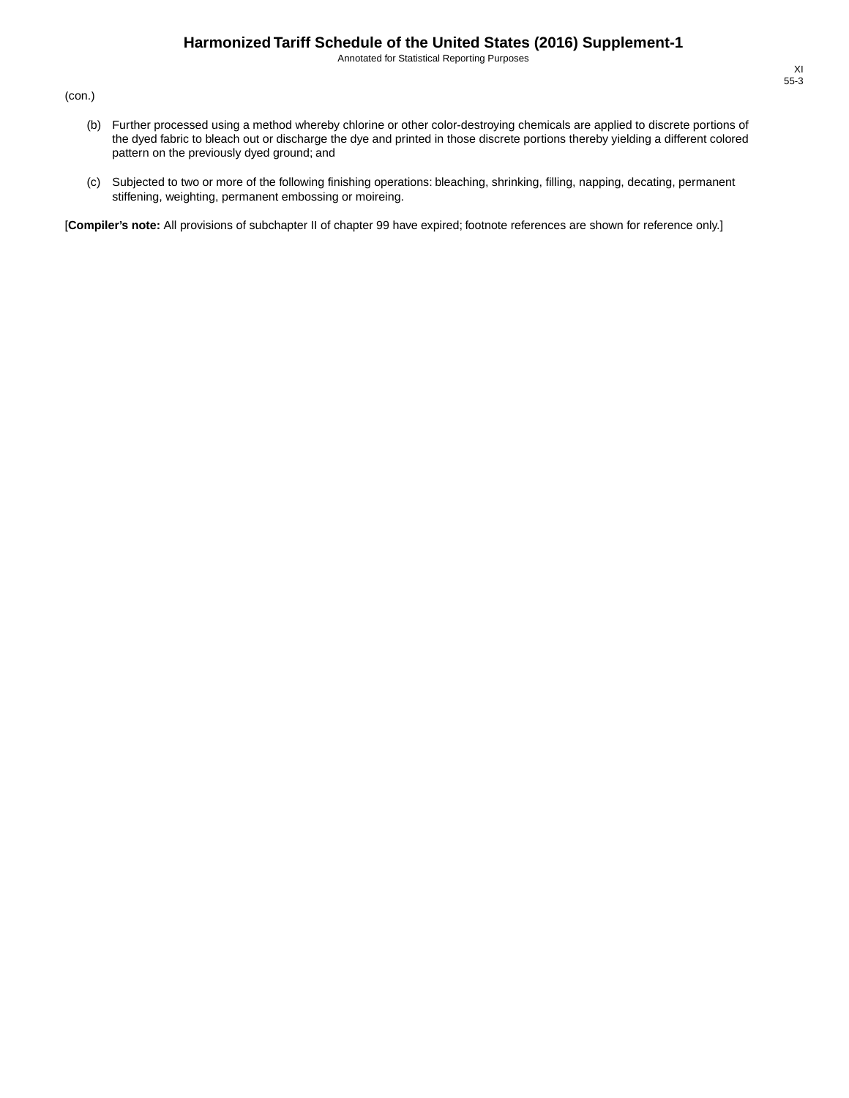Annotated for Statistical Reporting Purposes

(con.)

- (b) Further processed using a method whereby chlorine or other color-destroying chemicals are applied to discrete portions of the dyed fabric to bleach out or discharge the dye and printed in those discrete portions thereby yielding a different colored pattern on the previously dyed ground; and
- (c) Subjected to two or more of the following finishing operations: bleaching, shrinking, filling, napping, decating, permanent stiffening, weighting, permanent embossing or moireing.

[**Compiler's note:** All provisions of subchapter II of chapter 99 have expired; footnote references are shown for reference only.]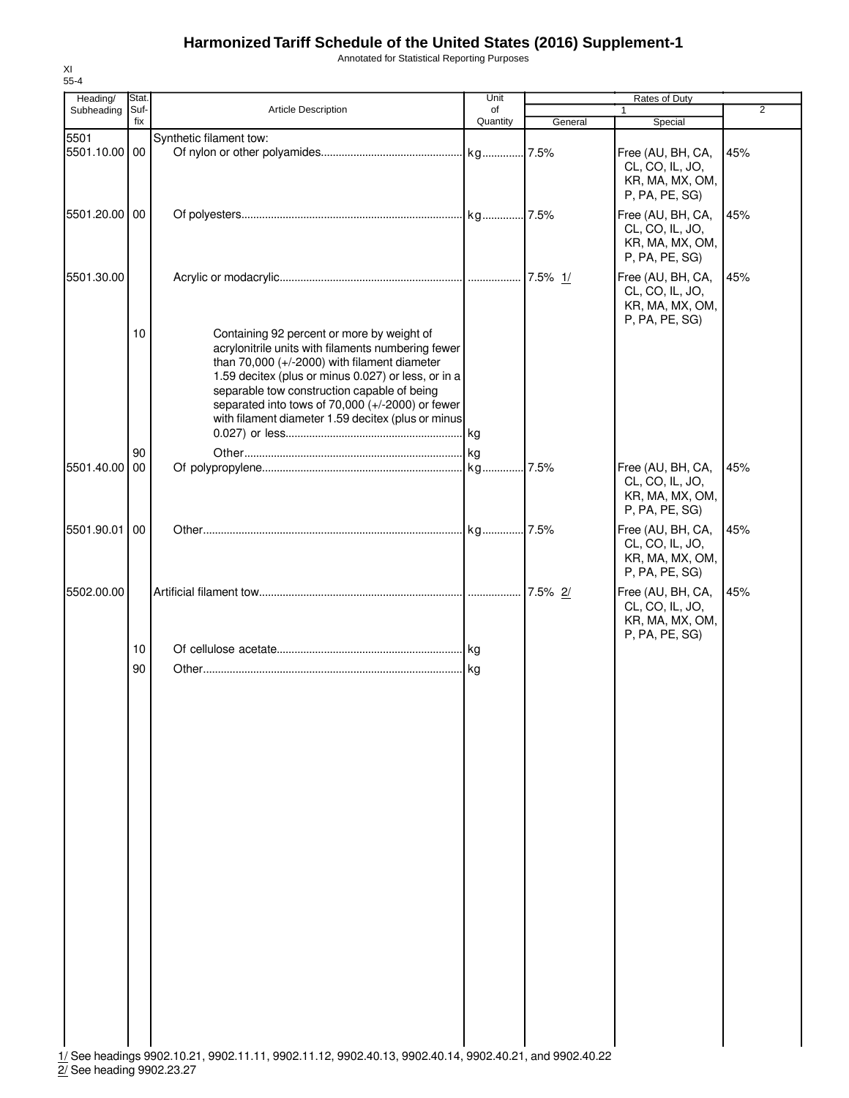XI 55-4

2/ See heading 9902.23.27

Annotated for Statistical Reporting Purposes

| Heading/      | Stat.       |                                                                                                                                                                                                                                                                                                                                                                    | Unit           | Rates of Duty |                                                                                             |                |
|---------------|-------------|--------------------------------------------------------------------------------------------------------------------------------------------------------------------------------------------------------------------------------------------------------------------------------------------------------------------------------------------------------------------|----------------|---------------|---------------------------------------------------------------------------------------------|----------------|
| Subheading    | Suf-<br>fix | Article Description                                                                                                                                                                                                                                                                                                                                                | of<br>Quantity | General       | 1<br>Special                                                                                | $\overline{2}$ |
| 5501          |             | Synthetic filament tow:                                                                                                                                                                                                                                                                                                                                            |                |               |                                                                                             |                |
| 5501.10.00 00 |             |                                                                                                                                                                                                                                                                                                                                                                    |                |               | Free (AU, BH, CA,<br>CL, CO, IL, JO,<br>KR, MA, MX, OM,                                     | 45%            |
| 5501.20.00    | 00          |                                                                                                                                                                                                                                                                                                                                                                    |                |               | P, PA, PE, SG)<br>Free (AU, BH, CA,<br>CL, CO, IL, JO,<br>KR, MA, MX, OM,<br>P, PA, PE, SG) | 45%            |
| 5501.30.00    |             |                                                                                                                                                                                                                                                                                                                                                                    |                |               | Free (AU, BH, CA,<br>CL, CO, IL, JO,<br>KR, MA, MX, OM,<br>P, PA, PE, SG)                   | 45%            |
|               | 10          | Containing 92 percent or more by weight of<br>acrylonitrile units with filaments numbering fewer<br>than $70,000$ (+/-2000) with filament diameter<br>1.59 decitex (plus or minus 0.027) or less, or in a<br>separable tow construction capable of being<br>separated into tows of 70,000 (+/-2000) or fewer<br>with filament diameter 1.59 decitex (plus or minus |                |               |                                                                                             |                |
|               | 90          |                                                                                                                                                                                                                                                                                                                                                                    |                |               |                                                                                             |                |
| 5501.40.00    | 00          |                                                                                                                                                                                                                                                                                                                                                                    |                | 7.5%          | Free (AU, BH, CA,<br>CL, CO, IL, JO,<br>KR, MA, MX, OM,<br>P, PA, PE, SG)                   | 45%            |
| 5501.90.01    | 00          |                                                                                                                                                                                                                                                                                                                                                                    |                |               | Free (AU, BH, CA,<br>CL, CO, IL, JO,<br>KR, MA, MX, OM,<br>P, PA, PE, SG)                   | 45%            |
| 5502.00.00    |             |                                                                                                                                                                                                                                                                                                                                                                    |                | 7.5% 2/       | Free (AU, BH, CA,<br>CL, CO, IL, JO,<br>KR, MA, MX, OM,<br>P, PA, PE, SG)                   | 45%            |
|               | 10          |                                                                                                                                                                                                                                                                                                                                                                    |                |               |                                                                                             |                |
|               |             |                                                                                                                                                                                                                                                                                                                                                                    |                |               |                                                                                             |                |
|               |             |                                                                                                                                                                                                                                                                                                                                                                    |                |               |                                                                                             |                |
|               | 90          | 1/ See headings 9902.10.21, 9902.11.11, 9902.11.12, 9902.40.13, 9902.40.14, 9902.40.21, and 9902.40.22                                                                                                                                                                                                                                                             |                |               |                                                                                             |                |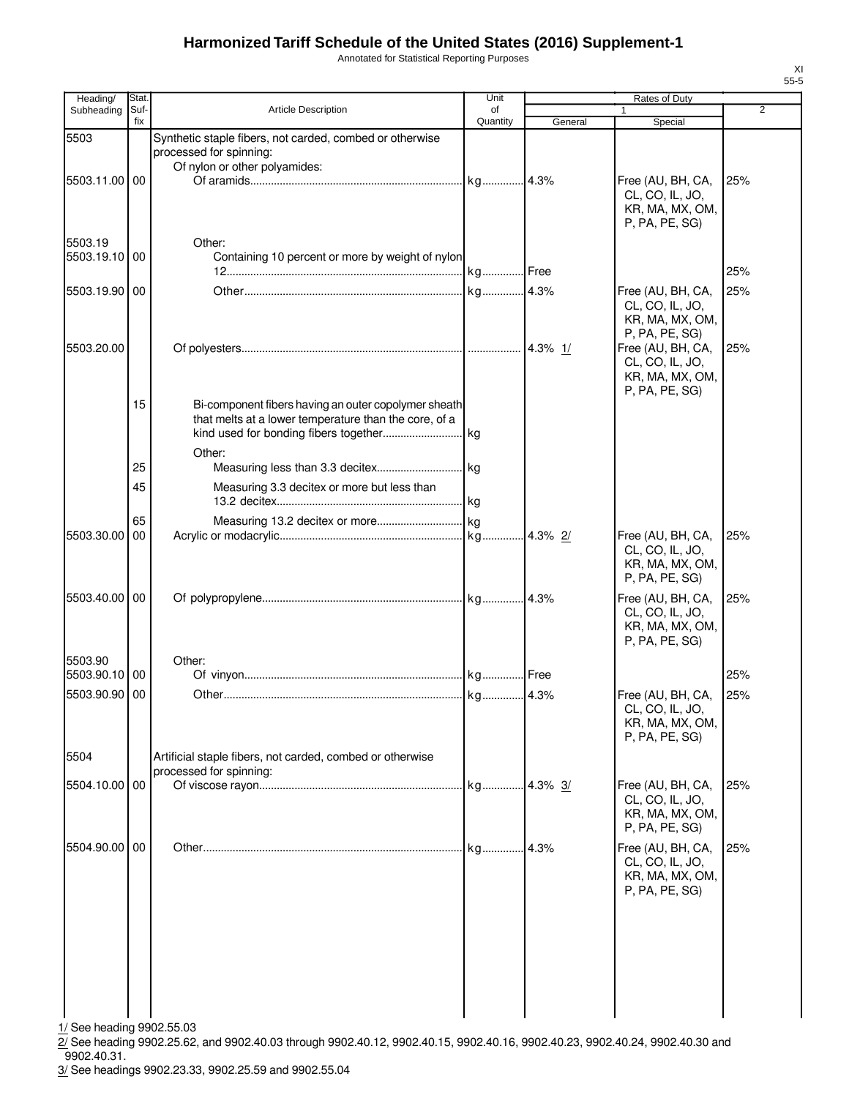Annotated for Statistical Reporting Purposes

| Heading/                 | Stat. |                                                                                                               | Unit       |         | Rates of Duty                                                             |                |
|--------------------------|-------|---------------------------------------------------------------------------------------------------------------|------------|---------|---------------------------------------------------------------------------|----------------|
| Subheading               | Suf-  | Article Description                                                                                           | of         |         |                                                                           | $\overline{2}$ |
| 5503                     | fix   | Synthetic staple fibers, not carded, combed or otherwise<br>processed for spinning:                           | Quantity   | General | Special                                                                   |                |
| 5503.11.00 00            |       | Of nylon or other polyamides:                                                                                 |            |         | Free (AU, BH, CA,                                                         | 25%            |
|                          |       |                                                                                                               |            |         | CL, CO, IL, JO,<br>KR, MA, MX, OM,<br>P, PA, PE, SG)                      |                |
| 5503.19<br>5503.19.10 00 |       | Other:                                                                                                        |            |         |                                                                           |                |
|                          |       | Containing 10 percent or more by weight of nylon                                                              |            |         |                                                                           | 25%            |
| 5503.19.90 00            |       |                                                                                                               |            |         | Free (AU, BH, CA,<br>CL, CO, IL, JO,<br>KR, MA, MX, OM,<br>P, PA, PE, SG) | 25%            |
| 5503.20.00               |       |                                                                                                               |            | 4.3% 1/ | Free (AU, BH, CA,<br>CL, CO, IL, JO,<br>KR, MA, MX, OM,<br>P, PA, PE, SG) | 25%            |
|                          | 15    | Bi-component fibers having an outer copolymer sheath<br>that melts at a lower temperature than the core, of a |            |         |                                                                           |                |
|                          | 25    | Other:                                                                                                        |            |         |                                                                           |                |
|                          | 45    | Measuring 3.3 decitex or more but less than                                                                   |            |         |                                                                           |                |
|                          | 65    |                                                                                                               |            |         |                                                                           |                |
| 5503.30.00               | 00    |                                                                                                               |            |         | Free (AU, BH, CA,<br>CL, CO, IL, JO,<br>KR, MA, MX, OM,<br>P, PA, PE, SG) | 25%            |
| 5503.40.00 00            |       |                                                                                                               |            |         | Free (AU, BH, CA,<br>CL, CO, IL, JO,<br>KR, MA, MX, OM,<br>P, PA, PE, SG) | 25%            |
| 5503.90<br>5503.90.10 00 |       | Other:                                                                                                        |            |         |                                                                           | 25%            |
| 5503.90.90 00            |       |                                                                                                               |            |         | Free (AU, BH, CA,                                                         | 25%            |
|                          |       |                                                                                                               |            |         | CL, CO, IL, JO,<br>KR, MA, MX, OM,<br>P, PA, PE, SG)                      |                |
| 5504                     |       | Artificial staple fibers, not carded, combed or otherwise<br>processed for spinning:                          |            |         |                                                                           |                |
| 5504.10.00 00            |       |                                                                                                               | kg 4.3% 3/ |         | Free (AU, BH, CA,<br>CL, CO, IL, JO,<br>KR, MA, MX, OM,<br>P, PA, PE, SG) | 25%            |
| 5504.90.00 00            |       |                                                                                                               |            | 4.3%    | Free (AU, BH, CA,<br>CL, CO, IL, JO,<br>KR, MA, MX, OM,<br>P, PA, PE, SG) | 25%            |
|                          |       |                                                                                                               |            |         |                                                                           |                |
|                          |       |                                                                                                               |            |         |                                                                           |                |
|                          |       |                                                                                                               |            |         |                                                                           |                |

 $\frac{1}{11}$  See heading 9902.55.03

 $2/$  See heading 9902.25.62, and 9902.40.03 through 9902.40.12, 9902.40.15, 9902.40.16, 9902.40.23, 9902.40.24, 9902.40.30 and  $9902.40.31.$ 

3/ See headings 9902.23.33, 9902.25.59 and 9902.55.04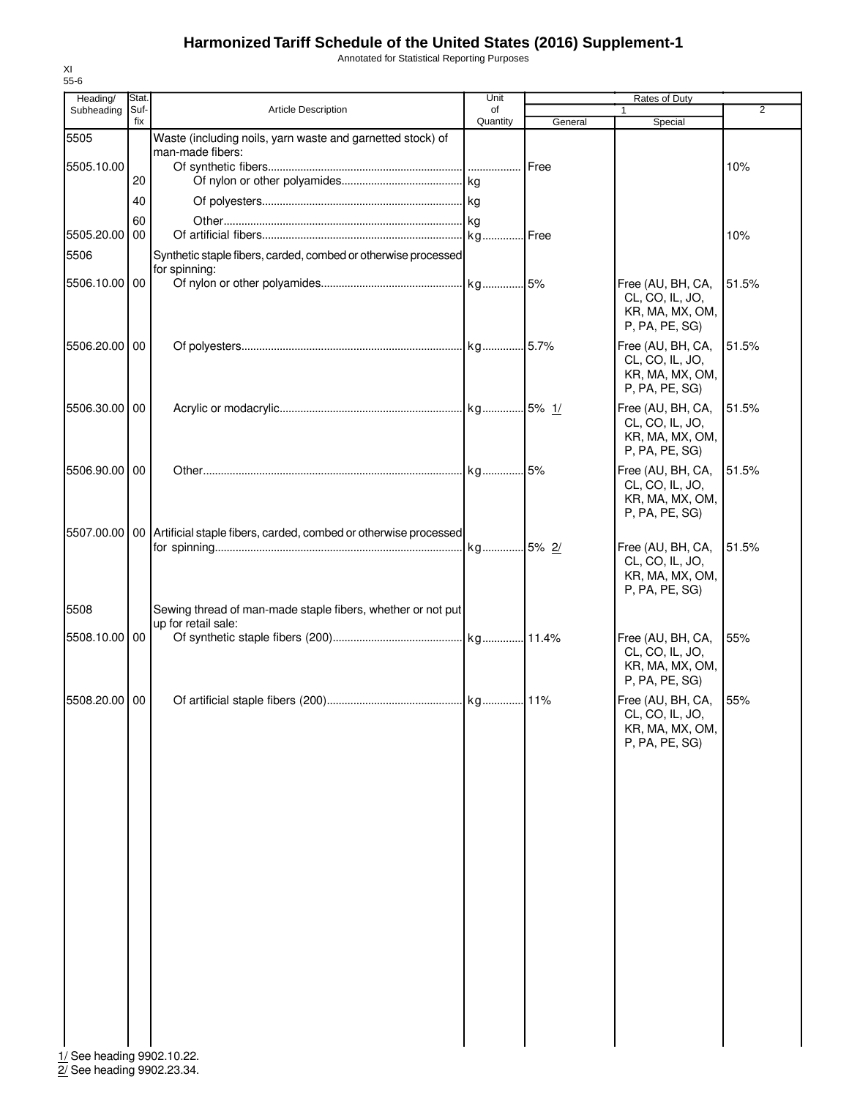Annotated for Statistical Reporting Purposes

| Heading/                   | Stat.       |                                                                                 | Unit           | Rates of Duty |                                                                           |       |
|----------------------------|-------------|---------------------------------------------------------------------------------|----------------|---------------|---------------------------------------------------------------------------|-------|
| Subheading                 | Suf-<br>fix | <b>Article Description</b>                                                      | of<br>Quantity | General       | 1<br>Special                                                              | 2     |
| 5505                       |             | Waste (including noils, yarn waste and garnetted stock) of                      |                |               |                                                                           |       |
|                            |             | man-made fibers:                                                                |                |               |                                                                           |       |
| 5505.10.00                 |             |                                                                                 |                | Free          |                                                                           | 10%   |
|                            | 20          |                                                                                 |                |               |                                                                           |       |
|                            | 40          |                                                                                 |                |               |                                                                           |       |
|                            | 60          |                                                                                 |                |               |                                                                           |       |
| 5505.20.00                 | 00          |                                                                                 |                | Free          |                                                                           | 10%   |
| 5506                       |             | Synthetic staple fibers, carded, combed or otherwise processed                  |                |               |                                                                           |       |
| 5506.10.00 00              |             | for spinning:                                                                   |                |               | Free (AU, BH, CA,                                                         | 51.5% |
|                            |             |                                                                                 |                |               | CL, CO, IL, JO,<br>KR, MA, MX, OM,<br>P, PA, PE, SG)                      |       |
| 5506.20.00 00              |             |                                                                                 |                |               | Free (AU, BH, CA,<br>CL, CO, IL, JO,<br>KR, MA, MX, OM,<br>P, PA, PE, SG) | 51.5% |
| 5506.30.00 00              |             |                                                                                 |                |               | Free (AU, BH, CA,<br>CL, CO, IL, JO,<br>KR, MA, MX, OM,<br>P, PA, PE, SG) | 51.5% |
| 5506.90.00 00              |             |                                                                                 |                |               | Free (AU, BH, CA,<br>CL, CO, IL, JO,<br>KR, MA, MX, OM,<br>P, PA, PE, SG) | 51.5% |
|                            |             | 5507.00.00   00 Artificial staple fibers, carded, combed or otherwise processed |                |               |                                                                           |       |
|                            |             |                                                                                 | kg 5% 2/       |               | Free (AU, BH, CA,<br>CL, CO, IL, JO,<br>KR, MA, MX, OM,<br>P, PA, PE, SG) | 51.5% |
| 5508                       |             | Sewing thread of man-made staple fibers, whether or not put                     |                |               |                                                                           |       |
|                            |             | up for retail sale:                                                             |                |               |                                                                           |       |
| 5508.10.00 00              |             |                                                                                 |                |               | Free (AU, BH, CA,<br>CL, CO, IL, JO,<br>KR, MA, MX, OM,<br>P, PA, PE, SG) | 55%   |
| 5508.20.00 00              |             |                                                                                 |                |               | Free (AU, BH, CA,<br>CL, CO, IL, JO,<br>KR, MA, MX, OM,<br>P, PA, PE, SG) | 55%   |
|                            |             |                                                                                 |                |               |                                                                           |       |
|                            |             |                                                                                 |                |               |                                                                           |       |
|                            |             |                                                                                 |                |               |                                                                           |       |
|                            |             |                                                                                 |                |               |                                                                           |       |
|                            |             |                                                                                 |                |               |                                                                           |       |
|                            |             |                                                                                 |                |               |                                                                           |       |
|                            |             |                                                                                 |                |               |                                                                           |       |
| 1/ See heading 9902.10.22. |             |                                                                                 |                |               |                                                                           |       |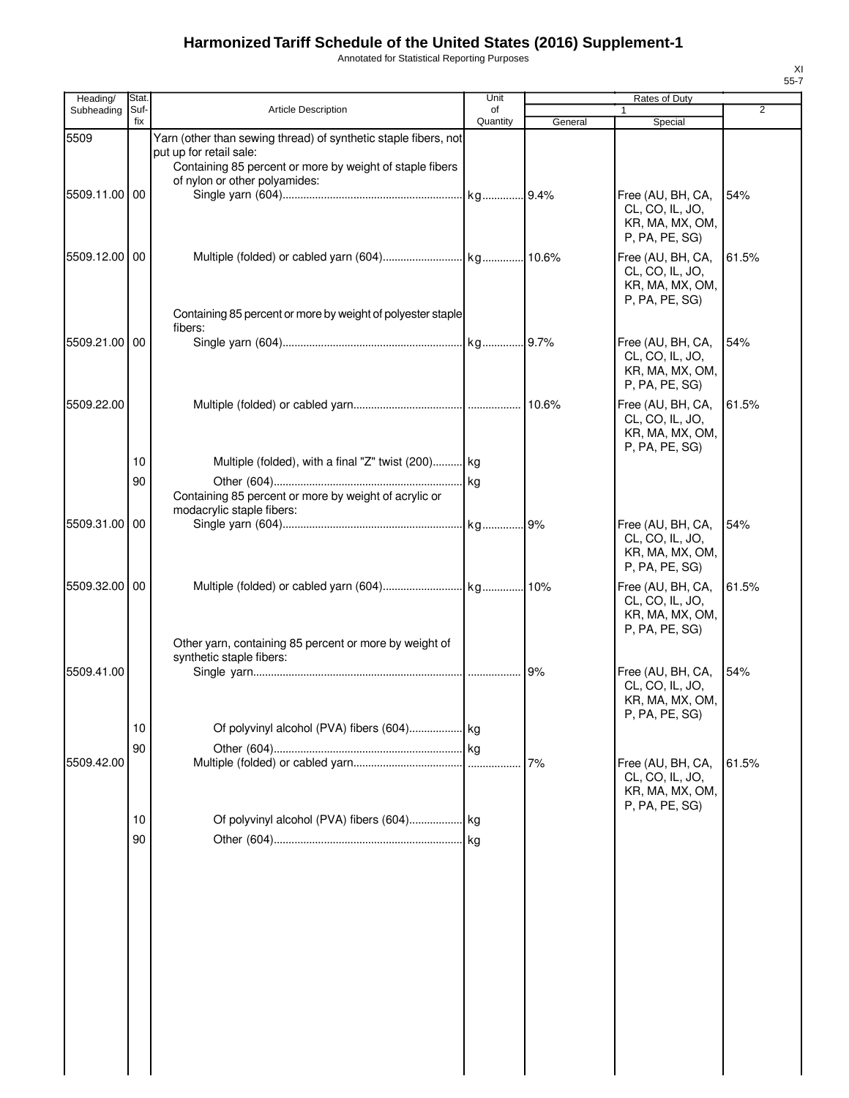Annotated for Statistical Reporting Purposes

| Heading/      | Stat.       |                                                                                           | Unit           |         | Rates of Duty                        |                |
|---------------|-------------|-------------------------------------------------------------------------------------------|----------------|---------|--------------------------------------|----------------|
| Subheading    | Suf-<br>fix | <b>Article Description</b>                                                                | of<br>Quantity | General | Special                              | $\overline{2}$ |
| 5509          |             | Yarn (other than sewing thread) of synthetic staple fibers, not                           |                |         |                                      |                |
|               |             | put up for retail sale:                                                                   |                |         |                                      |                |
|               |             | Containing 85 percent or more by weight of staple fibers<br>of nylon or other polyamides: |                |         |                                      |                |
| 5509.11.00 00 |             |                                                                                           |                |         | Free (AU, BH, CA,                    | 54%            |
|               |             |                                                                                           |                |         | CL, CO, IL, JO,                      |                |
|               |             |                                                                                           |                |         | KR, MA, MX, OM,                      |                |
|               |             |                                                                                           |                |         | P, PA, PE, SG)                       |                |
| 5509.12.00 00 |             |                                                                                           |                |         | Free (AU, BH, CA,                    | 61.5%          |
|               |             |                                                                                           |                |         | CL, CO, IL, JO,<br>KR, MA, MX, OM,   |                |
|               |             |                                                                                           |                |         | P, PA, PE, SG)                       |                |
|               |             | Containing 85 percent or more by weight of polyester staple                               |                |         |                                      |                |
| 5509.21.00 00 |             | fibers:                                                                                   |                |         | Free (AU, BH, CA,                    | 54%            |
|               |             |                                                                                           |                |         | CL, CO, IL, JO,                      |                |
|               |             |                                                                                           |                |         | KR, MA, MX, OM,                      |                |
|               |             |                                                                                           |                |         | P, PA, PE, SG)                       |                |
| 5509.22.00    |             |                                                                                           |                |         | Free (AU, BH, CA,                    | 61.5%          |
|               |             |                                                                                           |                |         | CL, CO, IL, JO,<br>KR, MA, MX, OM,   |                |
|               |             |                                                                                           |                |         | P, PA, PE, SG)                       |                |
|               | 10          | Multiple (folded), with a final "Z" twist (200) kg                                        |                |         |                                      |                |
|               | 90          |                                                                                           |                |         |                                      |                |
|               |             | Containing 85 percent or more by weight of acrylic or<br>modacrylic staple fibers:        |                |         |                                      |                |
| 5509.31.00 00 |             |                                                                                           |                |         | Free (AU, BH, CA,                    | 54%            |
|               |             |                                                                                           |                |         | CL, CO, IL, JO,                      |                |
|               |             |                                                                                           |                |         | KR, MA, MX, OM,                      |                |
|               |             |                                                                                           |                |         | P, PA, PE, SG)                       |                |
| 5509.32.00 00 |             |                                                                                           |                |         | Free (AU, BH, CA,<br>CL, CO, IL, JO, | 61.5%          |
|               |             |                                                                                           |                |         | KR, MA, MX, OM,                      |                |
|               |             |                                                                                           |                |         | P, PA, PE, SG)                       |                |
|               |             | Other yarn, containing 85 percent or more by weight of<br>synthetic staple fibers:        |                |         |                                      |                |
| 5509.41.00    |             |                                                                                           |                |         | Free (AU, BH, CA,                    | 54%            |
|               |             |                                                                                           |                |         | CL, CO, IL, JO,                      |                |
|               |             |                                                                                           |                |         | KR, MA, MX, OM,<br>P, PA, PE, SG)    |                |
|               | 10          |                                                                                           |                |         |                                      |                |
|               | 90          |                                                                                           |                |         |                                      |                |
| 5509.42.00    |             |                                                                                           |                | 7%      | Free (AU, BH, CA,                    | 61.5%          |
|               |             |                                                                                           |                |         | CL, CO, IL, JO,<br>KR, MA, MX, OM,   |                |
|               |             |                                                                                           |                |         | P, PA, PE, SG)                       |                |
|               | 10          |                                                                                           |                |         |                                      |                |
|               | 90          |                                                                                           |                |         |                                      |                |
|               |             |                                                                                           |                |         |                                      |                |
|               |             |                                                                                           |                |         |                                      |                |
|               |             |                                                                                           |                |         |                                      |                |
|               |             |                                                                                           |                |         |                                      |                |
|               |             |                                                                                           |                |         |                                      |                |
|               |             |                                                                                           |                |         |                                      |                |
|               |             |                                                                                           |                |         |                                      |                |
|               |             |                                                                                           |                |         |                                      |                |
|               |             |                                                                                           |                |         |                                      |                |
|               |             |                                                                                           |                |         |                                      |                |
|               |             |                                                                                           |                |         |                                      |                |
|               |             |                                                                                           |                |         |                                      |                |
|               |             |                                                                                           |                |         |                                      |                |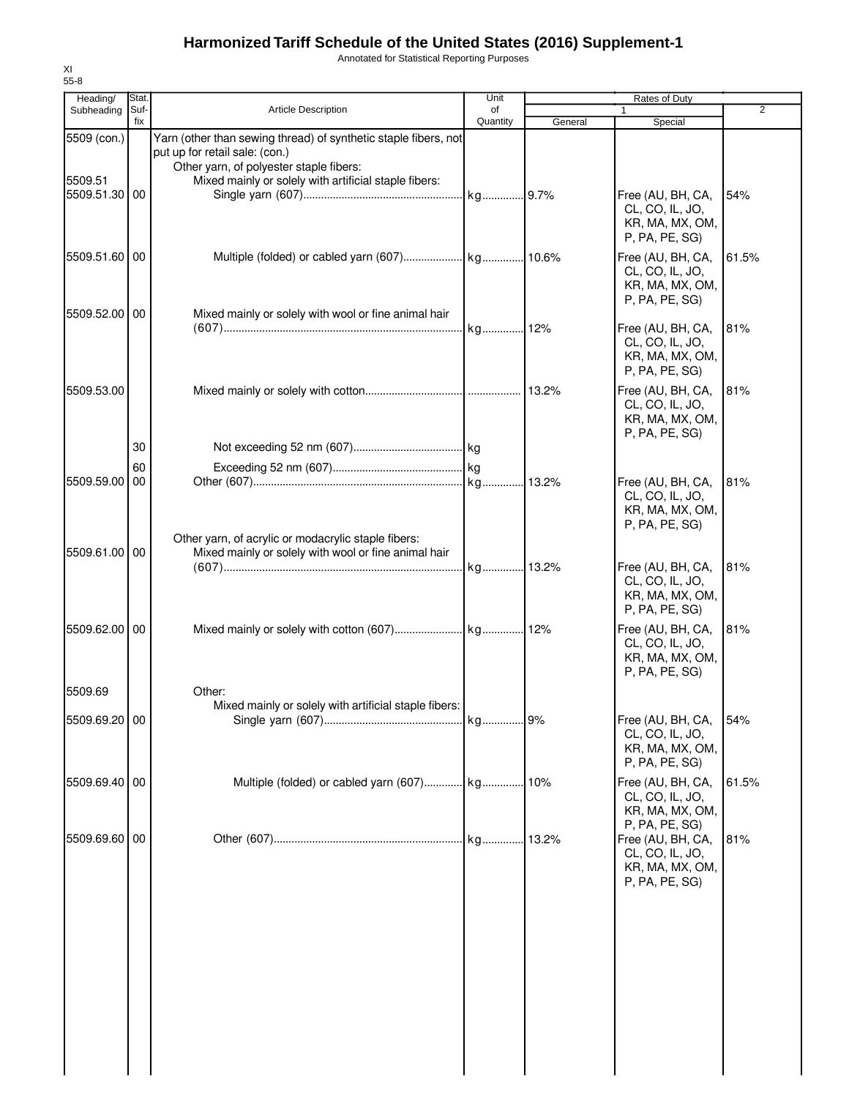Annotated for Statistical Reporting Purposes

| Heading/                 | Stat        |                                                                                                                                              | Unit           |         | Rates of Duty                                                             |       |
|--------------------------|-------------|----------------------------------------------------------------------------------------------------------------------------------------------|----------------|---------|---------------------------------------------------------------------------|-------|
| Subheading               | Suf-<br>fix | <b>Article Description</b>                                                                                                                   | of<br>Quantity | General | 1<br>Special                                                              | 2     |
| 5509 (con.)              |             | Yarn (other than sewing thread) of synthetic staple fibers, not<br>put up for retail sale: (con.)<br>Other yarn, of polyester staple fibers: |                |         |                                                                           |       |
| 5509.51<br>5509.51.30 00 |             | Mixed mainly or solely with artificial staple fibers:                                                                                        |                |         | Free (AU, BH, CA,<br>CL, CO, IL, JO,<br>KR, MA, MX, OM,<br>P, PA, PE, SG) | 54%   |
| 5509.51.60 00            |             |                                                                                                                                              |                |         | Free (AU, BH, CA,<br>CL, CO, IL, JO,<br>KR, MA, MX, OM,<br>P, PA, PE, SG) | 61.5% |
| 5509.52.00 00            |             | Mixed mainly or solely with wool or fine animal hair                                                                                         |                |         | Free (AU, BH, CA,<br>CL, CO, IL, JO,<br>KR, MA, MX, OM,<br>P, PA, PE, SG) | 81%   |
| 5509.53.00               |             |                                                                                                                                              |                |         | Free (AU, BH, CA,<br>CL, CO, IL, JO,<br>KR, MA, MX, OM,<br>P, PA, PE, SG) | 81%   |
|                          | 30          |                                                                                                                                              |                |         |                                                                           |       |
|                          | 60          |                                                                                                                                              |                |         |                                                                           |       |
| 5509.59.00               | 00          |                                                                                                                                              |                |         | Free (AU, BH, CA,<br>CL, CO, IL, JO,<br>KR, MA, MX, OM,<br>P, PA, PE, SG) | 81%   |
| 5509.61.00 00            |             | Other yarn, of acrylic or modacrylic staple fibers:<br>Mixed mainly or solely with wool or fine animal hair                                  |                |         | Free (AU, BH, CA,<br>CL, CO, IL, JO,<br>KR, MA, MX, OM,<br>P, PA, PE, SG) | 81%   |
| 5509.62.00 00            |             |                                                                                                                                              |                |         | Free (AU, BH, CA,<br>CL, CO, IL, JO,<br>KR, MA, MX, OM,<br>P, PA, PE, SG) | 81%   |
| 5509.69                  |             | Other:                                                                                                                                       |                |         |                                                                           |       |
| 5509.69.20 00            |             | Mixed mainly or solely with artificial staple fibers:                                                                                        |                | .9%     | Free (AU, BH, CA,<br>CL, CO, IL, JO,<br>KR, MA, MX, OM,                   | 54%   |
|                          |             |                                                                                                                                              |                |         | P, PA, PE, SG)                                                            |       |
| 5509.69.40               | 00          |                                                                                                                                              |                |         | Free (AU, BH, CA,<br>CL, CO, IL, JO,<br>KR, MA, MX, OM,<br>P, PA, PE, SG) | 61.5% |
| 5509.69.60               | 00          |                                                                                                                                              |                |         | Free (AU, BH, CA,<br>CL, CO, IL, JO,<br>KR, MA, MX, OM,<br>P, PA, PE, SG) | 81%   |
|                          |             |                                                                                                                                              |                |         |                                                                           |       |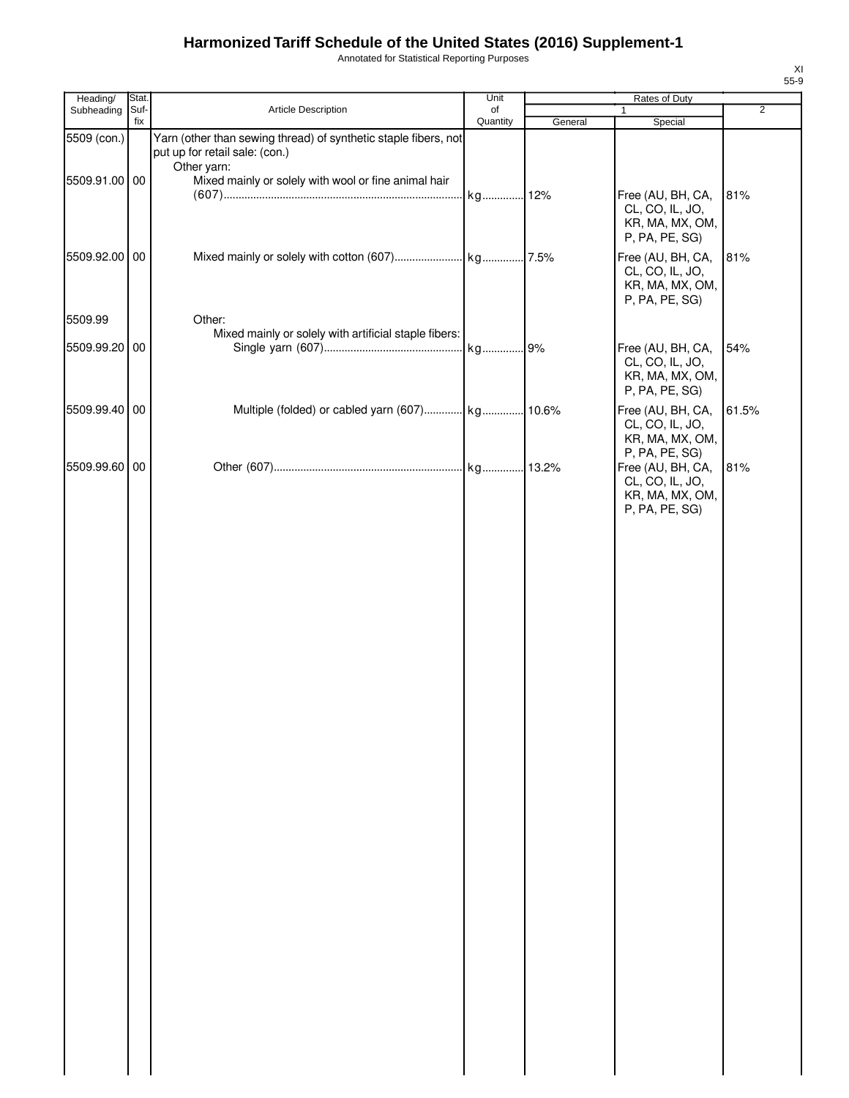Annotated for Statistical Reporting Purposes

| Article Description<br>$\overline{2}$<br>Subheading<br>Suf-<br>of<br>1<br>fix<br>Quantity<br>General<br>Special<br>Yarn (other than sewing thread) of synthetic staple fibers, not<br>5509 (con.)<br>put up for retail sale: (con.)<br>Other yarn:<br>Mixed mainly or solely with wool or fine animal hair<br>5509.91.00 00<br>kg 12%<br>Free (AU, BH, CA,<br>81%<br>CL, CO, IL, JO,<br>KR, MA, MX, OM,<br>P, PA, PE, SG)<br>Free (AU, BH, CA,<br>5509.92.00 00<br>81%<br>CL, CO, IL, JO,<br>KR, MA, MX, OM,<br>P, PA, PE, SG)<br>5509.99<br>Other:<br>Mixed mainly or solely with artificial staple fibers:<br>Free (AU, BH, CA,<br>54%<br>5509.99.20<br>00<br>CL, CO, IL, JO,<br>KR, MA, MX, OM,<br>P, PA, PE, SG)<br>Multiple (folded) or cabled yarn (607) kg 10.6%<br>5509.99.40 00<br>Free (AU, BH, CA,<br>61.5%<br>CL, CO, IL, JO,<br>KR, MA, MX, OM,<br>P, PA, PE, SG)<br>5509.99.60 00<br>Free (AU, BH, CA,<br>81%<br>CL, CO, IL, JO,<br>KR, MA, MX, OM,<br>P, PA, PE, SG) | Heading/ | Stat | Unit | Rates of Duty |  |
|-------------------------------------------------------------------------------------------------------------------------------------------------------------------------------------------------------------------------------------------------------------------------------------------------------------------------------------------------------------------------------------------------------------------------------------------------------------------------------------------------------------------------------------------------------------------------------------------------------------------------------------------------------------------------------------------------------------------------------------------------------------------------------------------------------------------------------------------------------------------------------------------------------------------------------------------------------------------------------------|----------|------|------|---------------|--|
|                                                                                                                                                                                                                                                                                                                                                                                                                                                                                                                                                                                                                                                                                                                                                                                                                                                                                                                                                                                     |          |      |      |               |  |
|                                                                                                                                                                                                                                                                                                                                                                                                                                                                                                                                                                                                                                                                                                                                                                                                                                                                                                                                                                                     |          |      |      |               |  |
|                                                                                                                                                                                                                                                                                                                                                                                                                                                                                                                                                                                                                                                                                                                                                                                                                                                                                                                                                                                     |          |      |      |               |  |
|                                                                                                                                                                                                                                                                                                                                                                                                                                                                                                                                                                                                                                                                                                                                                                                                                                                                                                                                                                                     |          |      |      |               |  |
|                                                                                                                                                                                                                                                                                                                                                                                                                                                                                                                                                                                                                                                                                                                                                                                                                                                                                                                                                                                     |          |      |      |               |  |
|                                                                                                                                                                                                                                                                                                                                                                                                                                                                                                                                                                                                                                                                                                                                                                                                                                                                                                                                                                                     |          |      |      |               |  |
|                                                                                                                                                                                                                                                                                                                                                                                                                                                                                                                                                                                                                                                                                                                                                                                                                                                                                                                                                                                     |          |      |      |               |  |
|                                                                                                                                                                                                                                                                                                                                                                                                                                                                                                                                                                                                                                                                                                                                                                                                                                                                                                                                                                                     |          |      |      |               |  |
|                                                                                                                                                                                                                                                                                                                                                                                                                                                                                                                                                                                                                                                                                                                                                                                                                                                                                                                                                                                     |          |      |      |               |  |
|                                                                                                                                                                                                                                                                                                                                                                                                                                                                                                                                                                                                                                                                                                                                                                                                                                                                                                                                                                                     |          |      |      |               |  |
|                                                                                                                                                                                                                                                                                                                                                                                                                                                                                                                                                                                                                                                                                                                                                                                                                                                                                                                                                                                     |          |      |      |               |  |
|                                                                                                                                                                                                                                                                                                                                                                                                                                                                                                                                                                                                                                                                                                                                                                                                                                                                                                                                                                                     |          |      |      |               |  |
|                                                                                                                                                                                                                                                                                                                                                                                                                                                                                                                                                                                                                                                                                                                                                                                                                                                                                                                                                                                     |          |      |      |               |  |
|                                                                                                                                                                                                                                                                                                                                                                                                                                                                                                                                                                                                                                                                                                                                                                                                                                                                                                                                                                                     |          |      |      |               |  |
|                                                                                                                                                                                                                                                                                                                                                                                                                                                                                                                                                                                                                                                                                                                                                                                                                                                                                                                                                                                     |          |      |      |               |  |
|                                                                                                                                                                                                                                                                                                                                                                                                                                                                                                                                                                                                                                                                                                                                                                                                                                                                                                                                                                                     |          |      |      |               |  |
|                                                                                                                                                                                                                                                                                                                                                                                                                                                                                                                                                                                                                                                                                                                                                                                                                                                                                                                                                                                     |          |      |      |               |  |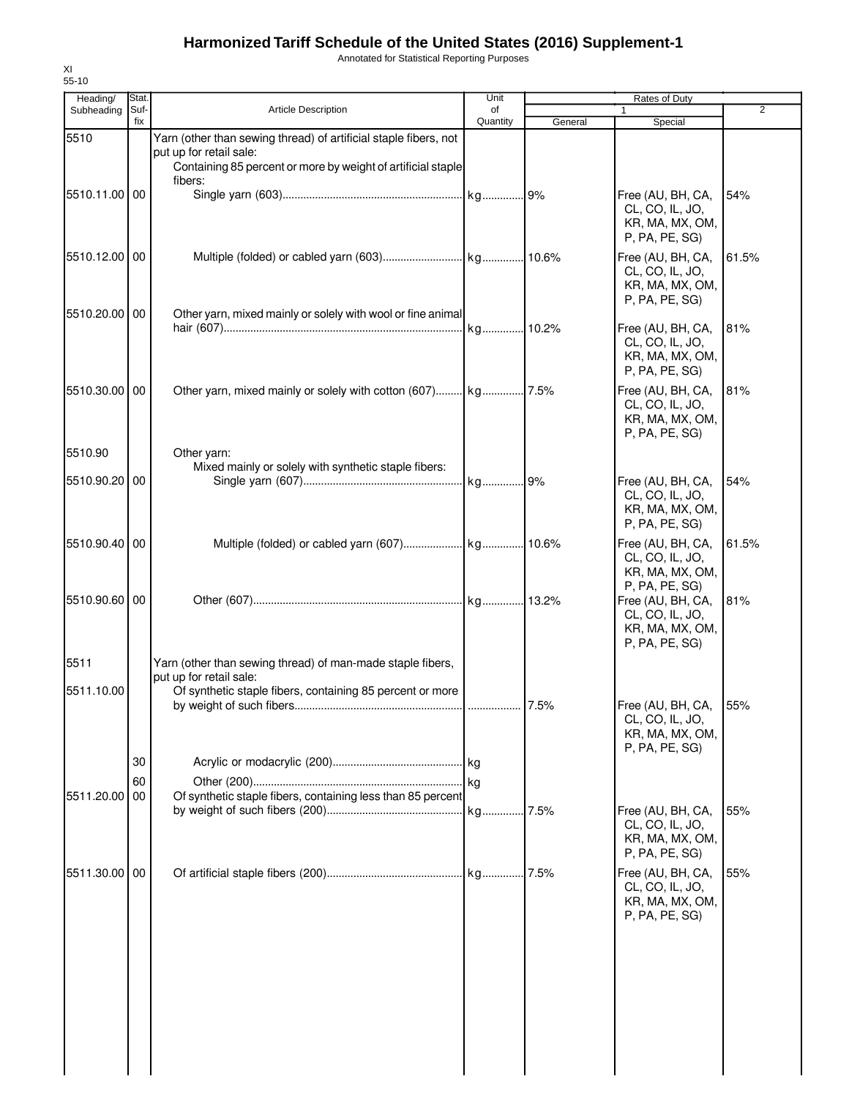Annotated for Statistical Reporting Purposes

| Heading/      | Stat.       |                                                                                                    | Unit           |         | Rates of Duty                                                                               |                |
|---------------|-------------|----------------------------------------------------------------------------------------------------|----------------|---------|---------------------------------------------------------------------------------------------|----------------|
| Subheading    | Suf-<br>fix | <b>Article Description</b>                                                                         | of<br>Quantity | General | Special                                                                                     | $\overline{2}$ |
| 5510          |             | Yarn (other than sewing thread) of artificial staple fibers, not                                   |                |         |                                                                                             |                |
|               |             | put up for retail sale:<br>Containing 85 percent or more by weight of artificial staple<br>fibers: |                |         |                                                                                             |                |
| 5510.11.00 00 |             |                                                                                                    |                |         | Free (AU, BH, CA,<br>CL, CO, IL, JO,<br>KR, MA, MX, OM,<br>P, PA, PE, SG)                   | 54%            |
| 5510.12.00 00 |             |                                                                                                    |                |         | Free (AU, BH, CA,<br>CL, CO, IL, JO,<br>KR, MA, MX, OM,                                     | 61.5%          |
| 5510.20.00 00 |             | Other yarn, mixed mainly or solely with wool or fine animal                                        |                |         | P, PA, PE, SG)<br>Free (AU, BH, CA,                                                         | 81%            |
|               |             |                                                                                                    |                |         | CL, CO, IL, JO,<br>KR, MA, MX, OM,<br>P, PA, PE, SG)                                        |                |
| 5510.30.00 00 |             |                                                                                                    |                |         | Free (AU, BH, CA,<br>CL, CO, IL, JO,<br>KR, MA, MX, OM,<br>P, PA, PE, SG)                   | 81%            |
| 5510.90       |             | Other yarn:                                                                                        |                |         |                                                                                             |                |
| 5510.90.20 00 |             | Mixed mainly or solely with synthetic staple fibers:                                               |                |         |                                                                                             |                |
|               |             |                                                                                                    |                |         | Free (AU, BH, CA,<br>CL, CO, IL, JO,<br>KR, MA, MX, OM,<br>P, PA, PE, SG)                   | 54%            |
| 5510.90.40 00 |             |                                                                                                    |                |         | Free (AU, BH, CA,<br>CL, CO, IL, JO,<br>KR, MA, MX, OM,                                     | 61.5%          |
| 5510.90.60 00 |             |                                                                                                    |                |         | P, PA, PE, SG)<br>Free (AU, BH, CA,<br>CL, CO, IL, JO,<br>KR, MA, MX, OM,<br>P, PA, PE, SG) | 81%            |
| 5511          |             | Yarn (other than sewing thread) of man-made staple fibers,<br>put up for retail sale:              |                |         |                                                                                             |                |
| 5511.10.00    |             | Of synthetic staple fibers, containing 85 percent or more                                          |                |         | Free (AU, BH, CA, 55%                                                                       |                |
|               |             |                                                                                                    |                |         | CL, CO, IL, JO,<br>KR, MA, MX, OM,<br>P, PA, PE, SG)                                        |                |
|               | 30          |                                                                                                    |                |         |                                                                                             |                |
|               | 60          |                                                                                                    |                |         |                                                                                             |                |
| 5511.20.00    | 00          | Of synthetic staple fibers, containing less than 85 percent                                        |                | .7.5%   | Free (AU, BH, CA,<br>CL, CO, IL, JO,<br>KR, MA, MX, OM,<br>P, PA, PE, SG)                   | 55%            |
| 5511.30.00 00 |             |                                                                                                    |                |         | Free (AU, BH, CA,<br>CL, CO, IL, JO,<br>KR, MA, MX, OM,<br>P, PA, PE, SG)                   | 55%            |
|               |             |                                                                                                    |                |         |                                                                                             |                |
|               |             |                                                                                                    |                |         |                                                                                             |                |
|               |             |                                                                                                    |                |         |                                                                                             |                |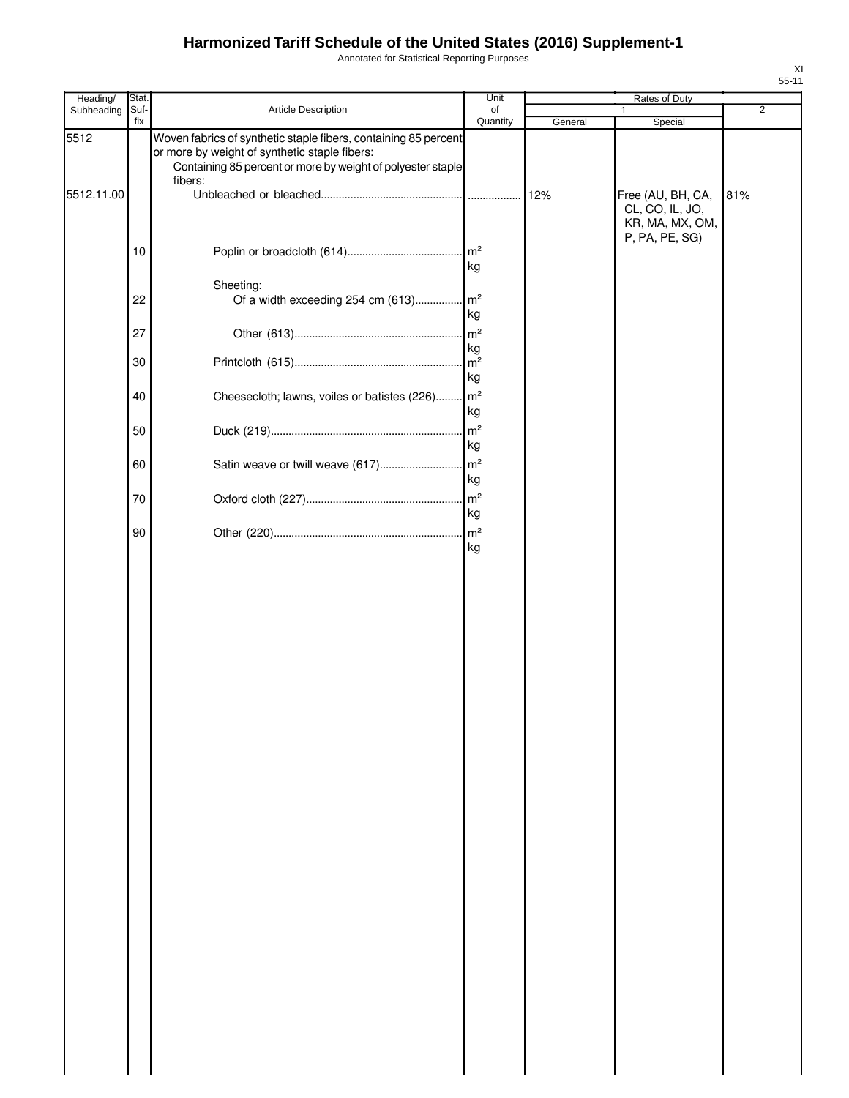Annotated for Statistical Reporting Purposes

| Heading/   | Stat.       |                                                                                                                                                                                 | Unit                 |         | Rates of Duty                                           |     |
|------------|-------------|---------------------------------------------------------------------------------------------------------------------------------------------------------------------------------|----------------------|---------|---------------------------------------------------------|-----|
| Subheading | Suf-<br>fix | Article Description                                                                                                                                                             | of<br>Quantity       | General | Special                                                 | 2   |
| 5512       |             | Woven fabrics of synthetic staple fibers, containing 85 percent<br>or more by weight of synthetic staple fibers:<br>Containing 85 percent or more by weight of polyester staple |                      |         |                                                         |     |
| 5512.11.00 |             | fibers:                                                                                                                                                                         |                      | 12%     | Free (AU, BH, CA,<br>CL, CO, IL, JO,<br>KR, MA, MX, OM, | 81% |
|            | 10          |                                                                                                                                                                                 | kg                   |         | P, PA, PE, SG)                                          |     |
|            |             | Sheeting:                                                                                                                                                                       |                      |         |                                                         |     |
|            | 22          | Of a width exceeding 254 cm (613)                                                                                                                                               | $\mathsf{m}^2$<br>kg |         |                                                         |     |
|            | 27          |                                                                                                                                                                                 | kg                   |         |                                                         |     |
|            | 30          |                                                                                                                                                                                 | kg                   |         |                                                         |     |
|            | 40          | Cheesecloth; lawns, voiles or batistes (226) m <sup>2</sup>                                                                                                                     | kg                   |         |                                                         |     |
|            | 50          |                                                                                                                                                                                 | m <sup>2</sup><br>kg |         |                                                         |     |
|            | 60          | Satin weave or twill weave (617)                                                                                                                                                | m <sup>2</sup><br>kg |         |                                                         |     |
|            | 70          |                                                                                                                                                                                 | m <sup>2</sup>       |         |                                                         |     |
|            | 90          |                                                                                                                                                                                 | kg<br>kg             |         |                                                         |     |
|            |             |                                                                                                                                                                                 |                      |         |                                                         |     |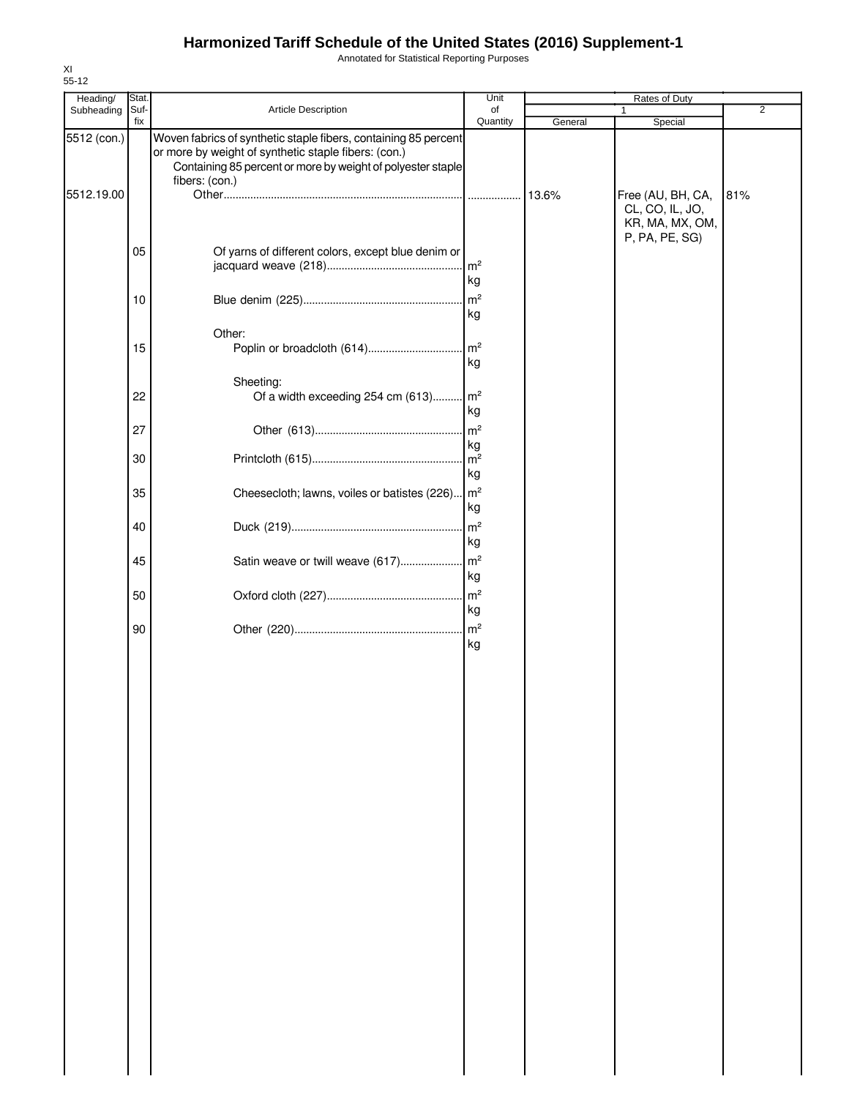Annotated for Statistical Reporting Purposes

| Heading/                  | Stat |                                                                                                                                                                                                          | Unit          |         | Rates of Duty                        |                |
|---------------------------|------|----------------------------------------------------------------------------------------------------------------------------------------------------------------------------------------------------------|---------------|---------|--------------------------------------|----------------|
| Subheading                | Suf- | Article Description                                                                                                                                                                                      | of            |         | 1                                    | $\overline{2}$ |
|                           | fix  |                                                                                                                                                                                                          | Quantity      | General | Special                              |                |
| 5512 (con.)<br>5512.19.00 |      | Woven fabrics of synthetic staple fibers, containing 85 percent<br>or more by weight of synthetic staple fibers: (con.)<br>Containing 85 percent or more by weight of polyester staple<br>fibers: (con.) |               |         | Free (AU, BH, CA,<br>CL, CO, IL, JO, | 81%            |
|                           |      |                                                                                                                                                                                                          |               |         | KR, MA, MX, OM,<br>P, PA, PE, SG)    |                |
|                           | 05   | Of yarns of different colors, except blue denim or                                                                                                                                                       | $\ln^2$<br>kg |         |                                      |                |
|                           | 10   |                                                                                                                                                                                                          | kg            |         |                                      |                |
|                           | 15   | Other:                                                                                                                                                                                                   | kg            |         |                                      |                |
|                           | 22   | Sheeting:<br>Of a width exceeding 254 cm (613) m <sup>2</sup>                                                                                                                                            | kg            |         |                                      |                |
|                           | 27   |                                                                                                                                                                                                          |               |         |                                      |                |
|                           | 30   |                                                                                                                                                                                                          | kg<br>kg      |         |                                      |                |
|                           | 35   | Cheesecloth; lawns, voiles or batistes (226) m <sup>2</sup>                                                                                                                                              | kg            |         |                                      |                |
|                           | 40   |                                                                                                                                                                                                          | kg            |         |                                      |                |
|                           | 45   |                                                                                                                                                                                                          | kg            |         |                                      |                |
|                           | 50   |                                                                                                                                                                                                          | kg            |         |                                      |                |
|                           | 90   |                                                                                                                                                                                                          | kg            |         |                                      |                |
|                           |      |                                                                                                                                                                                                          |               |         |                                      |                |
|                           |      |                                                                                                                                                                                                          |               |         |                                      |                |
|                           |      |                                                                                                                                                                                                          |               |         |                                      |                |
|                           |      |                                                                                                                                                                                                          |               |         |                                      |                |
|                           |      |                                                                                                                                                                                                          |               |         |                                      |                |
|                           |      |                                                                                                                                                                                                          |               |         |                                      |                |
|                           |      |                                                                                                                                                                                                          |               |         |                                      |                |
|                           |      |                                                                                                                                                                                                          |               |         |                                      |                |
|                           |      |                                                                                                                                                                                                          |               |         |                                      |                |
|                           |      |                                                                                                                                                                                                          |               |         |                                      |                |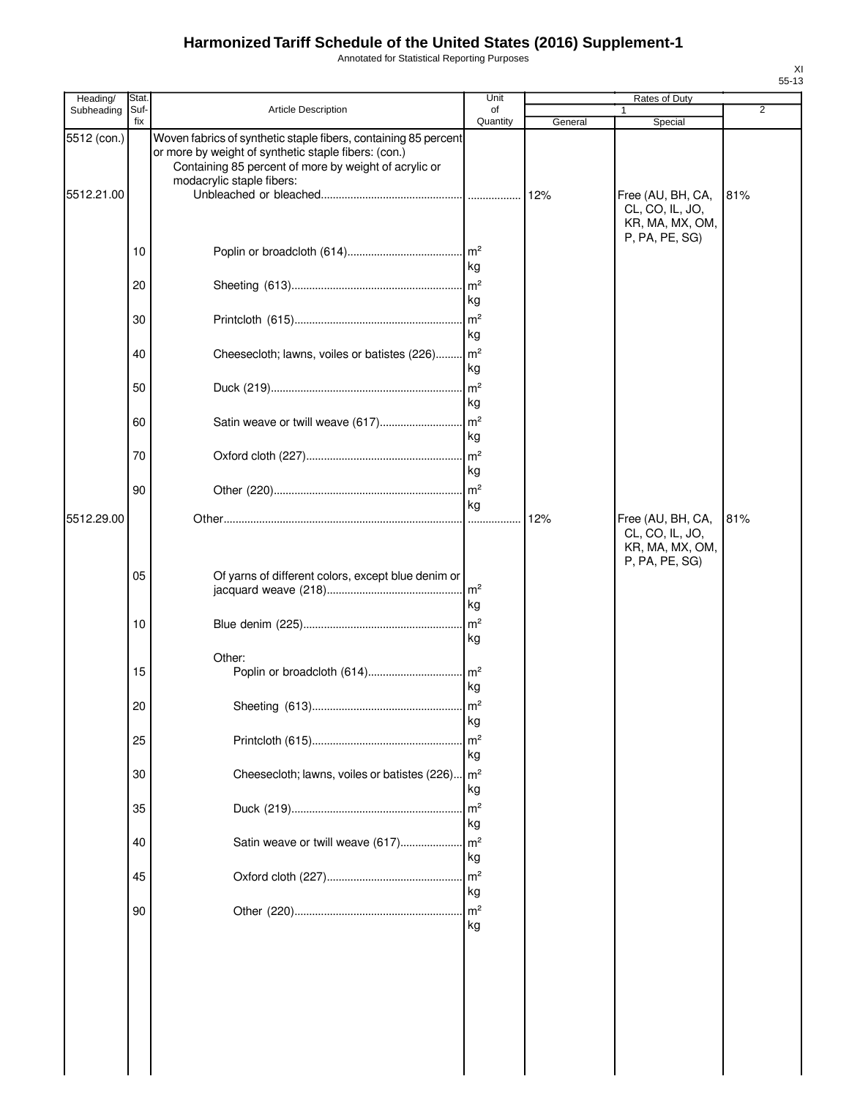Annotated for Statistical Reporting Purposes

| Heading/                  | Stat.       |                                                                                                                                                                                                               | Unit                                          |         | Rates of Duty                                           |                |
|---------------------------|-------------|---------------------------------------------------------------------------------------------------------------------------------------------------------------------------------------------------------------|-----------------------------------------------|---------|---------------------------------------------------------|----------------|
| Subheading                | Suf-<br>fix | Article Description                                                                                                                                                                                           | of<br>Quantity                                | General | Special                                                 | $\overline{2}$ |
| 5512 (con.)<br>5512.21.00 |             | Woven fabrics of synthetic staple fibers, containing 85 percent<br>or more by weight of synthetic staple fibers: (con.)<br>Containing 85 percent of more by weight of acrylic or<br>modacrylic staple fibers: |                                               |         | Free (AU, BH, CA,<br>CL, CO, IL, JO,<br>KR, MA, MX, OM, | 81%            |
|                           | 10          |                                                                                                                                                                                                               | kg                                            |         | P, PA, PE, SG)                                          |                |
|                           | 20          |                                                                                                                                                                                                               | $\mathsf{Im}^2$<br>kg                         |         |                                                         |                |
|                           | 30          |                                                                                                                                                                                                               | m <sup>2</sup><br>kg                          |         |                                                         |                |
|                           | 40          | Cheesecloth; lawns, voiles or batistes (226)                                                                                                                                                                  | $\mathsf{Im}^2$<br>kg                         |         |                                                         |                |
|                           | 50          |                                                                                                                                                                                                               | $\mathsf{Im}^2$<br>kg                         |         |                                                         |                |
|                           | 60          |                                                                                                                                                                                                               | kg                                            |         |                                                         |                |
|                           | 70          |                                                                                                                                                                                                               | kg                                            |         |                                                         |                |
| 5512.29.00                | 90          |                                                                                                                                                                                                               | $\mathsf{Im}^2$<br>kg                         | 12%     | Free (AU, BH, CA,                                       | 81%            |
|                           | 05<br>10    | Of yarns of different colors, except blue denim or                                                                                                                                                            | $\mathsf{Im}^2$<br>kg<br>m <sup>2</sup><br>kg |         | CL, CO, IL, JO,<br>KR, MA, MX, OM,<br>P, PA, PE, SG)    |                |
|                           | 15          | Other:<br>Poplin or broadcloth (614)                                                                                                                                                                          | $\mathsf{Im}^2$<br>kg                         |         |                                                         |                |
|                           | 20          |                                                                                                                                                                                                               | m <sup>2</sup><br>kg                          |         |                                                         |                |
|                           | 25          |                                                                                                                                                                                                               | m <sup>2</sup><br>kg                          |         |                                                         |                |
|                           | 30          | Cheesecloth; lawns, voiles or batistes (226).                                                                                                                                                                 | m <sup>2</sup><br>kg                          |         |                                                         |                |
|                           | 35          |                                                                                                                                                                                                               | m <sup>2</sup><br>kg                          |         |                                                         |                |
|                           | 40          | Satin weave or twill weave (617)                                                                                                                                                                              | m <sup>2</sup><br>kg                          |         |                                                         |                |
|                           | 45          |                                                                                                                                                                                                               | m <sup>2</sup><br>kg                          |         |                                                         |                |
|                           | 90          |                                                                                                                                                                                                               | m <sup>2</sup><br>kg                          |         |                                                         |                |
|                           |             |                                                                                                                                                                                                               |                                               |         |                                                         |                |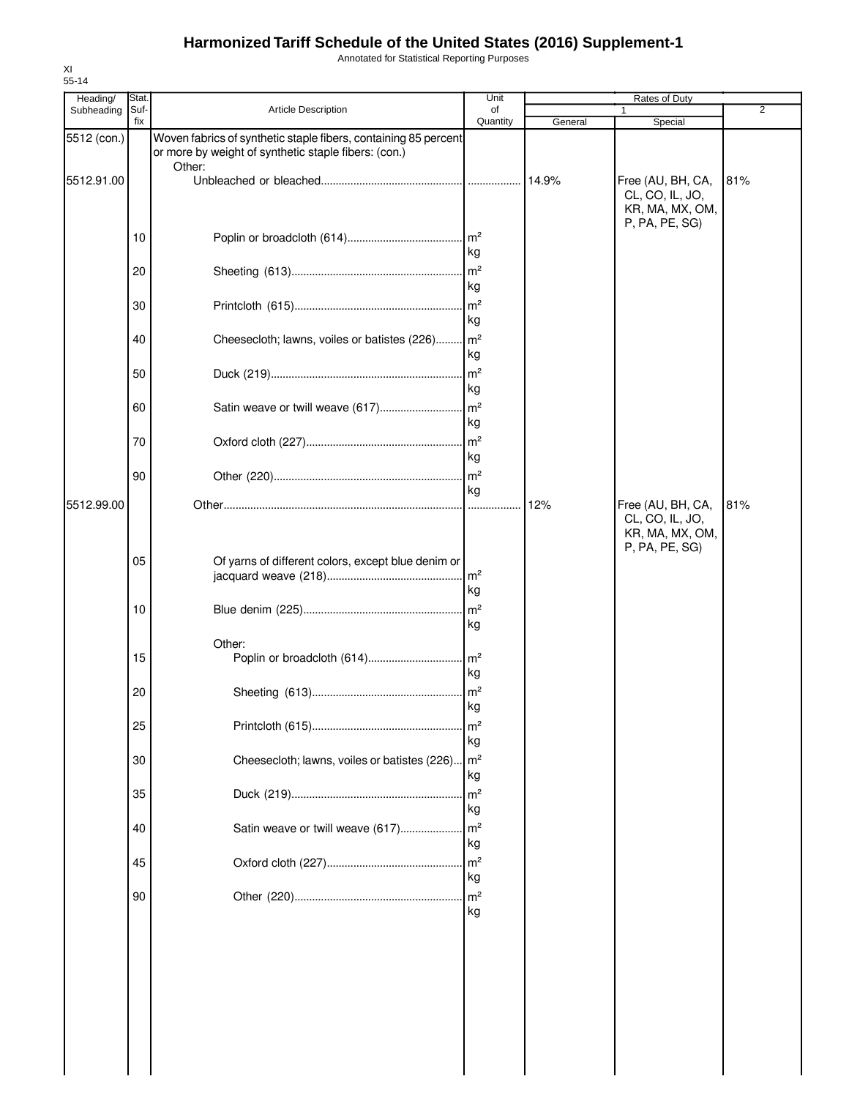Annotated for Statistical Reporting Purposes

| Heading/    | Stat.       |                                                                                                                         | Unit                      |         | Rates of Duty                                                             |     |
|-------------|-------------|-------------------------------------------------------------------------------------------------------------------------|---------------------------|---------|---------------------------------------------------------------------------|-----|
| Subheading  | Suf-<br>fix | Article Description                                                                                                     | of<br>Quantity            | General | Special                                                                   | 2   |
| 5512 (con.) |             | Woven fabrics of synthetic staple fibers, containing 85 percent<br>or more by weight of synthetic staple fibers: (con.) |                           |         |                                                                           |     |
| 5512.91.00  |             | Other:                                                                                                                  |                           | 14.9%   | Free (AU, BH, CA,<br>CL, CO, IL, JO,<br>KR, MA, MX, OM,<br>P, PA, PE, SG) | 81% |
|             | 10          |                                                                                                                         | kg                        |         |                                                                           |     |
|             | 20          |                                                                                                                         | $\mathsf{Im}^2$<br>kg     |         |                                                                           |     |
|             | 30          |                                                                                                                         | m <sup>2</sup><br>kg      |         |                                                                           |     |
|             | 40          | Cheesecloth; lawns, voiles or batistes (226)                                                                            | $\mathsf{Im}^2$<br>kg     |         |                                                                           |     |
|             | 50          |                                                                                                                         | $\mathsf{Im}^2$<br>kg     |         |                                                                           |     |
|             | 60          | Satin weave or twill weave (617)                                                                                        | $\mathsf{Im}^2$<br>kg     |         |                                                                           |     |
|             | 70          |                                                                                                                         | $\mathsf{m}^2$<br>kg      |         |                                                                           |     |
| 5512.99.00  | 90          |                                                                                                                         | m <sup>2</sup><br>kg<br>. | 12%     | Free (AU, BH, CA,                                                         | 81% |
|             | 05          | Of yarns of different colors, except blue denim or                                                                      | m <sup>2</sup><br>kg      |         | CL, CO, IL, JO,<br>KR, MA, MX, OM,<br>P, PA, PE, SG)                      |     |
|             | 10          |                                                                                                                         | m <sup>2</sup><br>kg      |         |                                                                           |     |
|             | 15          | Other:<br>Poplin or broadcloth (614)                                                                                    | $\mathsf{Im}^2$<br>kg     |         |                                                                           |     |
|             | 20          |                                                                                                                         | $\mathsf{m}^2$<br>kg      |         |                                                                           |     |
|             | 25          |                                                                                                                         | m <sup>2</sup><br>kg      |         |                                                                           |     |
|             | 30          | Cheesecloth; lawns, voiles or batistes (226)                                                                            | $\mathsf{Im}^2$<br>kg     |         |                                                                           |     |
|             | 35          |                                                                                                                         | m <sup>2</sup><br>kg      |         |                                                                           |     |
|             | 40          | Satin weave or twill weave (617)                                                                                        | m <sup>2</sup><br>kg      |         |                                                                           |     |
|             | 45          |                                                                                                                         | m <sup>2</sup><br>kg      |         |                                                                           |     |
|             | 90          |                                                                                                                         | m <sup>2</sup><br>kg      |         |                                                                           |     |
|             |             |                                                                                                                         |                           |         |                                                                           |     |
|             |             |                                                                                                                         |                           |         |                                                                           |     |
|             |             |                                                                                                                         |                           |         |                                                                           |     |
|             |             |                                                                                                                         |                           |         |                                                                           |     |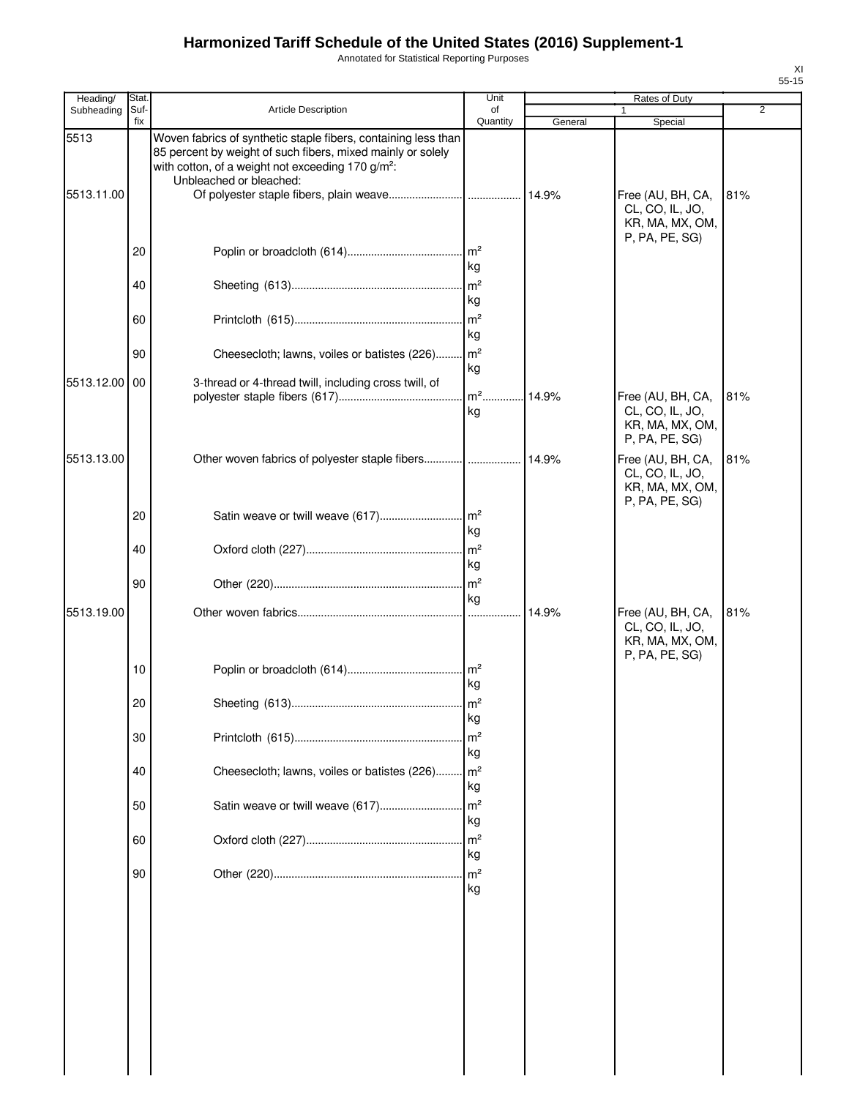Annotated for Statistical Reporting Purposes

| Heading/   | <b>Stat</b> |                                                                                                                                                                                                | Unit                  |         | Rates of Duty                                                             |     |
|------------|-------------|------------------------------------------------------------------------------------------------------------------------------------------------------------------------------------------------|-----------------------|---------|---------------------------------------------------------------------------|-----|
| Subheading | Suf-<br>fix | <b>Article Description</b>                                                                                                                                                                     | of<br>Quantity        | General | 1<br>Special                                                              | 2   |
| 5513       |             | Woven fabrics of synthetic staple fibers, containing less than<br>85 percent by weight of such fibers, mixed mainly or solely<br>with cotton, of a weight not exceeding 170 g/m <sup>2</sup> : |                       |         |                                                                           |     |
| 5513.11.00 |             | Unbleached or bleached:                                                                                                                                                                        |                       |         | Free (AU, BH, CA,<br>CL, CO, IL, JO,<br>KR, MA, MX, OM,                   | 81% |
|            | 20          |                                                                                                                                                                                                | kg                    |         | P, PA, PE, SG)                                                            |     |
|            | 40          |                                                                                                                                                                                                | $\mathsf{Im}^2$<br>kg |         |                                                                           |     |
|            | 60          |                                                                                                                                                                                                | kg                    |         |                                                                           |     |
|            | 90          | Cheesecloth; lawns, voiles or batistes (226)                                                                                                                                                   | m <sup>2</sup><br>kg  |         |                                                                           |     |
| 5513.12.00 | 00          | 3-thread or 4-thread twill, including cross twill, of                                                                                                                                          | $m2$ .<br>kg          | 14.9%   | Free (AU, BH, CA,<br>CL, CO, IL, JO,                                      | 81% |
|            |             |                                                                                                                                                                                                |                       |         | KR, MA, MX, OM,<br>P, PA, PE, SG)                                         |     |
| 5513.13.00 |             | Other woven fabrics of polyester staple fibers                                                                                                                                                 |                       | 14.9%   | Free (AU, BH, CA,<br>CL, CO, IL, JO,<br>KR, MA, MX, OM,<br>P, PA, PE, SG) | 81% |
|            | 20          |                                                                                                                                                                                                | kg                    |         |                                                                           |     |
|            | 40          |                                                                                                                                                                                                | m <sup>2</sup><br>kg  |         |                                                                           |     |
|            | 90          |                                                                                                                                                                                                | kg                    |         |                                                                           |     |
| 5513.19.00 |             |                                                                                                                                                                                                |                       | 14.9%   | Free (AU, BH, CA,<br>CL, CO, IL, JO,<br>KR, MA, MX, OM,<br>P, PA, PE, SG) | 81% |
|            | 10          |                                                                                                                                                                                                | kg                    |         |                                                                           |     |
|            | 20          |                                                                                                                                                                                                | kg                    |         |                                                                           |     |
|            | 30          |                                                                                                                                                                                                | m <sup>2</sup><br>kg  |         |                                                                           |     |
|            | 40          | Cheesecloth; lawns, voiles or batistes (226)                                                                                                                                                   | m <sup>2</sup><br>kg  |         |                                                                           |     |
|            | 50          | Satin weave or twill weave (617)                                                                                                                                                               | m <sup>2</sup><br>kg  |         |                                                                           |     |
|            | 60          |                                                                                                                                                                                                | m <sup>2</sup><br>kg  |         |                                                                           |     |
|            | 90          |                                                                                                                                                                                                | $\mathsf{Im}^2$<br>kg |         |                                                                           |     |
|            |             |                                                                                                                                                                                                |                       |         |                                                                           |     |
|            |             |                                                                                                                                                                                                |                       |         |                                                                           |     |
|            |             |                                                                                                                                                                                                |                       |         |                                                                           |     |
|            |             |                                                                                                                                                                                                |                       |         |                                                                           |     |
|            |             |                                                                                                                                                                                                |                       |         |                                                                           |     |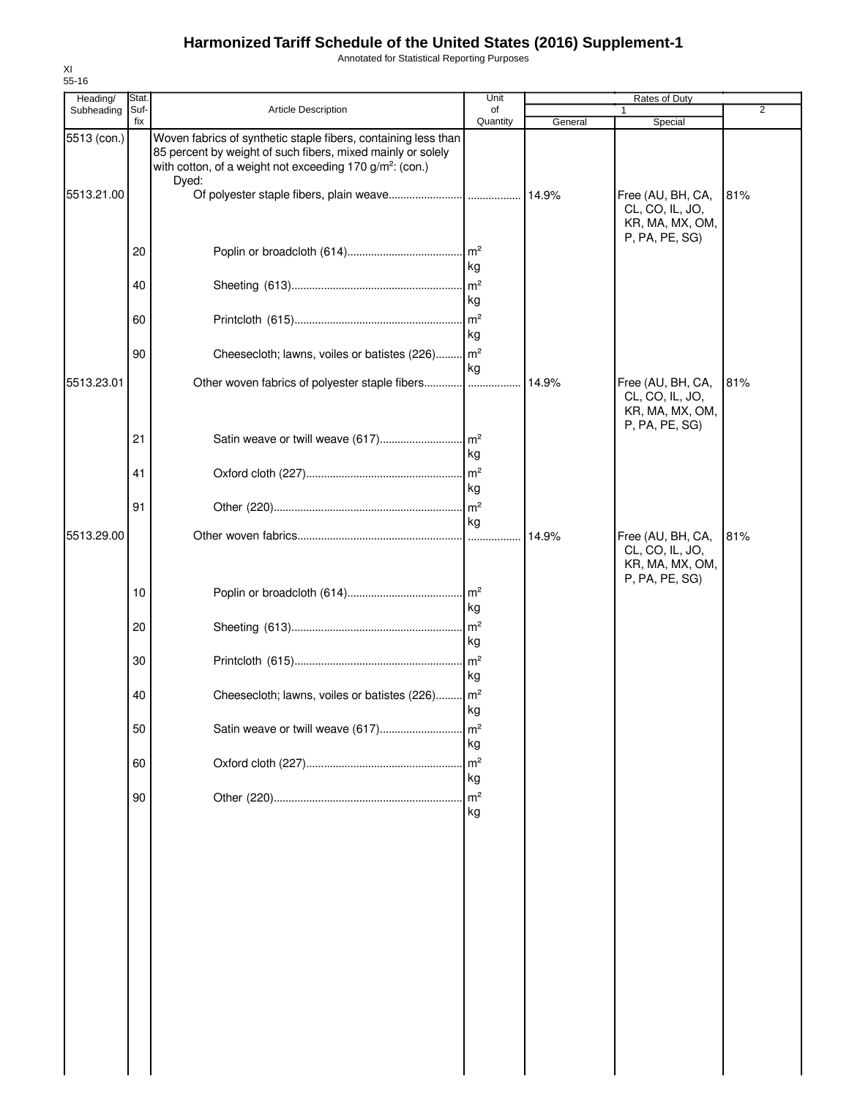Annotated for Statistical Reporting Purposes

| Heading/                  | Stat        |                                                                                                                                                                                                                | Unit                  |         | Rates of Duty                                                             |                |
|---------------------------|-------------|----------------------------------------------------------------------------------------------------------------------------------------------------------------------------------------------------------------|-----------------------|---------|---------------------------------------------------------------------------|----------------|
| Subheading                | Suf-<br>fix | <b>Article Description</b>                                                                                                                                                                                     | of<br>Quantity        | General | 1<br>Special                                                              | $\overline{2}$ |
| 5513 (con.)<br>5513.21.00 |             | Woven fabrics of synthetic staple fibers, containing less than<br>85 percent by weight of such fibers, mixed mainly or solely<br>with cotton, of a weight not exceeding 170 g/m <sup>2</sup> : (con.)<br>Dyed: |                       |         | Free (AU, BH, CA,                                                         | 81%            |
|                           | 20          |                                                                                                                                                                                                                |                       |         | CL, CO, IL, JO,<br>KR, MA, MX, OM,<br>P, PA, PE, SG)                      |                |
|                           |             |                                                                                                                                                                                                                | kg                    |         |                                                                           |                |
|                           | 40          |                                                                                                                                                                                                                | kg                    |         |                                                                           |                |
|                           | 60          |                                                                                                                                                                                                                | kg                    |         |                                                                           |                |
|                           | 90          | Cheesecloth; lawns, voiles or batistes (226) m <sup>2</sup>                                                                                                                                                    | kg                    |         |                                                                           |                |
| 5513.23.01                |             | Other woven fabrics of polyester staple fibers                                                                                                                                                                 |                       | 14.9%   | Free (AU, BH, CA,<br>CL, CO, IL, JO,<br>KR, MA, MX, OM,<br>P, PA, PE, SG) | 81%            |
|                           | 21          |                                                                                                                                                                                                                | kg                    |         |                                                                           |                |
|                           | 41          |                                                                                                                                                                                                                | kg                    |         |                                                                           |                |
|                           | 91          |                                                                                                                                                                                                                | kg                    |         |                                                                           |                |
| 5513.29.00                |             |                                                                                                                                                                                                                |                       | 14.9%   | Free (AU, BH, CA,<br>CL, CO, IL, JO,<br>KR, MA, MX, OM,<br>P, PA, PE, SG) | 81%            |
|                           | 10          |                                                                                                                                                                                                                | l kg                  |         |                                                                           |                |
|                           | 20          |                                                                                                                                                                                                                | kg                    |         |                                                                           |                |
|                           | 30          |                                                                                                                                                                                                                | kg                    |         |                                                                           |                |
|                           | 40          | Cheesecloth; lawns, voiles or batistes (226) m <sup>2</sup>                                                                                                                                                    | kg                    |         |                                                                           |                |
|                           | 50          | Satin weave or twill weave (617)                                                                                                                                                                               | $\mathsf{Im}^2$<br>kg |         |                                                                           |                |
|                           | 60          |                                                                                                                                                                                                                | m <sup>2</sup><br>kg  |         |                                                                           |                |
|                           | 90          |                                                                                                                                                                                                                | m <sup>2</sup><br>kg  |         |                                                                           |                |
|                           |             |                                                                                                                                                                                                                |                       |         |                                                                           |                |
|                           |             |                                                                                                                                                                                                                |                       |         |                                                                           |                |
|                           |             |                                                                                                                                                                                                                |                       |         |                                                                           |                |
|                           |             |                                                                                                                                                                                                                |                       |         |                                                                           |                |
|                           |             |                                                                                                                                                                                                                |                       |         |                                                                           |                |
|                           |             |                                                                                                                                                                                                                |                       |         |                                                                           |                |
|                           |             |                                                                                                                                                                                                                |                       |         |                                                                           |                |
|                           |             |                                                                                                                                                                                                                |                       |         |                                                                           |                |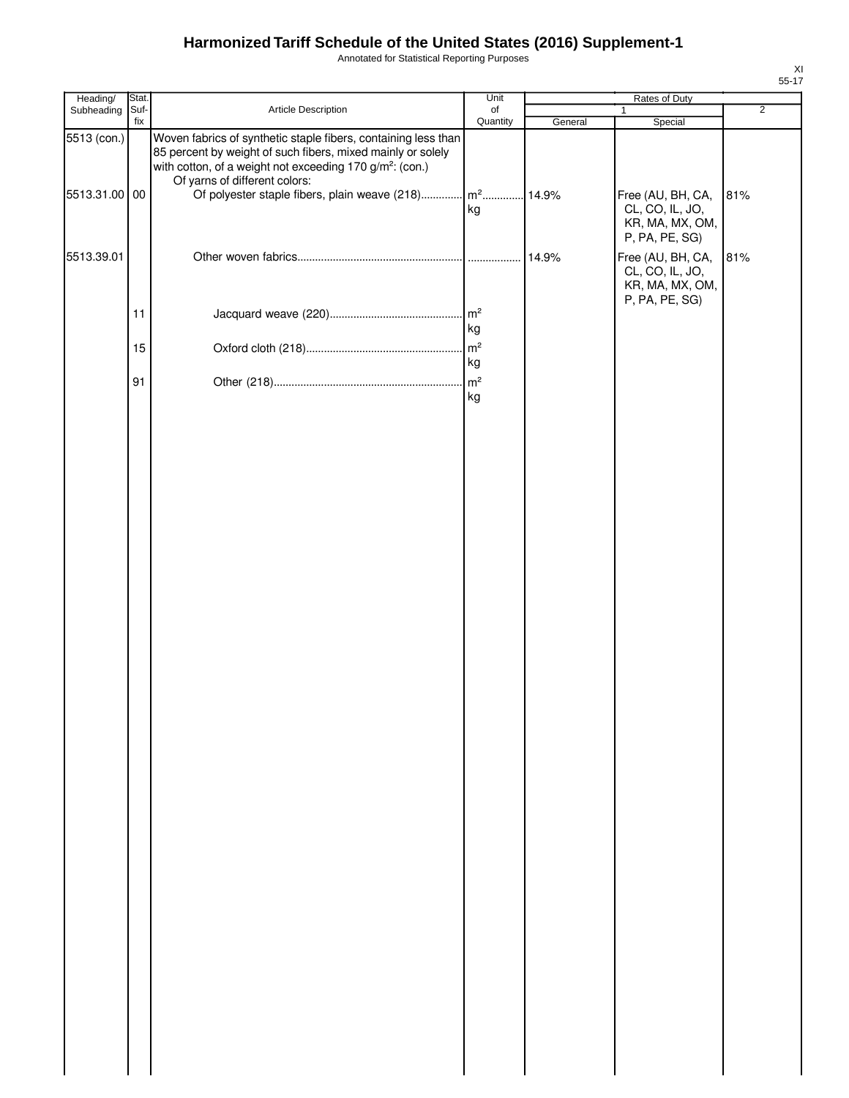Annotated for Statistical Reporting Purposes

| Heading/                     | Stat.       |                                                                                                                                                                                                                                                                                                              | Unit                  |         | Rates of Duty                                                             |                |
|------------------------------|-------------|--------------------------------------------------------------------------------------------------------------------------------------------------------------------------------------------------------------------------------------------------------------------------------------------------------------|-----------------------|---------|---------------------------------------------------------------------------|----------------|
| Subheading                   | Suf-<br>fix | Article Description                                                                                                                                                                                                                                                                                          | of<br>Quantity        | General | $\mathbf{1}$<br>Special                                                   | $\overline{2}$ |
| 5513 (con.)<br>5513.31.00 00 |             | Woven fabrics of synthetic staple fibers, containing less than<br>85 percent by weight of such fibers, mixed mainly or solely<br>with cotton, of a weight not exceeding 170 g/m <sup>2</sup> : (con.)<br>Of yarns of different colors:<br>Of polyester staple fibers, plain weave (218) m <sup>2</sup> 14.9% |                       |         | Free (AU, BH, CA,                                                         | 81%            |
|                              |             |                                                                                                                                                                                                                                                                                                              | kg                    |         | CL, CO, IL, JO,<br>KR, MA, MX, OM,<br>P, PA, PE, SG)                      |                |
| 5513.39.01                   |             |                                                                                                                                                                                                                                                                                                              |                       | 14.9%   | Free (AU, BH, CA,<br>CL, CO, IL, JO,<br>KR, MA, MX, OM,<br>P, PA, PE, SG) | 81%            |
|                              | 11          |                                                                                                                                                                                                                                                                                                              | $\mathsf{m}^2$<br>kg  |         |                                                                           |                |
|                              | 15          |                                                                                                                                                                                                                                                                                                              | $\mathsf{Im}^2$<br>kg |         |                                                                           |                |
|                              | 91          |                                                                                                                                                                                                                                                                                                              | kg                    |         |                                                                           |                |
|                              |             |                                                                                                                                                                                                                                                                                                              |                       |         |                                                                           |                |
|                              |             |                                                                                                                                                                                                                                                                                                              |                       |         |                                                                           |                |
|                              |             |                                                                                                                                                                                                                                                                                                              |                       |         |                                                                           |                |
|                              |             |                                                                                                                                                                                                                                                                                                              |                       |         |                                                                           |                |
|                              |             |                                                                                                                                                                                                                                                                                                              |                       |         |                                                                           |                |
|                              |             |                                                                                                                                                                                                                                                                                                              |                       |         |                                                                           |                |
|                              |             |                                                                                                                                                                                                                                                                                                              |                       |         |                                                                           |                |
|                              |             |                                                                                                                                                                                                                                                                                                              |                       |         |                                                                           |                |
|                              |             |                                                                                                                                                                                                                                                                                                              |                       |         |                                                                           |                |
|                              |             |                                                                                                                                                                                                                                                                                                              |                       |         |                                                                           |                |
|                              |             |                                                                                                                                                                                                                                                                                                              |                       |         |                                                                           |                |
|                              |             |                                                                                                                                                                                                                                                                                                              |                       |         |                                                                           |                |
|                              |             |                                                                                                                                                                                                                                                                                                              |                       |         |                                                                           |                |
|                              |             |                                                                                                                                                                                                                                                                                                              |                       |         |                                                                           |                |
|                              |             |                                                                                                                                                                                                                                                                                                              |                       |         |                                                                           |                |
|                              |             |                                                                                                                                                                                                                                                                                                              |                       |         |                                                                           |                |
|                              |             |                                                                                                                                                                                                                                                                                                              |                       |         |                                                                           |                |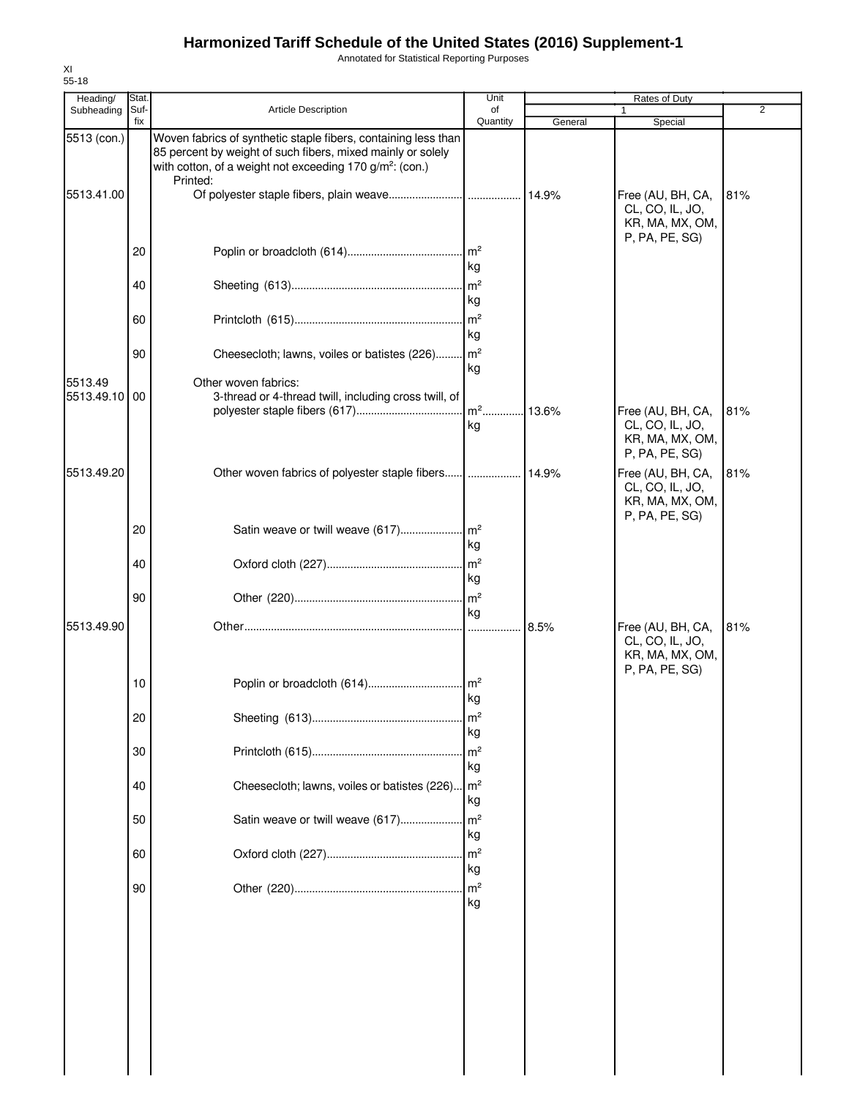Annotated for Statistical Reporting Purposes

| Heading/                 | Stat.       |                                                                                                                                                                                                                   | Unit                  |         | Rates of Duty                                                             |     |
|--------------------------|-------------|-------------------------------------------------------------------------------------------------------------------------------------------------------------------------------------------------------------------|-----------------------|---------|---------------------------------------------------------------------------|-----|
| Subheading               | Suf-<br>fix | <b>Article Description</b>                                                                                                                                                                                        | of<br>Quantity        | General | Special                                                                   | 2   |
| 5513 (con.)              |             | Woven fabrics of synthetic staple fibers, containing less than<br>85 percent by weight of such fibers, mixed mainly or solely<br>with cotton, of a weight not exceeding 170 g/m <sup>2</sup> : (con.)<br>Printed: |                       |         |                                                                           |     |
| 5513.41.00               |             |                                                                                                                                                                                                                   |                       |         | Free (AU, BH, CA,<br>CL, CO, IL, JO,<br>KR, MA, MX, OM,<br>P, PA, PE, SG) | 81% |
|                          | 20          |                                                                                                                                                                                                                   | kg                    |         |                                                                           |     |
|                          | 40          |                                                                                                                                                                                                                   | kg                    |         |                                                                           |     |
|                          | 60          |                                                                                                                                                                                                                   | kg                    |         |                                                                           |     |
|                          | 90          | Cheesecloth; lawns, voiles or batistes (226)                                                                                                                                                                      | kg                    |         |                                                                           |     |
| 5513.49<br>5513.49.10 00 |             | Other woven fabrics:<br>3-thread or 4-thread twill, including cross twill, of                                                                                                                                     |                       | .13.6%  | Free (AU, BH, CA,                                                         | 81% |
|                          |             |                                                                                                                                                                                                                   | kg                    |         | CL, CO, IL, JO,<br>KR, MA, MX, OM,<br>P, PA, PE, SG)                      |     |
| 5513.49.20               |             |                                                                                                                                                                                                                   |                       |         | Free (AU, BH, CA,<br>CL, CO, IL, JO,<br>KR, MA, MX, OM,<br>P, PA, PE, SG) | 81% |
|                          | 20          |                                                                                                                                                                                                                   | kg                    |         |                                                                           |     |
|                          | 40          |                                                                                                                                                                                                                   | m <sup>2</sup><br>kg  |         |                                                                           |     |
|                          | 90          |                                                                                                                                                                                                                   | $\mathsf{Im}^2$<br>kg |         |                                                                           |     |
| 5513.49.90               |             |                                                                                                                                                                                                                   |                       | 8.5%    | Free (AU, BH, CA,<br>CL, CO, IL, JO,<br>KR, MA, MX, OM,<br>P, PA, PE, SG) | 81% |
|                          | 10          |                                                                                                                                                                                                                   | kg                    |         |                                                                           |     |
|                          | 20          |                                                                                                                                                                                                                   | $\mathsf{Im}^2$<br>kg |         |                                                                           |     |
|                          | 30          |                                                                                                                                                                                                                   | $\mathsf{Im}^2$<br>kg |         |                                                                           |     |
|                          | 40          | Cheesecloth; lawns, voiles or batistes (226) m <sup>2</sup>                                                                                                                                                       | kg                    |         |                                                                           |     |
|                          | 50          | Satin weave or twill weave (617)                                                                                                                                                                                  | $\mathsf{Im}^2$<br>kg |         |                                                                           |     |
|                          | 60          |                                                                                                                                                                                                                   | m <sup>2</sup><br>kg  |         |                                                                           |     |
|                          | 90          |                                                                                                                                                                                                                   | m <sup>2</sup><br>kg  |         |                                                                           |     |
|                          |             |                                                                                                                                                                                                                   |                       |         |                                                                           |     |
|                          |             |                                                                                                                                                                                                                   |                       |         |                                                                           |     |
|                          |             |                                                                                                                                                                                                                   |                       |         |                                                                           |     |
|                          |             |                                                                                                                                                                                                                   |                       |         |                                                                           |     |
|                          |             |                                                                                                                                                                                                                   |                       |         |                                                                           |     |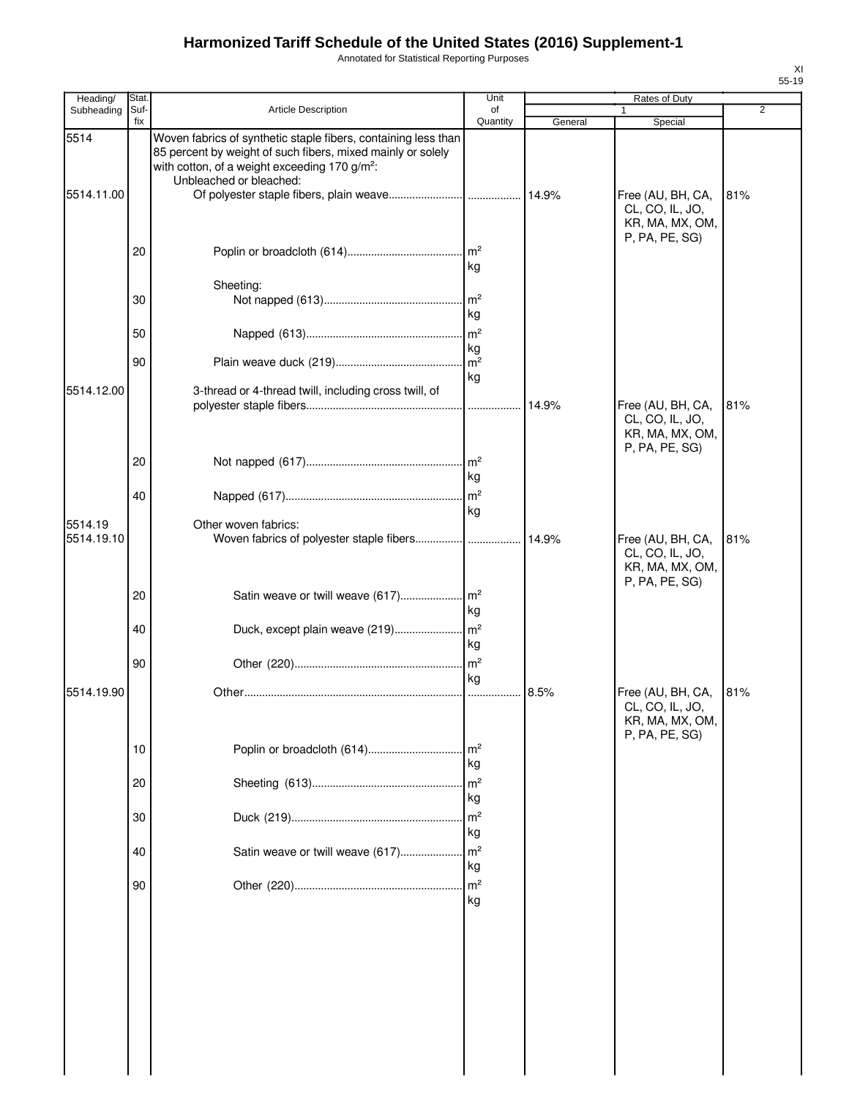Annotated for Statistical Reporting Purposes

| Heading/              | Stat.       |                                                                                                                                                                                                                       | Unit                  |         | Rates of Duty                                        |                |
|-----------------------|-------------|-----------------------------------------------------------------------------------------------------------------------------------------------------------------------------------------------------------------------|-----------------------|---------|------------------------------------------------------|----------------|
| Subheading            | Suf-<br>fix | <b>Article Description</b>                                                                                                                                                                                            | of<br>Quantity        | General | Special                                              | $\overline{2}$ |
| 5514<br>5514.11.00    |             | Woven fabrics of synthetic staple fibers, containing less than<br>85 percent by weight of such fibers, mixed mainly or solely<br>with cotton, of a weight exceeding 170 g/m <sup>2</sup> :<br>Unbleached or bleached: |                       | 14.9%   | Free (AU, BH, CA,<br>CL, CO, IL, JO,                 | 81%            |
|                       | 20          |                                                                                                                                                                                                                       | kg                    |         | KR, MA, MX, OM,<br>P, PA, PE, SG)                    |                |
|                       |             | Sheeting:                                                                                                                                                                                                             |                       |         |                                                      |                |
|                       | 30          |                                                                                                                                                                                                                       | kg                    |         |                                                      |                |
|                       | 50          |                                                                                                                                                                                                                       | kg                    |         |                                                      |                |
|                       | 90          |                                                                                                                                                                                                                       | m <sup>2</sup><br>kg  |         |                                                      |                |
| 5514.12.00            |             | 3-thread or 4-thread twill, including cross twill, of                                                                                                                                                                 |                       | 14.9%   | Free (AU, BH, CA,<br>CL, CO, IL, JO,                 | 81%            |
|                       | 20          |                                                                                                                                                                                                                       | kg                    |         | KR, MA, MX, OM,<br>P, PA, PE, SG)                    |                |
|                       | 40          |                                                                                                                                                                                                                       | kg                    |         |                                                      |                |
| 5514.19<br>5514.19.10 |             | Other woven fabrics:                                                                                                                                                                                                  |                       |         | Free (AU, BH, CA,<br>CL, CO, IL, JO,                 | 81%            |
|                       | 20<br>40    |                                                                                                                                                                                                                       | kg                    |         | KR, MA, MX, OM,<br>P, PA, PE, SG)                    |                |
|                       | 90          |                                                                                                                                                                                                                       | kg                    |         |                                                      |                |
| 5514.19.90            |             |                                                                                                                                                                                                                       | kg                    | 8.5%    | Free (AU, BH, CA,                                    | 81%            |
|                       |             |                                                                                                                                                                                                                       |                       |         | CL, CO, IL, JO,<br>KR, MA, MX, OM,<br>P, PA, PE, SG) |                |
|                       | 10          | Poplin or broadcloth (614)                                                                                                                                                                                            | $\mathsf{Im}^2$<br>kg |         |                                                      |                |
|                       | 20          |                                                                                                                                                                                                                       | $\mathsf{Im}^2$<br>kg |         |                                                      |                |
|                       | 30          |                                                                                                                                                                                                                       | kg                    |         |                                                      |                |
|                       | 40          |                                                                                                                                                                                                                       | kg                    |         |                                                      |                |
|                       | 90          |                                                                                                                                                                                                                       | m <sup>2</sup><br>kg  |         |                                                      |                |
|                       |             |                                                                                                                                                                                                                       |                       |         |                                                      |                |
|                       |             |                                                                                                                                                                                                                       |                       |         |                                                      |                |
|                       |             |                                                                                                                                                                                                                       |                       |         |                                                      |                |
|                       |             |                                                                                                                                                                                                                       |                       |         |                                                      |                |
|                       |             |                                                                                                                                                                                                                       |                       |         |                                                      |                |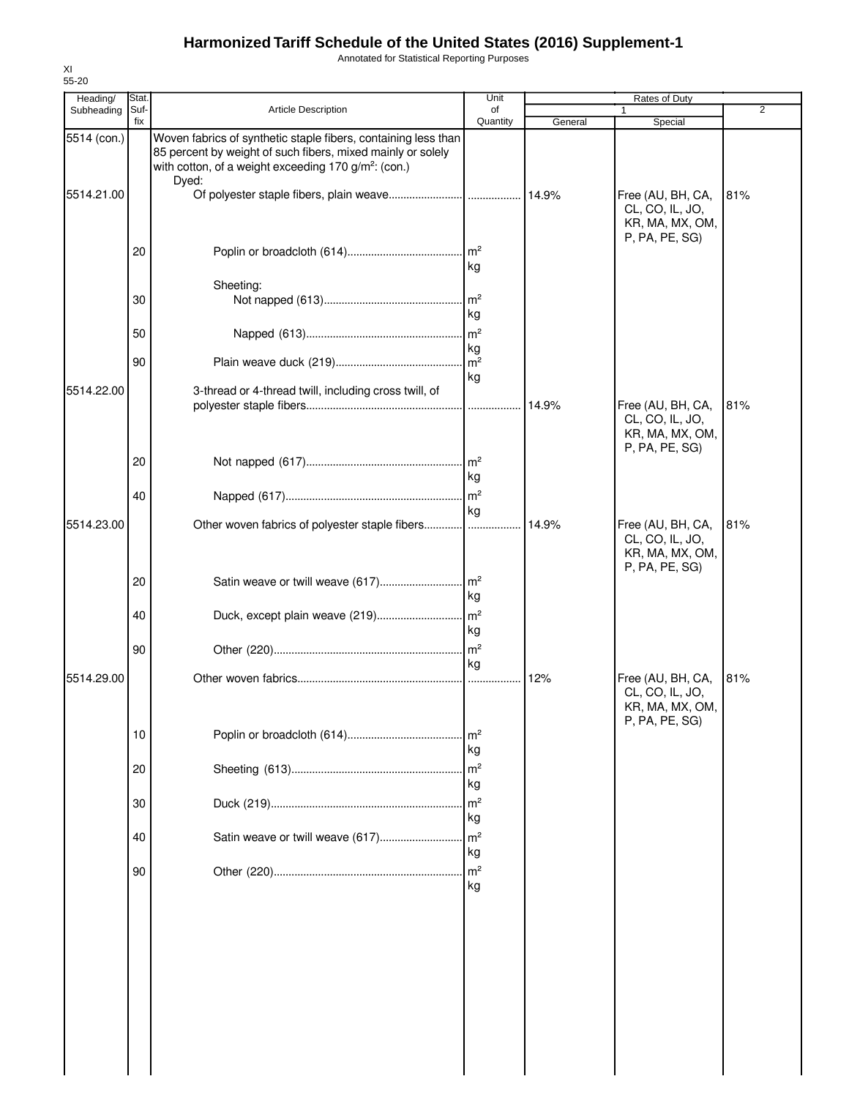Annotated for Statistical Reporting Purposes

| 55-20                  |               |                                                                                                                                                                                                            |                       |         |                                                                           |                |
|------------------------|---------------|------------------------------------------------------------------------------------------------------------------------------------------------------------------------------------------------------------|-----------------------|---------|---------------------------------------------------------------------------|----------------|
| Heading/<br>Subheading | Stat.<br>Suf- | <b>Article Description</b>                                                                                                                                                                                 | Unit<br>of            |         | Rates of Duty                                                             | $\overline{2}$ |
|                        | fix           |                                                                                                                                                                                                            | Quantity              | General | Special                                                                   |                |
| 5514 (con.)            |               | Woven fabrics of synthetic staple fibers, containing less than<br>85 percent by weight of such fibers, mixed mainly or solely<br>with cotton, of a weight exceeding 170 g/m <sup>2</sup> : (con.)<br>Dyed: |                       |         |                                                                           |                |
| 5514.21.00             |               |                                                                                                                                                                                                            |                       |         | Free (AU, BH, CA,<br>CL, CO, IL, JO,<br>KR, MA, MX, OM,<br>P, PA, PE, SG) | 81%            |
|                        | 20            |                                                                                                                                                                                                            | kg                    |         |                                                                           |                |
|                        |               | Sheeting:                                                                                                                                                                                                  |                       |         |                                                                           |                |
|                        | 30            |                                                                                                                                                                                                            | $\mathsf{Im}^2$<br>kg |         |                                                                           |                |
|                        | 50            |                                                                                                                                                                                                            |                       |         |                                                                           |                |
|                        | 90            |                                                                                                                                                                                                            | kg<br>$\mathsf{Im}^2$ |         |                                                                           |                |
|                        |               |                                                                                                                                                                                                            | kg                    |         |                                                                           |                |
| 5514.22.00             |               | 3-thread or 4-thread twill, including cross twill, of                                                                                                                                                      |                       | 14.9%   | Free (AU, BH, CA,<br>CL, CO, IL, JO,                                      | 81%            |
|                        |               |                                                                                                                                                                                                            |                       |         | KR, MA, MX, OM,                                                           |                |
|                        | 20            |                                                                                                                                                                                                            |                       |         | P, PA, PE, SG)                                                            |                |
|                        |               |                                                                                                                                                                                                            | kg                    |         |                                                                           |                |
|                        | 40            |                                                                                                                                                                                                            |                       |         |                                                                           |                |
| 5514.23.00             |               | Other woven fabrics of polyester staple fibers                                                                                                                                                             | kg                    | 14.9%   | Free (AU, BH, CA,                                                         | 81%            |
|                        |               |                                                                                                                                                                                                            |                       |         | CL, CO, IL, JO,<br>KR, MA, MX, OM,<br>P, PA, PE, SG)                      |                |
|                        | 20            |                                                                                                                                                                                                            | kg                    |         |                                                                           |                |
|                        | 40            |                                                                                                                                                                                                            | l kg                  |         |                                                                           |                |
|                        | 90            |                                                                                                                                                                                                            | kg                    |         |                                                                           |                |
| 5514.29.00             |               |                                                                                                                                                                                                            |                       | 12%     | Free (AU, BH, CA,<br>CL, CO, IL, JO,<br>KR, MA, MX, OM,<br>P, PA, PE, SG) | 81%            |
|                        | 10            |                                                                                                                                                                                                            | Im <sup>2</sup><br>kg |         |                                                                           |                |
|                        | 20            |                                                                                                                                                                                                            | $\mathsf{Im}^2$<br>kg |         |                                                                           |                |
|                        | 30            |                                                                                                                                                                                                            | $\mathsf{m}^2$<br>kg  |         |                                                                           |                |
|                        | 40            | Satin weave or twill weave (617)                                                                                                                                                                           | m <sup>2</sup><br>kg  |         |                                                                           |                |
|                        | 90            |                                                                                                                                                                                                            | $\mathsf{Im}^2$<br>kg |         |                                                                           |                |
|                        |               |                                                                                                                                                                                                            |                       |         |                                                                           |                |
|                        |               |                                                                                                                                                                                                            |                       |         |                                                                           |                |

XI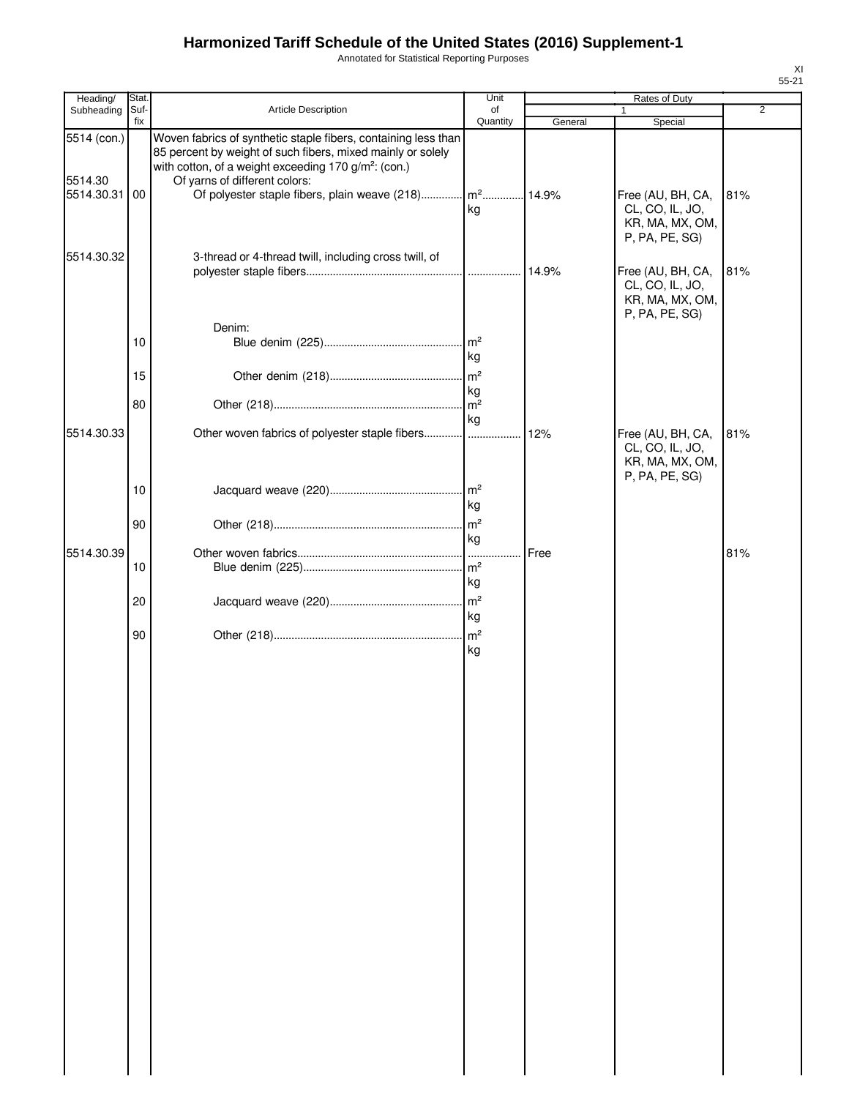Annotated for Statistical Reporting Purposes

| Heading/                             | Stat.       |                                                                                                                                                                                                                                                                                                          | Unit                      |         | Rates of Duty                                                             |                |
|--------------------------------------|-------------|----------------------------------------------------------------------------------------------------------------------------------------------------------------------------------------------------------------------------------------------------------------------------------------------------------|---------------------------|---------|---------------------------------------------------------------------------|----------------|
| Subheading                           | Suf-<br>fix | Article Description                                                                                                                                                                                                                                                                                      | of<br>Quantity            | General | 1<br>Special                                                              | $\overline{2}$ |
| 5514 (con.)<br>5514.30<br>5514.30.31 | 00          | Woven fabrics of synthetic staple fibers, containing less than<br>85 percent by weight of such fibers, mixed mainly or solely<br>with cotton, of a weight exceeding 170 g/m <sup>2</sup> : (con.)<br>Of yarns of different colors:<br>Of polyester staple fibers, plain weave (218) m <sup>2</sup> 14.9% | kg                        |         | Free (AU, BH, CA,<br>CL, CO, IL, JO,<br>KR, MA, MX, OM,<br>P, PA, PE, SG) | 81%            |
| 5514.30.32                           |             | 3-thread or 4-thread twill, including cross twill, of<br>Denim:                                                                                                                                                                                                                                          |                           | 14.9%   | Free (AU, BH, CA,<br>CL, CO, IL, JO,<br>KR, MA, MX, OM,<br>P, PA, PE, SG) | 81%            |
|                                      | 10          |                                                                                                                                                                                                                                                                                                          | kg                        |         |                                                                           |                |
|                                      | 15          |                                                                                                                                                                                                                                                                                                          | m <sup>2</sup><br>kg      |         |                                                                           |                |
| 5514.30.33                           | 80          |                                                                                                                                                                                                                                                                                                          | $\mathsf{m}^2$<br>kg      | 12%     | Free (AU, BH, CA,                                                         | 81%            |
|                                      | 10          |                                                                                                                                                                                                                                                                                                          | kg                        |         | CL, CO, IL, JO,<br>KR, MA, MX, OM,<br>P, PA, PE, SG)                      |                |
|                                      | 90          |                                                                                                                                                                                                                                                                                                          | kg                        |         |                                                                           |                |
| 5514.30.39                           | 10          |                                                                                                                                                                                                                                                                                                          | .<br>m <sup>2</sup><br>kg | Free    |                                                                           | 81%            |
|                                      | 20          |                                                                                                                                                                                                                                                                                                          | m <sup>2</sup><br>kg      |         |                                                                           |                |
|                                      | 90          |                                                                                                                                                                                                                                                                                                          | kg                        |         |                                                                           |                |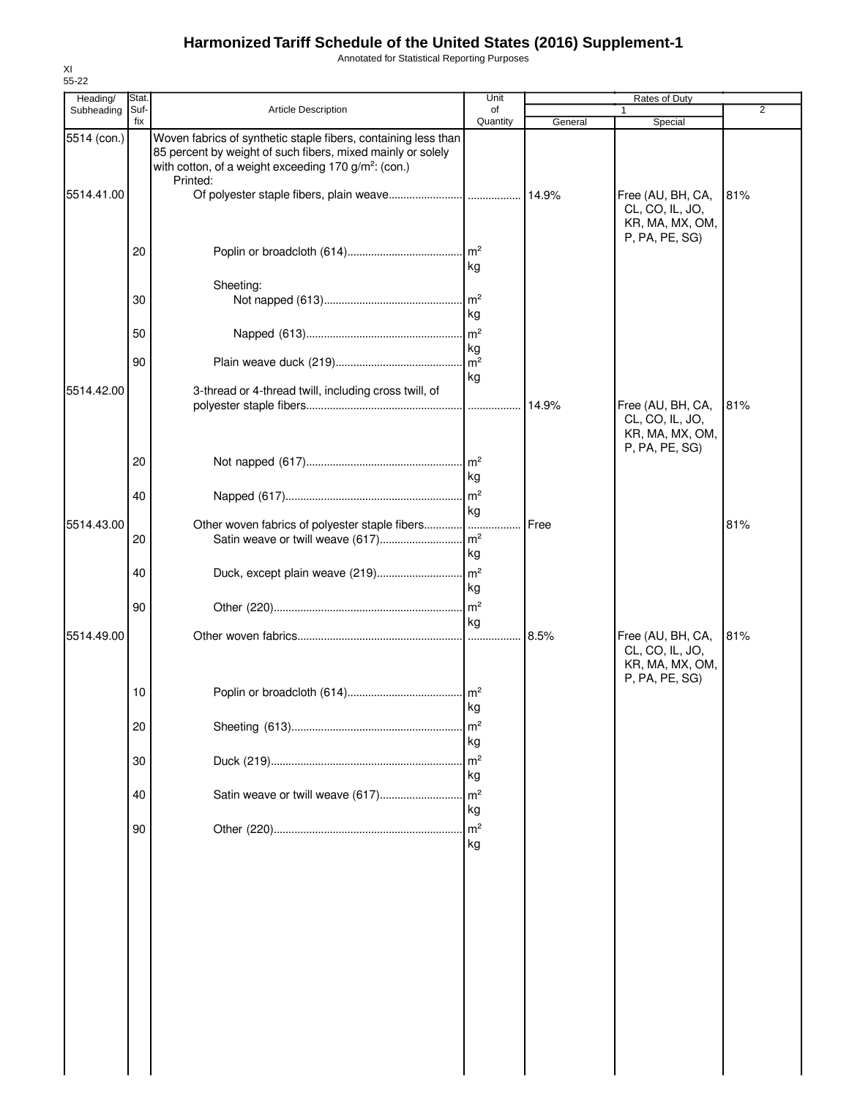Annotated for Statistical Reporting Purposes

| Heading/    | Stat.<br>Suf- |                                                                                                                                                                                                               | Unit                         |         | <b>Rates of Duty</b>                                                      | 2   |
|-------------|---------------|---------------------------------------------------------------------------------------------------------------------------------------------------------------------------------------------------------------|------------------------------|---------|---------------------------------------------------------------------------|-----|
| Subheading  | fix           | <b>Article Description</b>                                                                                                                                                                                    | of<br>Quantity               | General | Special                                                                   |     |
| 5514 (con.) |               | Woven fabrics of synthetic staple fibers, containing less than<br>85 percent by weight of such fibers, mixed mainly or solely<br>with cotton, of a weight exceeding 170 g/m <sup>2</sup> : (con.)<br>Printed: |                              |         |                                                                           |     |
| 5514.41.00  |               |                                                                                                                                                                                                               |                              |         | Free (AU, BH, CA,<br>CL, CO, IL, JO,<br>KR, MA, MX, OM,<br>P, PA, PE, SG) | 81% |
|             | 20            |                                                                                                                                                                                                               | $\mathsf{Im}^2$<br>kg        |         |                                                                           |     |
|             | 30            | Sheeting:                                                                                                                                                                                                     | m <sup>2</sup>               |         |                                                                           |     |
|             | 50            |                                                                                                                                                                                                               | kg<br>m <sup>2</sup>         |         |                                                                           |     |
|             | 90            |                                                                                                                                                                                                               | kg<br>m <sup>2</sup>         |         |                                                                           |     |
| 5514.42.00  |               | 3-thread or 4-thread twill, including cross twill, of                                                                                                                                                         | kg                           | 14.9%   | Free (AU, BH, CA,                                                         | 81% |
|             |               |                                                                                                                                                                                                               |                              |         | CL, CO, IL, JO,<br>KR, MA, MX, OM,<br>P, PA, PE, SG)                      |     |
|             | 20            |                                                                                                                                                                                                               | m <sup>2</sup><br>kg         |         |                                                                           |     |
|             | 40            |                                                                                                                                                                                                               | m <sup>2</sup><br>kg         |         |                                                                           |     |
| 5514.43.00  | 20            | Other woven fabrics of polyester staple fibers<br>Satin weave or twill weave (617)                                                                                                                            | .  <br>$\mathsf{Im}^2$<br>kg | Free    |                                                                           | 81% |
|             | 40            |                                                                                                                                                                                                               | kg                           |         |                                                                           |     |
|             | 90            |                                                                                                                                                                                                               | $\mathsf{Im}^2$<br>kg        |         |                                                                           |     |
| 5514.49.00  |               |                                                                                                                                                                                                               | .                            | 8.5%    | Free (AU, BH, CA,<br>CL, CO, IL, JO,<br>KR, MA, MX, OM,<br>P, PA, PE, SG) | 81% |
|             | 10            |                                                                                                                                                                                                               | kg                           |         |                                                                           |     |
|             | 20            |                                                                                                                                                                                                               | m <sup>2</sup><br>kg         |         |                                                                           |     |
|             | 30            |                                                                                                                                                                                                               | m <sup>2</sup><br>kg         |         |                                                                           |     |
|             | 40            | Satin weave or twill weave (617)                                                                                                                                                                              | m <sup>2</sup><br>kg         |         |                                                                           |     |
|             | 90            |                                                                                                                                                                                                               | m <sup>2</sup><br>kg         |         |                                                                           |     |
|             |               |                                                                                                                                                                                                               |                              |         |                                                                           |     |
|             |               |                                                                                                                                                                                                               |                              |         |                                                                           |     |
|             |               |                                                                                                                                                                                                               |                              |         |                                                                           |     |
|             |               |                                                                                                                                                                                                               |                              |         |                                                                           |     |
|             |               |                                                                                                                                                                                                               |                              |         |                                                                           |     |
|             |               |                                                                                                                                                                                                               |                              |         |                                                                           |     |

XI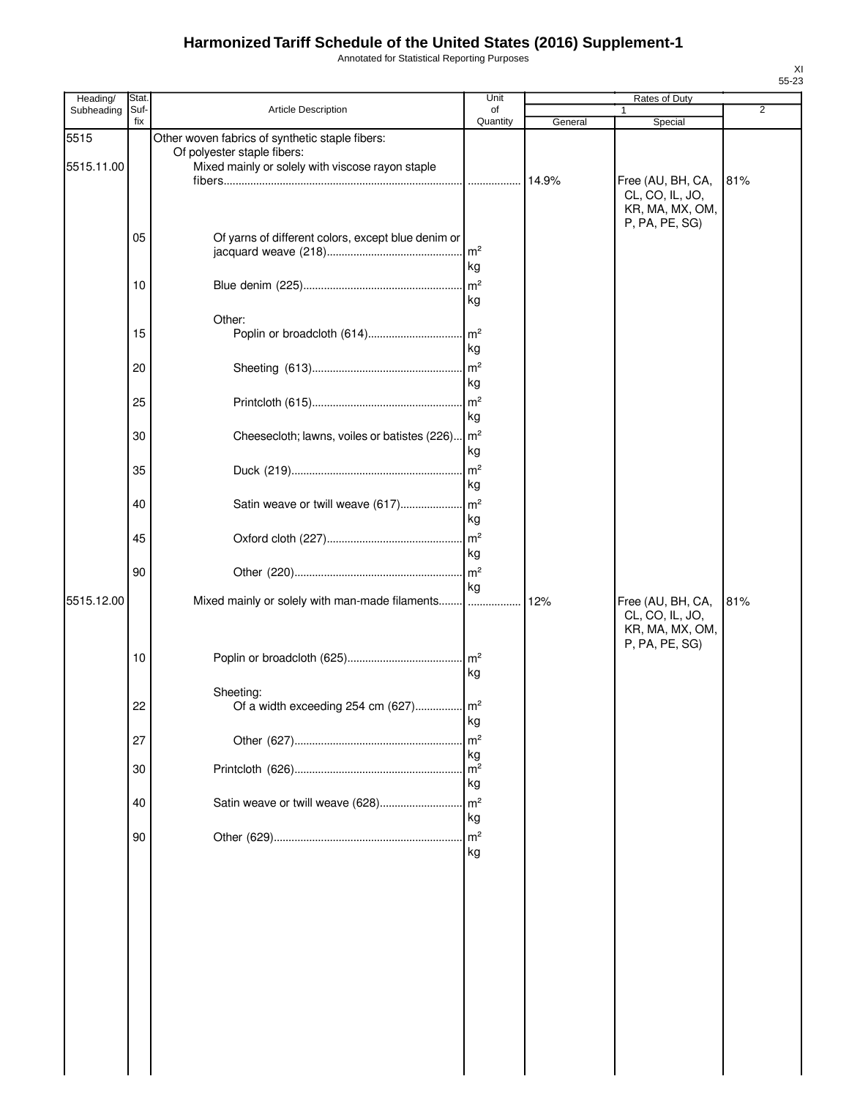Annotated for Statistical Reporting Purposes

| Heading/           | Stat.       |                                                                                                                                    | Unit                       |         | Rates of Duty                                                             |                |
|--------------------|-------------|------------------------------------------------------------------------------------------------------------------------------------|----------------------------|---------|---------------------------------------------------------------------------|----------------|
| Subheading         | Suf-<br>fix | Article Description                                                                                                                | of<br>Quantity             | General | Special                                                                   | $\overline{2}$ |
| 5515<br>5515.11.00 |             | Other woven fabrics of synthetic staple fibers:<br>Of polyester staple fibers:<br>Mixed mainly or solely with viscose rayon staple |                            |         |                                                                           |                |
|                    |             |                                                                                                                                    | .                          | 14.9%   | Free (AU, BH, CA,<br>CL, CO, IL, JO,<br>KR, MA, MX, OM,<br>P, PA, PE, SG) | 81%            |
|                    | 05          | Of yarns of different colors, except blue denim or                                                                                 | m <sup>2</sup><br>kg       |         |                                                                           |                |
|                    | 10          |                                                                                                                                    | m <sup>2</sup><br>kg       |         |                                                                           |                |
|                    | 15          | Other:<br>Poplin or broadcloth (614)                                                                                               | $\mathsf{m}^2$<br>kg       |         |                                                                           |                |
|                    | 20          |                                                                                                                                    | m <sup>2</sup><br>kg       |         |                                                                           |                |
|                    | 25          |                                                                                                                                    | m <sup>2</sup><br>kg       |         |                                                                           |                |
|                    | 30          | Cheesecloth; lawns, voiles or batistes (226)                                                                                       | $\mathsf{Im}^2$<br>kg      |         |                                                                           |                |
|                    | 35          |                                                                                                                                    | m <sup>2</sup><br>kg       |         |                                                                           |                |
|                    | 40          | Satin weave or twill weave (617)                                                                                                   | m <sup>2</sup><br>kg       |         |                                                                           |                |
|                    | 45          |                                                                                                                                    | m <sup>2</sup><br>kg       |         |                                                                           |                |
| 5515.12.00         | 90          | Mixed mainly or solely with man-made filaments                                                                                     | m <sup>2</sup><br>kg       | 12%     |                                                                           | 81%            |
|                    | 10          |                                                                                                                                    | .<br>$\mathsf{Im}^2$       |         | Free (AU, BH, CA,<br>CL, CO, IL, JO,<br>KR, MA, MX, OM,<br>P, PA, PE, SG) |                |
|                    | 22          | Sheeting:<br>Of a width exceeding 254 cm (627)                                                                                     | kg<br>m <sup>2</sup>       |         |                                                                           |                |
|                    | 27          |                                                                                                                                    | kg<br>m <sup>2</sup>       |         |                                                                           |                |
|                    | 30          |                                                                                                                                    | kg<br>m <sup>2</sup><br>kg |         |                                                                           |                |
|                    | 40          | Satin weave or twill weave (628)                                                                                                   | m <sup>2</sup><br>kg       |         |                                                                           |                |
|                    | 90          |                                                                                                                                    | m <sup>2</sup><br>kg       |         |                                                                           |                |
|                    |             |                                                                                                                                    |                            |         |                                                                           |                |
|                    |             |                                                                                                                                    |                            |         |                                                                           |                |
|                    |             |                                                                                                                                    |                            |         |                                                                           |                |
|                    |             |                                                                                                                                    |                            |         |                                                                           |                |
|                    |             |                                                                                                                                    |                            |         |                                                                           |                |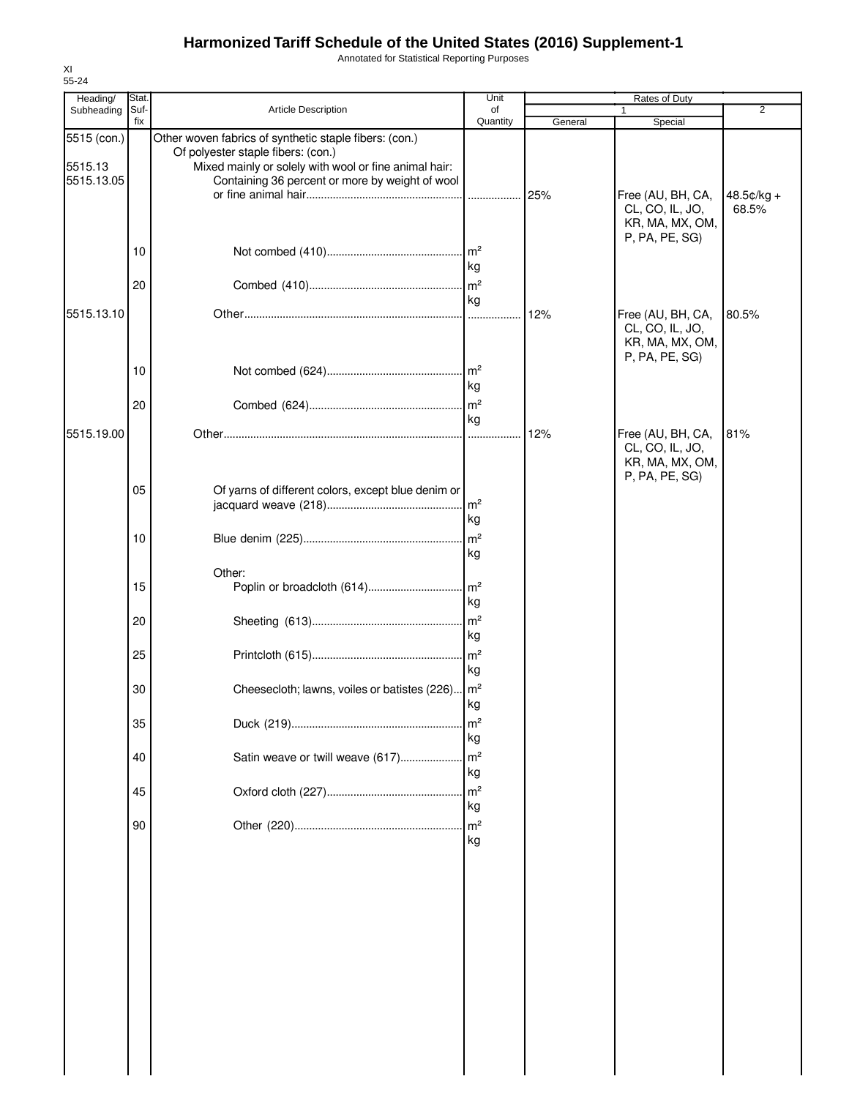Annotated for Statistical Reporting Purposes

| 55-24                                |               |                                                                                                                                                                                                          |                                        |         |                                                                           |                     |
|--------------------------------------|---------------|----------------------------------------------------------------------------------------------------------------------------------------------------------------------------------------------------------|----------------------------------------|---------|---------------------------------------------------------------------------|---------------------|
| Heading/<br>Subheading               | Stat.<br>Suf- | <b>Article Description</b>                                                                                                                                                                               | Unit<br>of                             |         | Rates of Duty                                                             | $\overline{2}$      |
|                                      | fix           |                                                                                                                                                                                                          | Quantity                               | General | Special                                                                   |                     |
| 5515 (con.)<br>5515.13<br>5515.13.05 |               | Other woven fabrics of synthetic staple fibers: (con.)<br>Of polyester staple fibers: (con.)<br>Mixed mainly or solely with wool or fine animal hair:<br>Containing 36 percent or more by weight of wool | .                                      | 25%     | Free (AU, BH, CA,<br>CL, CO, IL, JO,                                      | 48.5¢/kg +<br>68.5% |
|                                      | 10<br>20      |                                                                                                                                                                                                          | kg                                     |         | KR, MA, MX, OM,<br>P, PA, PE, SG)                                         |                     |
| 5515.13.10                           |               |                                                                                                                                                                                                          | kg                                     | 12%     | Free (AU, BH, CA,<br>CL, CO, IL, JO,<br>KR, MA, MX, OM,                   | 80.5%               |
|                                      | 10<br>20      |                                                                                                                                                                                                          | m <sup>2</sup><br>kg<br>m <sup>2</sup> |         | P, PA, PE, SG)                                                            |                     |
| 5515.19.00                           |               |                                                                                                                                                                                                          | kg<br>.                                | 12%     | Free (AU, BH, CA,<br>CL, CO, IL, JO,<br>KR, MA, MX, OM,<br>P, PA, PE, SG) | 81%                 |
|                                      | 05            | Of yarns of different colors, except blue denim or                                                                                                                                                       | m <sup>2</sup><br>kg                   |         |                                                                           |                     |
|                                      | 10            |                                                                                                                                                                                                          | $\mathsf{Im}^2$<br>kg                  |         |                                                                           |                     |
|                                      | 15            | Other:<br>Poplin or broadcloth (614)                                                                                                                                                                     | m <sup>2</sup><br>kg                   |         |                                                                           |                     |
|                                      | 20            |                                                                                                                                                                                                          | m <sup>2</sup><br>kg                   |         |                                                                           |                     |
|                                      | 25            |                                                                                                                                                                                                          | m <sup>2</sup><br>kg                   |         |                                                                           |                     |
|                                      | 30<br>35      | Cheesecloth; lawns, voiles or batistes (226)   m <sup>2</sup>                                                                                                                                            | kg<br>m <sup>2</sup>                   |         |                                                                           |                     |
|                                      | 40            | Satin weave or twill weave (617)                                                                                                                                                                         | kg<br>m <sup>2</sup>                   |         |                                                                           |                     |
|                                      | 45            |                                                                                                                                                                                                          | kg<br>m <sup>2</sup>                   |         |                                                                           |                     |
|                                      | 90            |                                                                                                                                                                                                          | kg<br>$\mathsf{m}^2$<br>kg             |         |                                                                           |                     |
|                                      |               |                                                                                                                                                                                                          |                                        |         |                                                                           |                     |

XI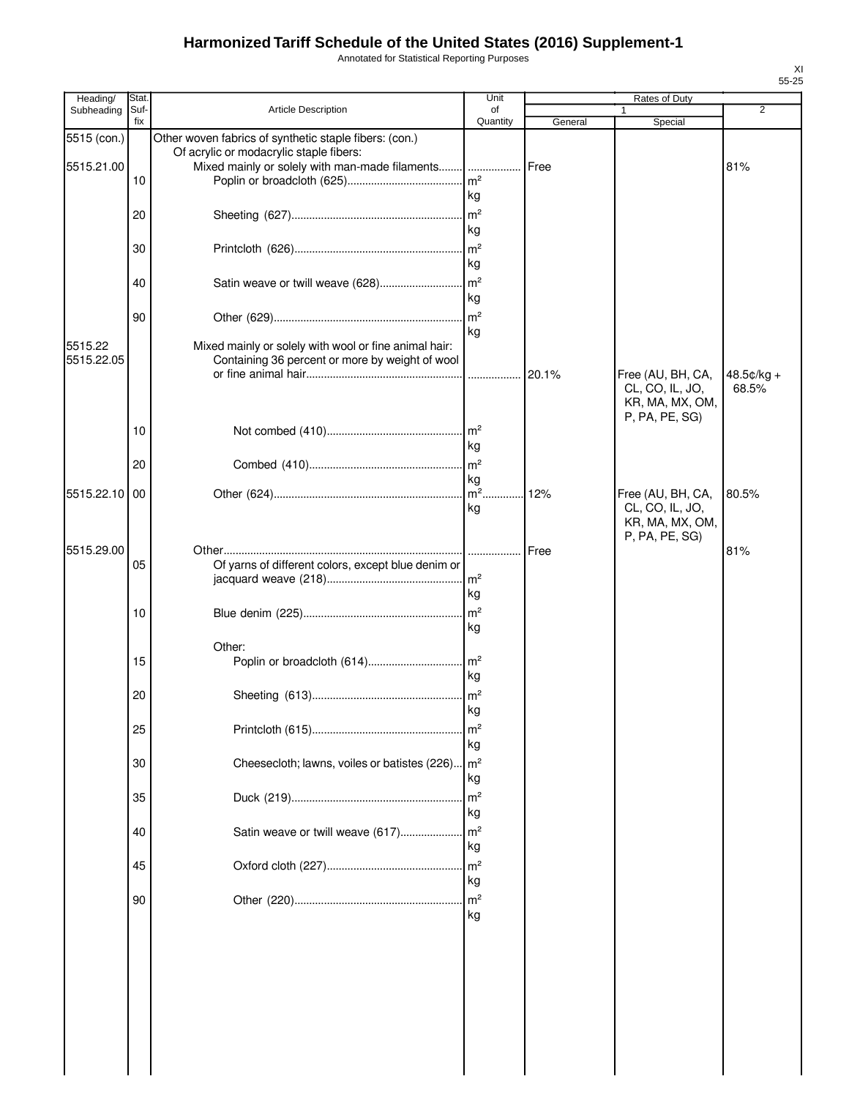Annotated for Statistical Reporting Purposes

| Heading/    | Stat.       |                                                        | Unit           |               | Rates of Duty                        |                       |
|-------------|-------------|--------------------------------------------------------|----------------|---------------|--------------------------------------|-----------------------|
| Subheading  | Suf-<br>fix | Article Description                                    | of<br>Quantity | General       | 1<br>Special                         | 2                     |
| 5515 (con.) |             | Other woven fabrics of synthetic staple fibers: (con.) |                |               |                                      |                       |
|             |             | Of acrylic or modacrylic staple fibers:                |                |               |                                      |                       |
| 5515.21.00  |             | Mixed mainly or solely with man-made filaments  Free   |                |               |                                      | 81%                   |
|             | 10          |                                                        | m <sup>2</sup> |               |                                      |                       |
|             |             |                                                        | kg             |               |                                      |                       |
|             | 20          |                                                        | m <sup>2</sup> |               |                                      |                       |
|             |             |                                                        | kg             |               |                                      |                       |
|             | 30          |                                                        | m <sup>2</sup> |               |                                      |                       |
|             |             |                                                        | kg             |               |                                      |                       |
|             | 40          |                                                        |                |               |                                      |                       |
|             |             |                                                        | kg             |               |                                      |                       |
|             | 90          |                                                        |                |               |                                      |                       |
|             |             |                                                        | kg             |               |                                      |                       |
| 5515.22     |             | Mixed mainly or solely with wool or fine animal hair:  |                |               |                                      |                       |
| 5515.22.05  |             | Containing 36 percent or more by weight of wool        |                |               |                                      |                       |
|             |             |                                                        |                |               | Free (AU, BH, CA,<br>CL, CO, IL, JO, | $48.5¢/kg +$<br>68.5% |
|             |             |                                                        |                |               | KR, MA, MX, OM,                      |                       |
|             |             |                                                        |                |               | P, PA, PE, SG)                       |                       |
|             | 10          |                                                        | m <sup>2</sup> |               |                                      |                       |
|             |             |                                                        | kg             |               |                                      |                       |
|             | 20          |                                                        | m <sup>2</sup> |               |                                      |                       |
|             |             |                                                        | kg             |               |                                      |                       |
| 5515.22.10  | 00          |                                                        |                | 12%           | Free (AU, BH, CA,                    | 80.5%                 |
|             |             |                                                        | kg             |               | CL, CO, IL, JO,                      |                       |
|             |             |                                                        |                |               | KR, MA, MX, OM,                      |                       |
| 5515.29.00  |             |                                                        |                | <b>I</b> Free | P, PA, PE, SG)                       | 81%                   |
|             | 05          | Of yarns of different colors, except blue denim or     |                |               |                                      |                       |
|             |             |                                                        |                |               |                                      |                       |
|             |             |                                                        | kg             |               |                                      |                       |
|             | 10          |                                                        | m <sup>2</sup> |               |                                      |                       |
|             |             |                                                        | kg             |               |                                      |                       |
|             |             | Other:                                                 |                |               |                                      |                       |
|             | 15          |                                                        |                |               |                                      |                       |
|             |             |                                                        | kg             |               |                                      |                       |
|             | 20          |                                                        |                |               |                                      |                       |
|             |             |                                                        | kg             |               |                                      |                       |
|             | 25          |                                                        | m <sup>2</sup> |               |                                      |                       |
|             |             |                                                        | kg             |               |                                      |                       |
|             | 30          | Cheesecloth; lawns, voiles or batistes (226)           | m <sup>2</sup> |               |                                      |                       |
|             |             |                                                        | kg             |               |                                      |                       |
|             |             |                                                        | m <sup>2</sup> |               |                                      |                       |
|             | 35          |                                                        | kg             |               |                                      |                       |
|             |             |                                                        |                |               |                                      |                       |
|             | 40          | Satin weave or twill weave (617)                       | m <sup>2</sup> |               |                                      |                       |
|             |             |                                                        | kg             |               |                                      |                       |
|             | 45          |                                                        | m <sup>2</sup> |               |                                      |                       |
|             |             |                                                        | kg             |               |                                      |                       |
|             | 90          |                                                        |                |               |                                      |                       |
|             |             |                                                        | kg             |               |                                      |                       |
|             |             |                                                        |                |               |                                      |                       |
|             |             |                                                        |                |               |                                      |                       |
|             |             |                                                        |                |               |                                      |                       |
|             |             |                                                        |                |               |                                      |                       |
|             |             |                                                        |                |               |                                      |                       |
|             |             |                                                        |                |               |                                      |                       |
|             |             |                                                        |                |               |                                      |                       |
|             |             |                                                        |                |               |                                      |                       |
|             |             |                                                        |                |               |                                      |                       |
|             |             |                                                        |                |               |                                      |                       |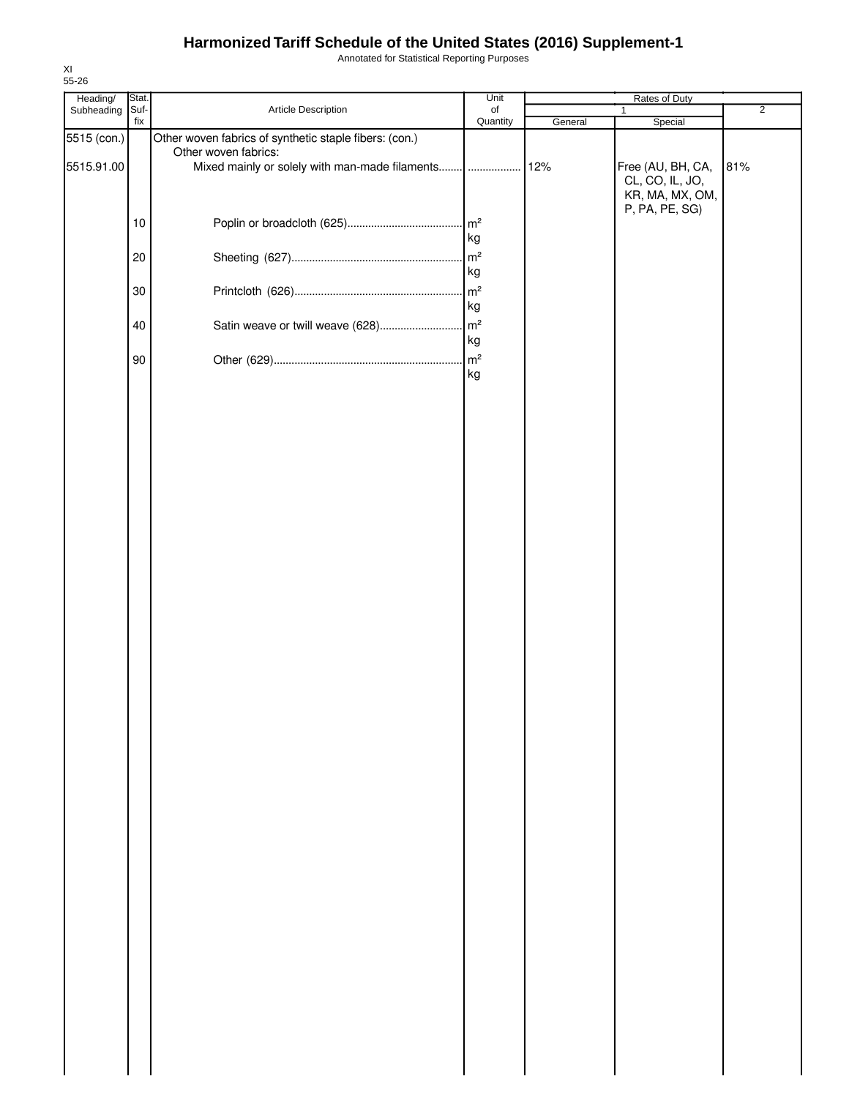Annotated for Statistical Reporting Purposes

| Heading/    | Stat. |                                                        | Unit           |         | Rates of Duty     |                |
|-------------|-------|--------------------------------------------------------|----------------|---------|-------------------|----------------|
| Subheading  | Suf-  | Article Description                                    | of             |         | $\mathbf{1}$      | $\overline{2}$ |
|             | fix   |                                                        | Quantity       | General | Special           |                |
| 5515 (con.) |       | Other woven fabrics of synthetic staple fibers: (con.) |                |         |                   |                |
|             |       | Other woven fabrics:                                   |                |         |                   |                |
| 5515.91.00  |       | Mixed mainly or solely with man-made filaments  12%    |                |         | Free (AU, BH, CA, | 81%            |
|             |       |                                                        |                |         | CL, CO, IL, JO,   |                |
|             |       |                                                        |                |         | KR, MA, MX, OM,   |                |
|             |       |                                                        |                |         |                   |                |
|             |       |                                                        |                |         | P, PA, PE, SG)    |                |
|             | 10    |                                                        |                |         |                   |                |
|             |       |                                                        | kg             |         |                   |                |
|             | 20    |                                                        |                |         |                   |                |
|             |       |                                                        |                |         |                   |                |
|             |       |                                                        | kg             |         |                   |                |
|             | 30    |                                                        |                |         |                   |                |
|             |       |                                                        | kg             |         |                   |                |
|             |       |                                                        |                |         |                   |                |
|             | 40    |                                                        |                |         |                   |                |
|             |       |                                                        | kg             |         |                   |                |
|             |       |                                                        | $\mathsf{m}^2$ |         |                   |                |
|             | 90    |                                                        |                |         |                   |                |
|             |       |                                                        | kg             |         |                   |                |
|             |       |                                                        |                |         |                   |                |
|             |       |                                                        |                |         |                   |                |
|             |       |                                                        |                |         |                   |                |
|             |       |                                                        |                |         |                   |                |
|             |       |                                                        |                |         |                   |                |
|             |       |                                                        |                |         |                   |                |
|             |       |                                                        |                |         |                   |                |
|             |       |                                                        |                |         |                   |                |
|             |       |                                                        |                |         |                   |                |
|             |       |                                                        |                |         |                   |                |
|             |       |                                                        |                |         |                   |                |
|             |       |                                                        |                |         |                   |                |
|             |       |                                                        |                |         |                   |                |
|             |       |                                                        |                |         |                   |                |
|             |       |                                                        |                |         |                   |                |
|             |       |                                                        |                |         |                   |                |
|             |       |                                                        |                |         |                   |                |
|             |       |                                                        |                |         |                   |                |
|             |       |                                                        |                |         |                   |                |
|             |       |                                                        |                |         |                   |                |
|             |       |                                                        |                |         |                   |                |
|             |       |                                                        |                |         |                   |                |
|             |       |                                                        |                |         |                   |                |
|             |       |                                                        |                |         |                   |                |
|             |       |                                                        |                |         |                   |                |
|             |       |                                                        |                |         |                   |                |
|             |       |                                                        |                |         |                   |                |
|             |       |                                                        |                |         |                   |                |
|             |       |                                                        |                |         |                   |                |
|             |       |                                                        |                |         |                   |                |
|             |       |                                                        |                |         |                   |                |
|             |       |                                                        |                |         |                   |                |
|             |       |                                                        |                |         |                   |                |
|             |       |                                                        |                |         |                   |                |
|             |       |                                                        |                |         |                   |                |
|             |       |                                                        |                |         |                   |                |
|             |       |                                                        |                |         |                   |                |
|             |       |                                                        |                |         |                   |                |
|             |       |                                                        |                |         |                   |                |
|             |       |                                                        |                |         |                   |                |
|             |       |                                                        |                |         |                   |                |
|             |       |                                                        |                |         |                   |                |
|             |       |                                                        |                |         |                   |                |
|             |       |                                                        |                |         |                   |                |
|             |       |                                                        |                |         |                   |                |
|             |       |                                                        |                |         |                   |                |
|             |       |                                                        |                |         |                   |                |
|             |       |                                                        |                |         |                   |                |
|             |       |                                                        |                |         |                   |                |
|             |       |                                                        |                |         |                   |                |
|             |       |                                                        |                |         |                   |                |
|             |       |                                                        |                |         |                   |                |
|             |       |                                                        |                |         |                   |                |
|             |       |                                                        |                |         |                   |                |
|             |       |                                                        |                |         |                   |                |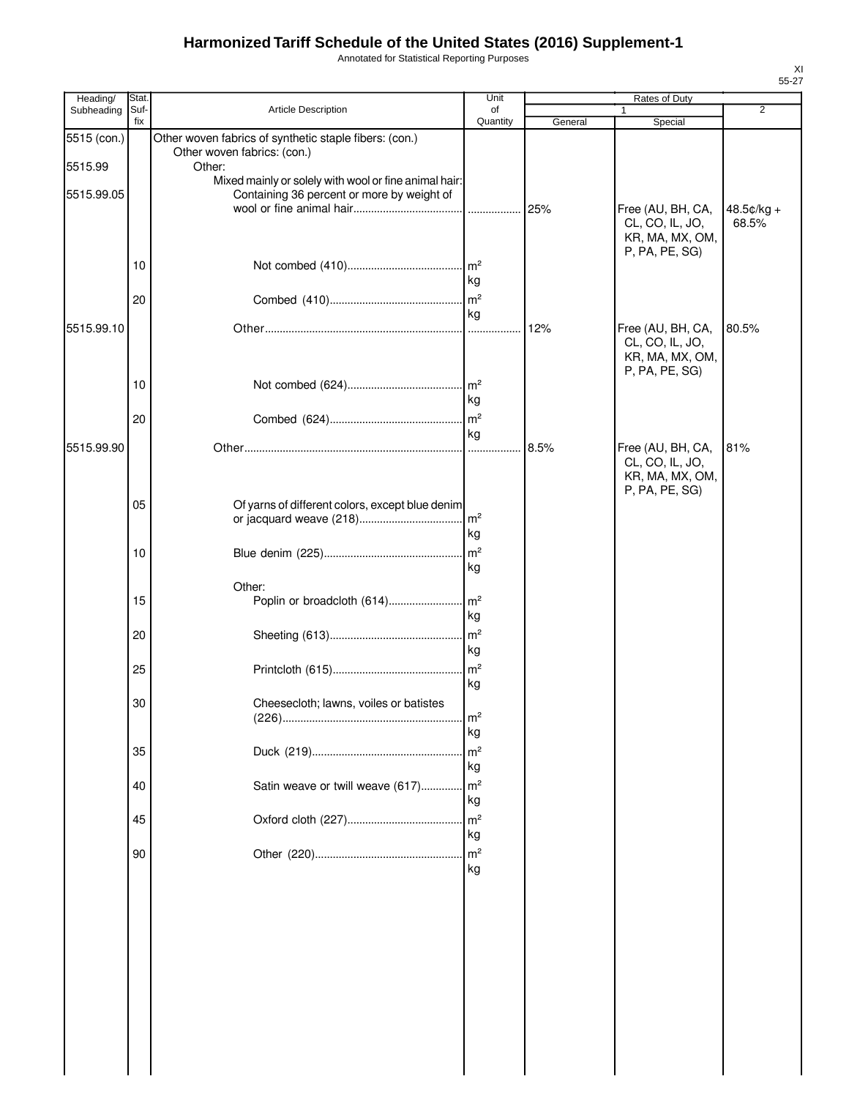Annotated for Statistical Reporting Purposes

| Heading/    | Stat.       |                                                                                       | Unit                  |         | Rates of Duty                                                             |                       |
|-------------|-------------|---------------------------------------------------------------------------------------|-----------------------|---------|---------------------------------------------------------------------------|-----------------------|
| Subheading  | Suf-<br>fix | Article Description                                                                   | of<br>Quantity        | General | 1<br>Special                                                              | $\overline{2}$        |
| 5515 (con.) |             | Other woven fabrics of synthetic staple fibers: (con.)<br>Other woven fabrics: (con.) |                       |         |                                                                           |                       |
| 5515.99     |             | Other:<br>Mixed mainly or solely with wool or fine animal hair:                       |                       |         |                                                                           |                       |
| 5515.99.05  |             | Containing 36 percent or more by weight of                                            |                       | 25%     | Free (AU, BH, CA,<br>CL, CO, IL, JO,                                      | $48.5¢/kg +$<br>68.5% |
|             |             |                                                                                       |                       |         | KR, MA, MX, OM,                                                           |                       |
|             | 10          |                                                                                       | $\mathsf{Im}^2$<br>kg |         | P, PA, PE, SG)                                                            |                       |
|             | 20          |                                                                                       | m <sup>2</sup><br>kg  |         |                                                                           |                       |
| 5515.99.10  |             |                                                                                       | .                     | 12%     | Free (AU, BH, CA,                                                         | 80.5%                 |
|             |             |                                                                                       |                       |         | CL, CO, IL, JO,<br>KR, MA, MX, OM,<br>P, PA, PE, SG)                      |                       |
|             | 10          |                                                                                       | $\mathsf{Im}^2$       |         |                                                                           |                       |
|             |             |                                                                                       | kg                    |         |                                                                           |                       |
|             | 20          |                                                                                       | m <sup>2</sup><br>kg  |         |                                                                           |                       |
| 5515.99.90  |             |                                                                                       | .                     | 8.5%    | Free (AU, BH, CA,<br>CL, CO, IL, JO,<br>KR, MA, MX, OM,<br>P, PA, PE, SG) | 81%                   |
|             | 05          | Of yarns of different colors, except blue denim                                       | Im <sup>2</sup><br>kg |         |                                                                           |                       |
|             | 10          |                                                                                       | m <sup>2</sup>        |         |                                                                           |                       |
|             |             |                                                                                       | kg                    |         |                                                                           |                       |
|             |             | Other:                                                                                |                       |         |                                                                           |                       |
|             | 15          |                                                                                       | kg                    |         |                                                                           |                       |
|             | 20          |                                                                                       | m <sup>2</sup><br>kg  |         |                                                                           |                       |
|             | 25          |                                                                                       | m <sup>2</sup><br>kg  |         |                                                                           |                       |
|             | 30          | Cheesecloth; lawns, voiles or batistes                                                | m <sup>2</sup>        |         |                                                                           |                       |
|             |             |                                                                                       | kg                    |         |                                                                           |                       |
|             | 35          |                                                                                       | m <sup>2</sup>        |         |                                                                           |                       |
|             |             |                                                                                       | kg                    |         |                                                                           |                       |
|             | 40          | Satin weave or twill weave (617)                                                      | m <sup>2</sup>        |         |                                                                           |                       |
|             |             |                                                                                       | kg<br>m <sup>2</sup>  |         |                                                                           |                       |
|             | 45          |                                                                                       | kg                    |         |                                                                           |                       |
|             | 90          |                                                                                       | m <sup>2</sup>        |         |                                                                           |                       |
|             |             |                                                                                       | kg                    |         |                                                                           |                       |
|             |             |                                                                                       |                       |         |                                                                           |                       |
|             |             |                                                                                       |                       |         |                                                                           |                       |
|             |             |                                                                                       |                       |         |                                                                           |                       |
|             |             |                                                                                       |                       |         |                                                                           |                       |
|             |             |                                                                                       |                       |         |                                                                           |                       |
|             |             |                                                                                       |                       |         |                                                                           |                       |
|             |             |                                                                                       |                       |         |                                                                           |                       |
|             |             |                                                                                       |                       |         |                                                                           |                       |
|             |             |                                                                                       |                       |         |                                                                           |                       |
|             |             |                                                                                       |                       |         |                                                                           |                       |
|             |             |                                                                                       |                       |         |                                                                           |                       |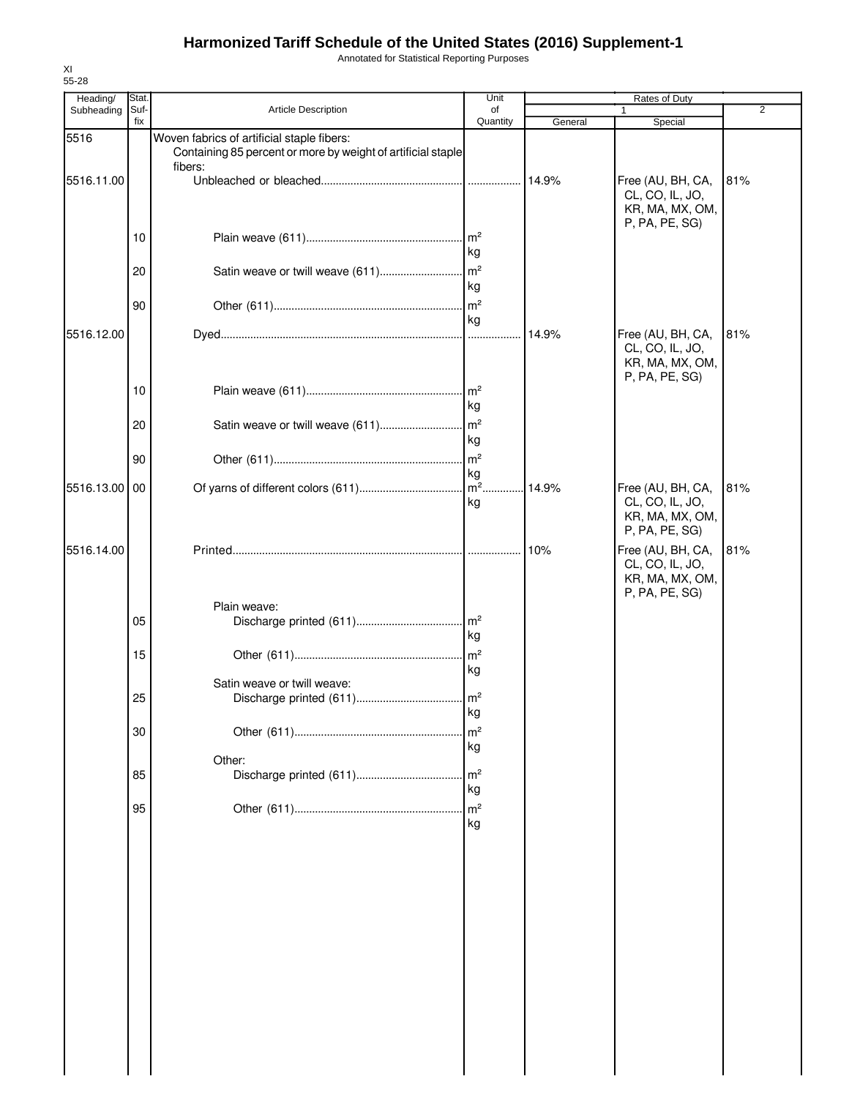Annotated for Statistical Reporting Purposes

| Heading/   | Stat.       |                                                                                                                       | Unit                  |         | Rates of Duty                                                             |     |
|------------|-------------|-----------------------------------------------------------------------------------------------------------------------|-----------------------|---------|---------------------------------------------------------------------------|-----|
| Subheading | Suf-<br>fix | <b>Article Description</b>                                                                                            | of<br>Quantity        | General | Special                                                                   | 2   |
| 5516       |             | Woven fabrics of artificial staple fibers:<br>Containing 85 percent or more by weight of artificial staple<br>fibers: |                       |         |                                                                           |     |
| 5516.11.00 |             |                                                                                                                       |                       | 14.9%   | Free (AU, BH, CA,<br>CL, CO, IL, JO,<br>KR, MA, MX, OM,<br>P, PA, PE, SG) | 81% |
|            | 10          |                                                                                                                       | kg                    |         |                                                                           |     |
|            | 20          |                                                                                                                       | kg                    |         |                                                                           |     |
|            | 90          |                                                                                                                       | m <sup>2</sup><br>kg  |         |                                                                           |     |
| 5516.12.00 |             |                                                                                                                       |                       | 14.9%   | Free (AU, BH, CA,<br>CL, CO, IL, JO,<br>KR, MA, MX, OM,<br>P, PA, PE, SG) | 81% |
|            | 10          |                                                                                                                       | kg                    |         |                                                                           |     |
|            | 20          |                                                                                                                       | kg                    |         |                                                                           |     |
|            | 90          |                                                                                                                       | $\mathsf{Im}^2$<br>kg |         |                                                                           |     |
| 5516.13.00 | 00          |                                                                                                                       | kg                    | 14.9%   | Free (AU, BH, CA,<br>CL, CO, IL, JO,<br>KR, MA, MX, OM,<br>P, PA, PE, SG) | 81% |
| 5516.14.00 |             |                                                                                                                       |                       | 10%     | Free (AU, BH, CA,<br>CL, CO, IL, JO,<br>KR, MA, MX, OM,<br>P, PA, PE, SG) | 81% |
|            | 05          | Plain weave:                                                                                                          | kg                    |         |                                                                           |     |
|            | 15          |                                                                                                                       | m <sup>2</sup><br>kg  |         |                                                                           |     |
|            | 25          | Satin weave or twill weave:                                                                                           | кg                    |         |                                                                           |     |
|            | 30          |                                                                                                                       | m <sup>2</sup><br>kg  |         |                                                                           |     |
|            | 85          | Other:                                                                                                                | m <sup>2</sup><br>kg  |         |                                                                           |     |
|            | 95          |                                                                                                                       | m <sup>2</sup><br>kg  |         |                                                                           |     |
|            |             |                                                                                                                       |                       |         |                                                                           |     |
|            |             |                                                                                                                       |                       |         |                                                                           |     |
|            |             |                                                                                                                       |                       |         |                                                                           |     |
|            |             |                                                                                                                       |                       |         |                                                                           |     |
|            |             |                                                                                                                       |                       |         |                                                                           |     |
|            |             |                                                                                                                       |                       |         |                                                                           |     |
|            |             |                                                                                                                       |                       |         |                                                                           |     |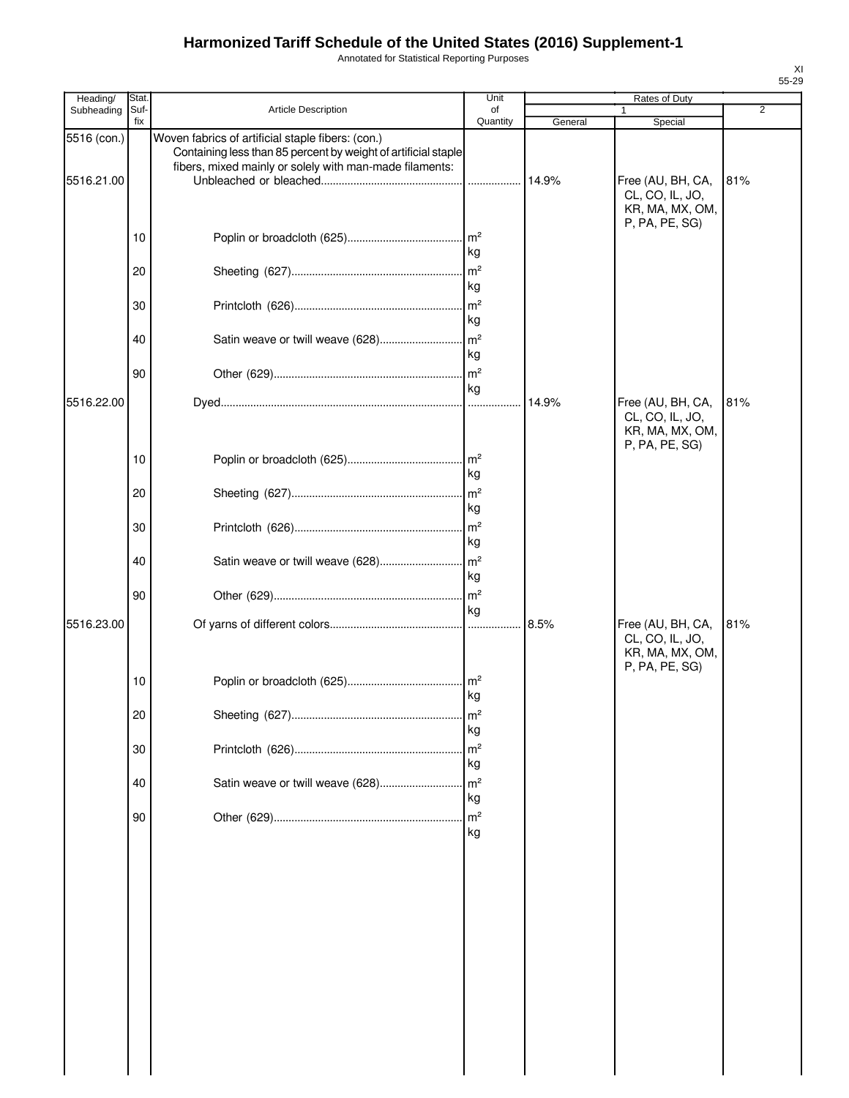Annotated for Statistical Reporting Purposes

| Heading/    | Stat |                                                                                                                     | Unit                  |         | Rates of Duty                                                             |                |
|-------------|------|---------------------------------------------------------------------------------------------------------------------|-----------------------|---------|---------------------------------------------------------------------------|----------------|
| Subheading  | Suf- | <b>Article Description</b>                                                                                          | of                    |         |                                                                           | $\overline{2}$ |
| 5516 (con.) | fix  | Woven fabrics of artificial staple fibers: (con.)<br>Containing less than 85 percent by weight of artificial staple | Quantity              | General | Special                                                                   |                |
| 5516.21.00  |      | fibers, mixed mainly or solely with man-made filaments:                                                             | .                     | 14.9%   | Free (AU, BH, CA,<br>CL, CO, IL, JO,                                      | 81%            |
|             | 10   |                                                                                                                     | m <sup>2</sup><br>kg  |         | KR, MA, MX, OM,<br>P, PA, PE, SG)                                         |                |
|             | 20   |                                                                                                                     | m <sup>2</sup><br>kg  |         |                                                                           |                |
|             | 30   |                                                                                                                     | $\mathsf{Im}^2$<br>kg |         |                                                                           |                |
|             | 40   |                                                                                                                     | kg                    |         |                                                                           |                |
|             | 90   |                                                                                                                     | $\mathsf{Im}^2$<br>kg |         |                                                                           |                |
| 5516.22.00  |      |                                                                                                                     |                       | 14.9%   | Free (AU, BH, CA,<br>CL, CO, IL, JO,<br>KR, MA, MX, OM,<br>P, PA, PE, SG) | 81%            |
|             | 10   |                                                                                                                     | $\mathsf{Im}^2$<br>kg |         |                                                                           |                |
|             | 20   |                                                                                                                     | m <sup>2</sup><br>kg  |         |                                                                           |                |
|             | 30   |                                                                                                                     | m <sup>2</sup><br>kg  |         |                                                                           |                |
|             | 40   | Satin weave or twill weave (628)                                                                                    | m <sup>2</sup><br>kg  |         |                                                                           |                |
| 5516.23.00  | 90   |                                                                                                                     | m <sup>2</sup><br>kg  | 8.5%    | Free (AU, BH, CA,                                                         | 81%            |
|             |      |                                                                                                                     |                       |         | CL, CO, IL, JO,<br>KR, MA, MX, OM,<br>P, PA, PE, SG)                      |                |
|             | 10   |                                                                                                                     | $\mathsf{Im}^2$<br>kg |         |                                                                           |                |
|             | 20   |                                                                                                                     | m <sup>2</sup><br>kg  |         |                                                                           |                |
|             | 30   |                                                                                                                     | m <sup>2</sup><br>kg  |         |                                                                           |                |
|             | 40   | Satin weave or twill weave (628)                                                                                    | m <sup>2</sup><br>kg  |         |                                                                           |                |
|             | 90   |                                                                                                                     | m <sup>2</sup><br>kg  |         |                                                                           |                |
|             |      |                                                                                                                     |                       |         |                                                                           |                |
|             |      |                                                                                                                     |                       |         |                                                                           |                |
|             |      |                                                                                                                     |                       |         |                                                                           |                |
|             |      |                                                                                                                     |                       |         |                                                                           |                |
|             |      |                                                                                                                     |                       |         |                                                                           |                |
|             |      |                                                                                                                     |                       |         |                                                                           |                |
|             |      |                                                                                                                     |                       |         |                                                                           |                |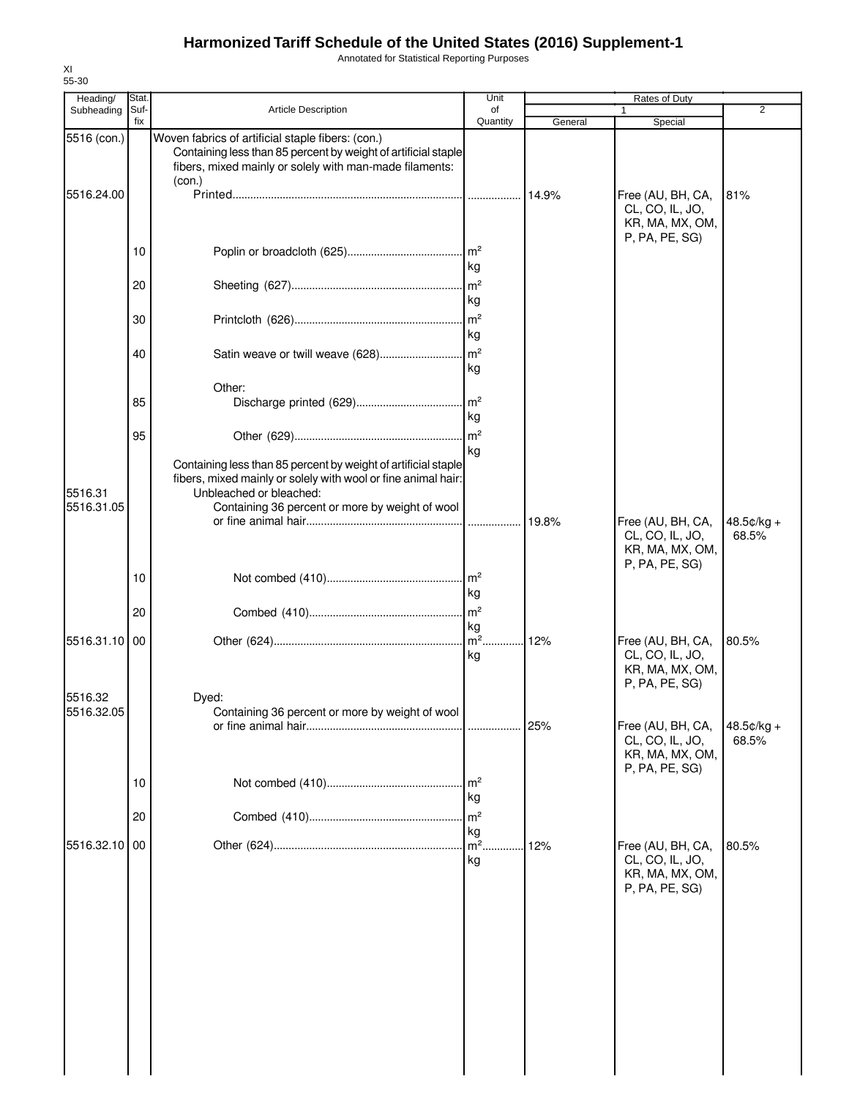Annotated for Statistical Reporting Purposes

| 55-30                  |              |                                                                                                                                                                                          |                       |         |                                                                           |                       |
|------------------------|--------------|------------------------------------------------------------------------------------------------------------------------------------------------------------------------------------------|-----------------------|---------|---------------------------------------------------------------------------|-----------------------|
| Heading/<br>Subheading | Stat<br>Suf- | <b>Article Description</b>                                                                                                                                                               | Unit<br>of            |         | Rates of Duty                                                             | $\overline{2}$        |
|                        | fix          |                                                                                                                                                                                          | Quantity              | General | Special                                                                   |                       |
| 5516 (con.)            |              | Woven fabrics of artificial staple fibers: (con.)<br>Containing less than 85 percent by weight of artificial staple<br>fibers, mixed mainly or solely with man-made filaments:<br>(con.) |                       |         |                                                                           |                       |
| 5516.24.00             |              |                                                                                                                                                                                          |                       | 14.9%   | Free (AU, BH, CA,<br>CL, CO, IL, JO,<br>KR, MA, MX, OM,<br>P, PA, PE, SG) | 81%                   |
|                        | 10           |                                                                                                                                                                                          | kg                    |         |                                                                           |                       |
|                        | 20           |                                                                                                                                                                                          | kg                    |         |                                                                           |                       |
|                        | 30           |                                                                                                                                                                                          | kg                    |         |                                                                           |                       |
|                        | 40           | Satin weave or twill weave (628)                                                                                                                                                         | m <sup>2</sup><br>kg  |         |                                                                           |                       |
|                        | 85           | Other:                                                                                                                                                                                   | $\mathsf{Im}^2$<br>kg |         |                                                                           |                       |
|                        | 95           |                                                                                                                                                                                          | kg                    |         |                                                                           |                       |
| 5516.31                |              | Containing less than 85 percent by weight of artificial staple<br>fibers, mixed mainly or solely with wool or fine animal hair:<br>Unbleached or bleached:                               |                       |         |                                                                           |                       |
| 5516.31.05             |              | Containing 36 percent or more by weight of wool                                                                                                                                          | .                     | 19.8%   | Free (AU, BH, CA,<br>CL, CO, IL, JO,<br>KR, MA, MX, OM,<br>P, PA, PE, SG) | $48.5¢/kg +$<br>68.5% |
|                        | 10           |                                                                                                                                                                                          | kg                    |         |                                                                           |                       |
|                        | 20           |                                                                                                                                                                                          | m <sup>2</sup><br>kg  |         |                                                                           |                       |
| 5516.31.10             | 00           |                                                                                                                                                                                          | $\mathsf{Im}^2$<br>kg | 12%     | Free (AU, BH, CA,<br>CL, CO, IL, JO,<br>KR, MA, MX, OM,<br>P, PA, PE, SG) | 80.5%                 |
| 5516.32<br>5516.32.05  |              | Dved:<br>Containing 36 percent or more by weight of wool                                                                                                                                 |                       | 25%     | Free (AU, BH, CA,<br>CL, CO, IL, JO,<br>KR, MA, MX, OM,                   | 48.5¢/kg +<br>68.5%   |
|                        | 10           |                                                                                                                                                                                          | m <sup>2</sup><br>kg  |         | P, PA, PE, SG)                                                            |                       |
|                        | 20           |                                                                                                                                                                                          | m <sup>2</sup>        |         |                                                                           |                       |
| 5516.32.10             | 00           |                                                                                                                                                                                          | kg<br>$m2$ .<br>kg    | 12%     | Free (AU, BH, CA,<br>CL, CO, IL, JO,<br>KR, MA, MX, OM,<br>P, PA, PE, SG) | 80.5%                 |
|                        |              |                                                                                                                                                                                          |                       |         |                                                                           |                       |
|                        |              |                                                                                                                                                                                          |                       |         |                                                                           |                       |
|                        |              |                                                                                                                                                                                          |                       |         |                                                                           |                       |
|                        |              |                                                                                                                                                                                          |                       |         |                                                                           |                       |

XI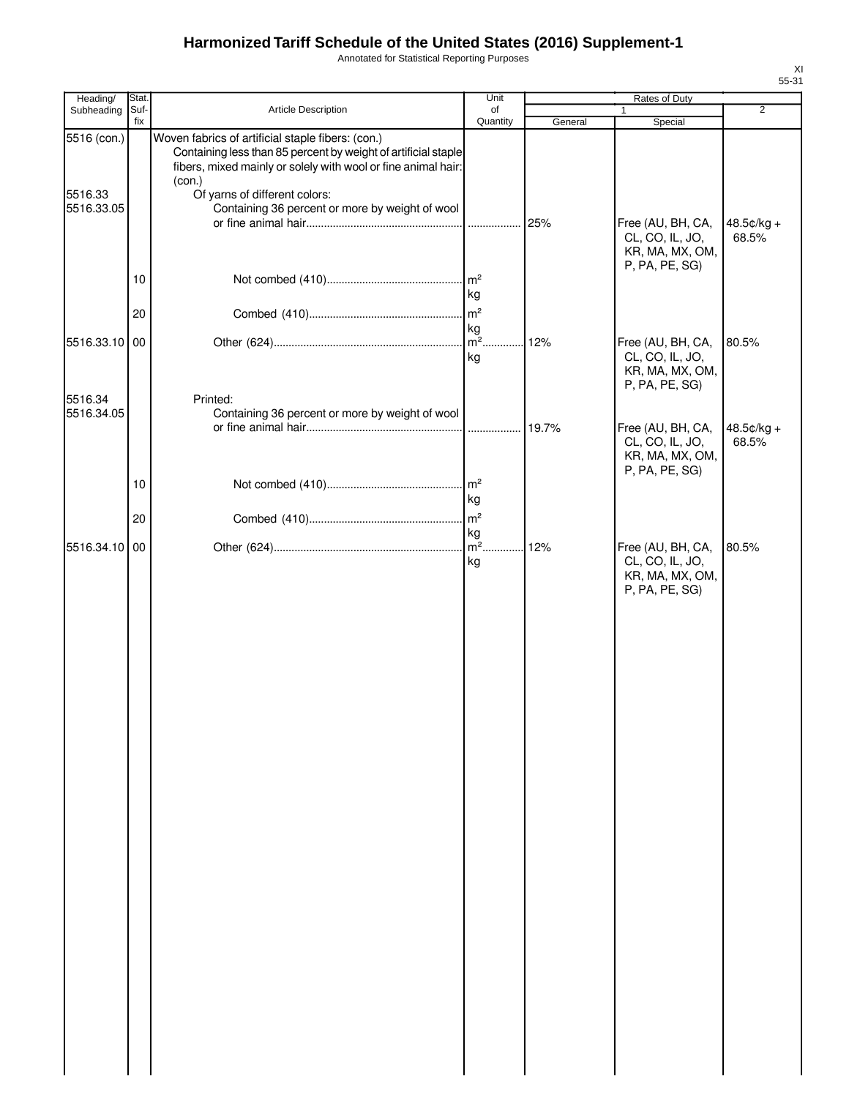Annotated for Statistical Reporting Purposes

| Heading/               | Stat.       |                                                                                                                                                                                                                                 | Unit                                       |         | Rates of Duty                                                             |                     |
|------------------------|-------------|---------------------------------------------------------------------------------------------------------------------------------------------------------------------------------------------------------------------------------|--------------------------------------------|---------|---------------------------------------------------------------------------|---------------------|
| Subheading             | Suf-<br>fix | Article Description                                                                                                                                                                                                             | of<br>Quantity                             | General | 1<br>Special                                                              | $\overline{2}$      |
| 5516 (con.)<br>5516.33 |             | Woven fabrics of artificial staple fibers: (con.)<br>Containing less than 85 percent by weight of artificial staple<br>fibers, mixed mainly or solely with wool or fine animal hair:<br>(con.)<br>Of yarns of different colors: |                                            |         |                                                                           |                     |
| 5516.33.05             |             | Containing 36 percent or more by weight of wool                                                                                                                                                                                 |                                            | 25%     | Free (AU, BH, CA,<br>CL, CO, IL, JO,<br>KR, MA, MX, OM,<br>P, PA, PE, SG) | 48.5¢/kg +<br>68.5% |
|                        | 10          |                                                                                                                                                                                                                                 | kg                                         |         |                                                                           |                     |
| 5516.33.10 00          | 20          |                                                                                                                                                                                                                                 | m <sup>2</sup><br>kg<br>$\overline{m^2}$ . | 12%     | Free (AU, BH, CA,                                                         | 80.5%               |
|                        |             |                                                                                                                                                                                                                                 | kg                                         |         | CL, CO, IL, JO,<br>KR, MA, MX, OM,<br>P, PA, PE, SG)                      |                     |
| 5516.34<br>5516.34.05  |             | Printed:<br>Containing 36 percent or more by weight of wool                                                                                                                                                                     |                                            |         |                                                                           |                     |
|                        |             |                                                                                                                                                                                                                                 |                                            | 19.7%   | Free (AU, BH, CA,<br>CL, CO, IL, JO,<br>KR, MA, MX, OM,<br>P, PA, PE, SG) | 48.5¢/kg +<br>68.5% |
|                        | 10          |                                                                                                                                                                                                                                 | m <sup>2</sup><br>kg                       |         |                                                                           |                     |
| 5516.34.10 00          | 20          |                                                                                                                                                                                                                                 | m <sup>2</sup><br>kg<br>$m2$ .             | 12%     | Free (AU, BH, CA,                                                         | 80.5%               |
|                        |             |                                                                                                                                                                                                                                 | kg                                         |         | CL, CO, IL, JO,<br>KR, MA, MX, OM,<br>P, PA, PE, SG)                      |                     |
|                        |             |                                                                                                                                                                                                                                 |                                            |         |                                                                           |                     |
|                        |             |                                                                                                                                                                                                                                 |                                            |         |                                                                           |                     |
|                        |             |                                                                                                                                                                                                                                 |                                            |         |                                                                           |                     |
|                        |             |                                                                                                                                                                                                                                 |                                            |         |                                                                           |                     |
|                        |             |                                                                                                                                                                                                                                 |                                            |         |                                                                           |                     |
|                        |             |                                                                                                                                                                                                                                 |                                            |         |                                                                           |                     |
|                        |             |                                                                                                                                                                                                                                 |                                            |         |                                                                           |                     |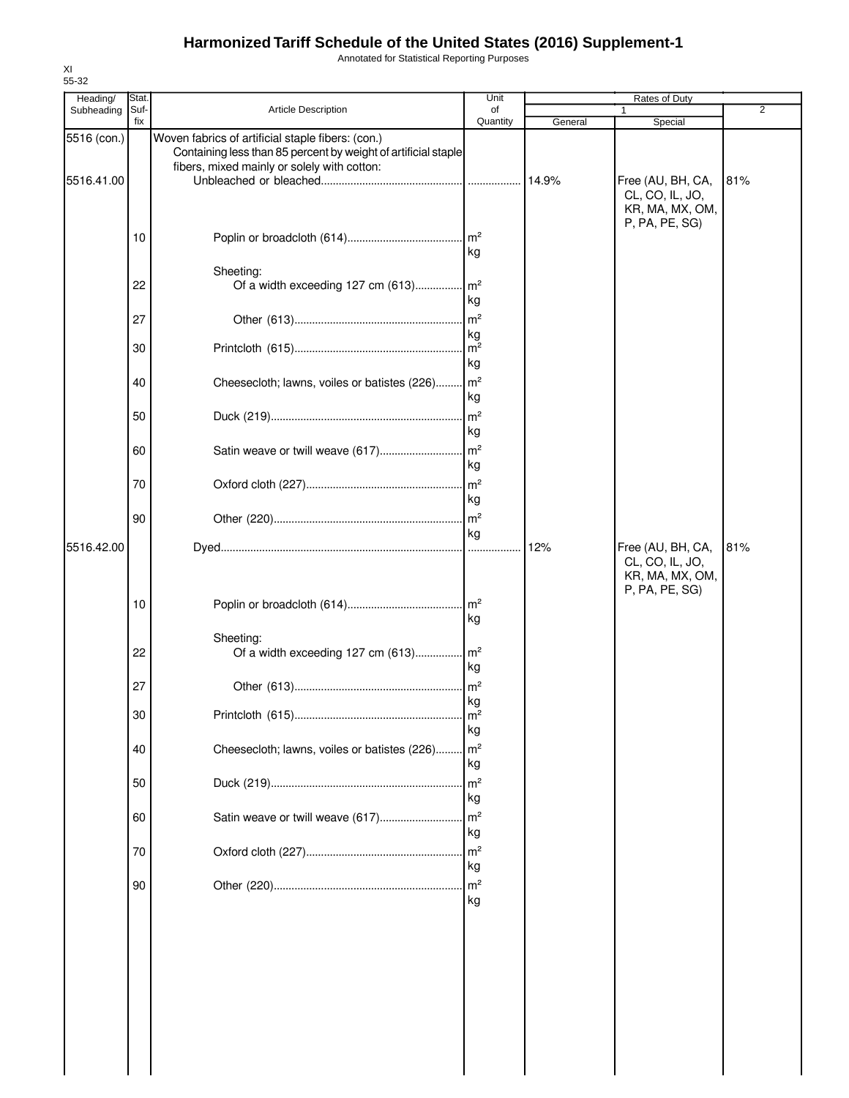Annotated for Statistical Reporting Purposes

| Heading/                  | Stat.<br>Suf- |                                                                                                                                                                    | Unit<br>of            |         | Rates of Duty                                           | $\overline{2}$ |
|---------------------------|---------------|--------------------------------------------------------------------------------------------------------------------------------------------------------------------|-----------------------|---------|---------------------------------------------------------|----------------|
| Subheading                | fix           | <b>Article Description</b>                                                                                                                                         | Quantity              | General | Special                                                 |                |
| 5516 (con.)<br>5516.41.00 |               | Woven fabrics of artificial staple fibers: (con.)<br>Containing less than 85 percent by weight of artificial staple<br>fibers, mixed mainly or solely with cotton: |                       | 14.9%   | Free (AU, BH, CA,<br>CL, CO, IL, JO,<br>KR, MA, MX, OM, | 81%            |
|                           | 10            |                                                                                                                                                                    | kg                    |         | P, PA, PE, SG)                                          |                |
|                           | 22            | Sheeting:<br>Of a width exceeding 127 cm (613) m <sup>2</sup>                                                                                                      | kg                    |         |                                                         |                |
|                           | 27            |                                                                                                                                                                    |                       |         |                                                         |                |
|                           | 30            |                                                                                                                                                                    | kg<br>kg              |         |                                                         |                |
|                           | 40            | Cheesecloth; lawns, voiles or batistes (226) m <sup>2</sup>                                                                                                        | kg                    |         |                                                         |                |
|                           | 50            |                                                                                                                                                                    | kg                    |         |                                                         |                |
|                           | 60            |                                                                                                                                                                    | kg                    |         |                                                         |                |
|                           | 70            |                                                                                                                                                                    | kg                    |         |                                                         |                |
| 5516.42.00                | 90            |                                                                                                                                                                    | kg                    | 12%     | Free (AU, BH, CA,                                       | 81%            |
|                           | 10            |                                                                                                                                                                    | kg                    |         | CL, CO, IL, JO,<br>KR, MA, MX, OM,<br>P, PA, PE, SG)    |                |
|                           | 22            | Sheeting:<br>Of a width exceeding 127 cm (613) m <sup>2</sup>                                                                                                      | kg                    |         |                                                         |                |
|                           | 27            |                                                                                                                                                                    | kg                    |         |                                                         |                |
|                           | 30            |                                                                                                                                                                    | m <sup>2</sup><br>kg  |         |                                                         |                |
|                           | 40            | Cheesecloth; lawns, voiles or batistes (226)                                                                                                                       | $\mathsf{Im}^2$<br>kg |         |                                                         |                |
|                           | 50            |                                                                                                                                                                    | m <sup>2</sup><br>kg  |         |                                                         |                |
|                           | 60            |                                                                                                                                                                    | kg                    |         |                                                         |                |
|                           | 70            |                                                                                                                                                                    | $\ln^2$<br>kg         |         |                                                         |                |
|                           | 90            |                                                                                                                                                                    | kg                    |         |                                                         |                |
|                           |               |                                                                                                                                                                    |                       |         |                                                         |                |
|                           |               |                                                                                                                                                                    |                       |         |                                                         |                |
|                           |               |                                                                                                                                                                    |                       |         |                                                         |                |
|                           |               |                                                                                                                                                                    |                       |         |                                                         |                |
|                           |               |                                                                                                                                                                    |                       |         |                                                         |                |

XI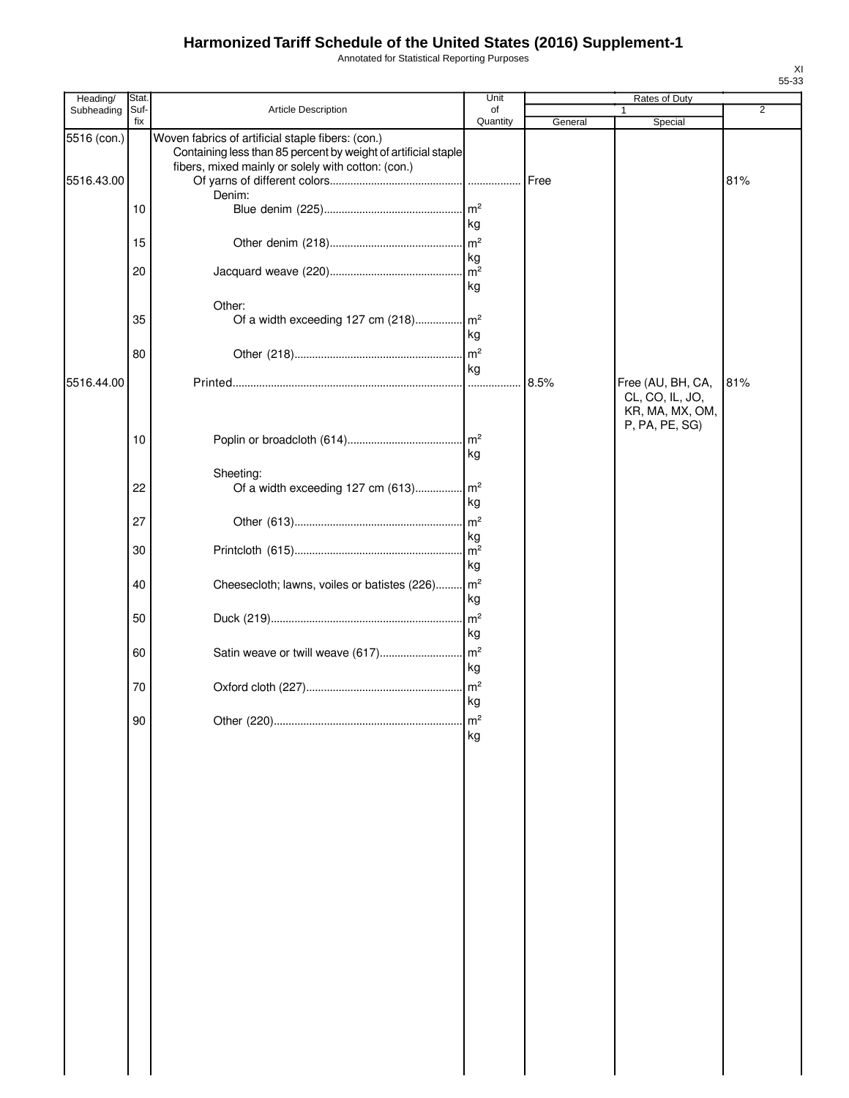Annotated for Statistical Reporting Purposes

| Heading/                  | Stat.       |                                                                                                                                                                           | Unit                       |         | Rates of Duty                                           |     |
|---------------------------|-------------|---------------------------------------------------------------------------------------------------------------------------------------------------------------------------|----------------------------|---------|---------------------------------------------------------|-----|
| Subheading                | Suf-<br>fix | Article Description                                                                                                                                                       | of<br>Quantity             | General | 1<br>Special                                            | 2   |
| 5516 (con.)<br>5516.43.00 |             | Woven fabrics of artificial staple fibers: (con.)<br>Containing less than 85 percent by weight of artificial staple<br>fibers, mixed mainly or solely with cotton: (con.) |                            | Free    |                                                         | 81% |
|                           | 10          | Denim:                                                                                                                                                                    | kg                         |         |                                                         |     |
|                           | 15          |                                                                                                                                                                           |                            |         |                                                         |     |
|                           | 20          |                                                                                                                                                                           | kg<br>$\mathsf{m}^2$<br>kg |         |                                                         |     |
|                           | 35          | Other:                                                                                                                                                                    | kg                         |         |                                                         |     |
|                           | 80          |                                                                                                                                                                           | kg                         |         |                                                         |     |
| 5516.44.00                |             |                                                                                                                                                                           |                            | 8.5%    | Free (AU, BH, CA,<br>CL, CO, IL, JO,<br>KR, MA, MX, OM, | 81% |
|                           | 10          |                                                                                                                                                                           | kg                         |         | P, PA, PE, SG)                                          |     |
|                           | 22          | Sheeting:<br>Of a width exceeding 127 cm (613) m <sup>2</sup>                                                                                                             | kg                         |         |                                                         |     |
|                           | 27          |                                                                                                                                                                           | m <sup>2</sup><br>kg       |         |                                                         |     |
|                           | 30          |                                                                                                                                                                           | $\mathsf{Im}^2$<br>kg      |         |                                                         |     |
|                           | 40          | Cheesecloth; lawns, voiles or batistes (226) m <sup>2</sup>                                                                                                               | kg                         |         |                                                         |     |
|                           | 50          |                                                                                                                                                                           | kg                         |         |                                                         |     |
|                           | 60          |                                                                                                                                                                           | kg                         |         |                                                         |     |
|                           | 70          |                                                                                                                                                                           | kg                         |         |                                                         |     |
|                           | $90\,$      |                                                                                                                                                                           | m <sup>2</sup><br>kg       |         |                                                         |     |
|                           |             |                                                                                                                                                                           |                            |         |                                                         |     |
|                           |             |                                                                                                                                                                           |                            |         |                                                         |     |
|                           |             |                                                                                                                                                                           |                            |         |                                                         |     |
|                           |             |                                                                                                                                                                           |                            |         |                                                         |     |
|                           |             |                                                                                                                                                                           |                            |         |                                                         |     |
|                           |             |                                                                                                                                                                           |                            |         |                                                         |     |
|                           |             |                                                                                                                                                                           |                            |         |                                                         |     |
|                           |             |                                                                                                                                                                           |                            |         |                                                         |     |
|                           |             |                                                                                                                                                                           |                            |         |                                                         |     |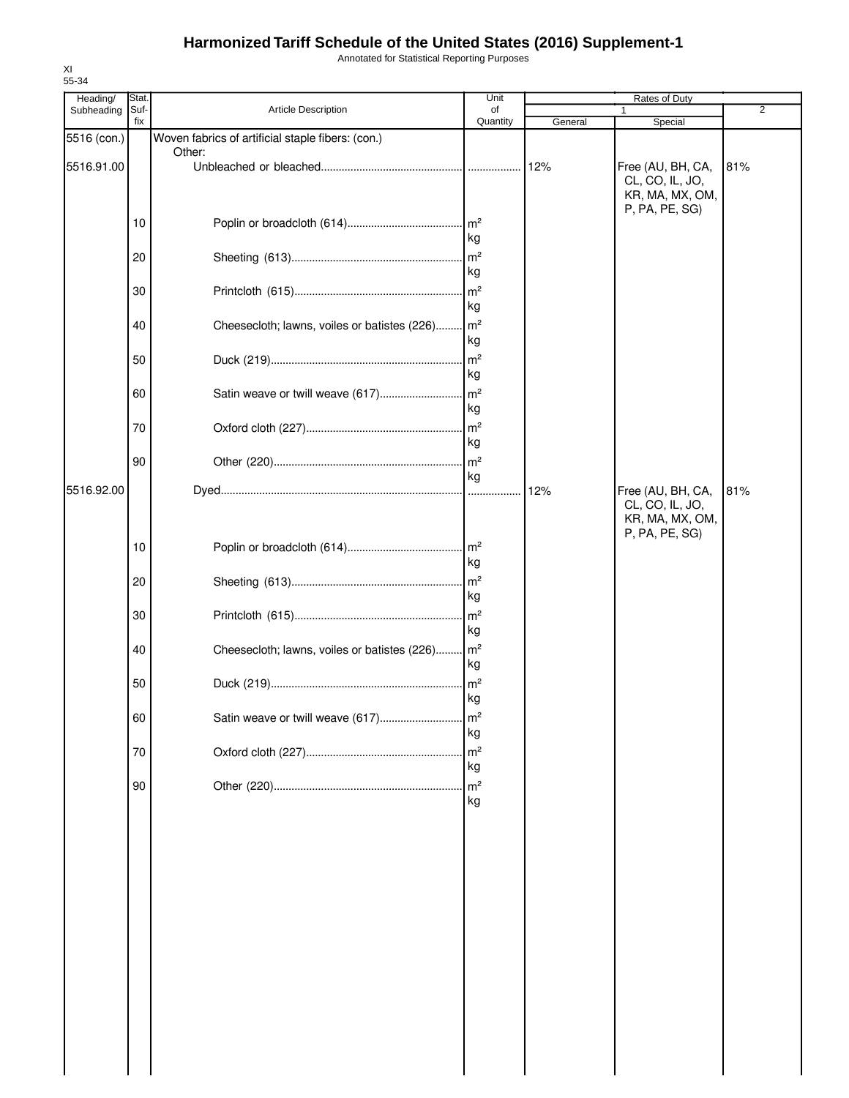Annotated for Statistical Reporting Purposes

| 55-34<br>Heading/ | Stat.       |                                                             | Unit                 |         | Rates of Duty                                                             |     |
|-------------------|-------------|-------------------------------------------------------------|----------------------|---------|---------------------------------------------------------------------------|-----|
| Subheading        | Suf-<br>fix | <b>Article Description</b>                                  | of<br>Quantity       | General | Special                                                                   | 2   |
| 5516 (con.)       |             | Woven fabrics of artificial staple fibers: (con.)<br>Other: |                      |         |                                                                           |     |
| 5516.91.00        |             |                                                             |                      | 12%     | Free (AU, BH, CA,<br>CL, CO, IL, JO,<br>KR, MA, MX, OM,<br>P, PA, PE, SG) | 81% |
|                   | 10          |                                                             | kg                   |         |                                                                           |     |
|                   | 20          |                                                             | kg                   |         |                                                                           |     |
|                   | 30          |                                                             | m <sup>2</sup><br>kg |         |                                                                           |     |
|                   | 40          | Cheesecloth; lawns, voiles or batistes (226)                | m <sup>2</sup><br>kg |         |                                                                           |     |
|                   | 50          |                                                             | m <sup>2</sup><br>kg |         |                                                                           |     |
|                   | 60          |                                                             | kg                   |         |                                                                           |     |
|                   | 70          |                                                             | kg                   |         |                                                                           |     |
|                   | 90          |                                                             | m <sup>2</sup><br>kg |         |                                                                           |     |
| 5516.92.00        |             |                                                             |                      | 12%     | Free (AU, BH, CA,<br>CL, CO, IL, JO,<br>KR, MA, MX, OM,<br>P, PA, PE, SG) | 81% |
|                   | 10          |                                                             | kg                   |         |                                                                           |     |
|                   | 20          |                                                             | kg                   |         |                                                                           |     |
|                   | 30          |                                                             | kg                   |         |                                                                           |     |
|                   | 40          | Cheesecloth; lawns, voiles or batistes (226)                | m <sup>2</sup><br>kg |         |                                                                           |     |
|                   | 50          |                                                             | kg                   |         |                                                                           |     |
|                   | 60          | Satin weave or twill weave (617)                            | m <sup>2</sup><br>kg |         |                                                                           |     |
|                   | 70          |                                                             | m <sup>2</sup><br>kg |         |                                                                           |     |
|                   | 90          |                                                             | m <sup>2</sup><br>kg |         |                                                                           |     |
|                   |             |                                                             |                      |         |                                                                           |     |
|                   |             |                                                             |                      |         |                                                                           |     |
|                   |             |                                                             |                      |         |                                                                           |     |
|                   |             |                                                             |                      |         |                                                                           |     |
|                   |             |                                                             |                      |         |                                                                           |     |
|                   |             |                                                             |                      |         |                                                                           |     |
|                   |             |                                                             |                      |         |                                                                           |     |
|                   |             |                                                             |                      |         |                                                                           |     |

XI